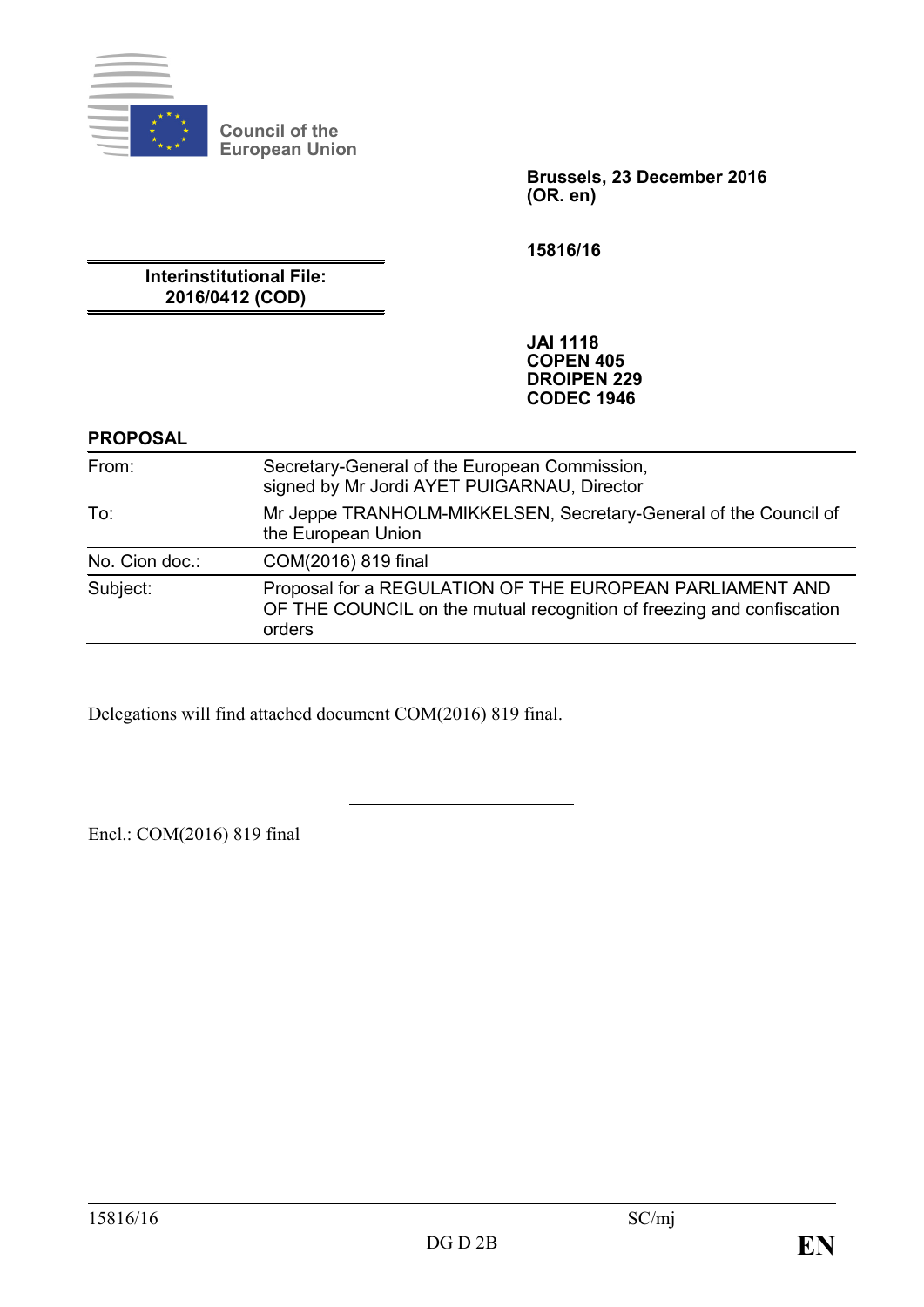

**Council of the European Union**

> **Brussels, 23 December 2016 (OR. en)**

**15816/16**

**Interinstitutional File: 2016/0412 (COD)**

> **JAI 1118 COPEN 405 DROIPEN 229 CODEC 1946**

#### **PROPOSAL**

| From:          | Secretary-General of the European Commission,<br>signed by Mr Jordi AYET PUIGARNAU, Director                                                |
|----------------|---------------------------------------------------------------------------------------------------------------------------------------------|
| To:            | Mr Jeppe TRANHOLM-MIKKELSEN, Secretary-General of the Council of<br>the European Union                                                      |
| No. Cion doc.: | COM(2016) 819 final                                                                                                                         |
| Subject:       | Proposal for a REGULATION OF THE EUROPEAN PARLIAMENT AND<br>OF THE COUNCIL on the mutual recognition of freezing and confiscation<br>orders |

Delegations will find attached document COM(2016) 819 final.

Encl.: COM(2016) 819 final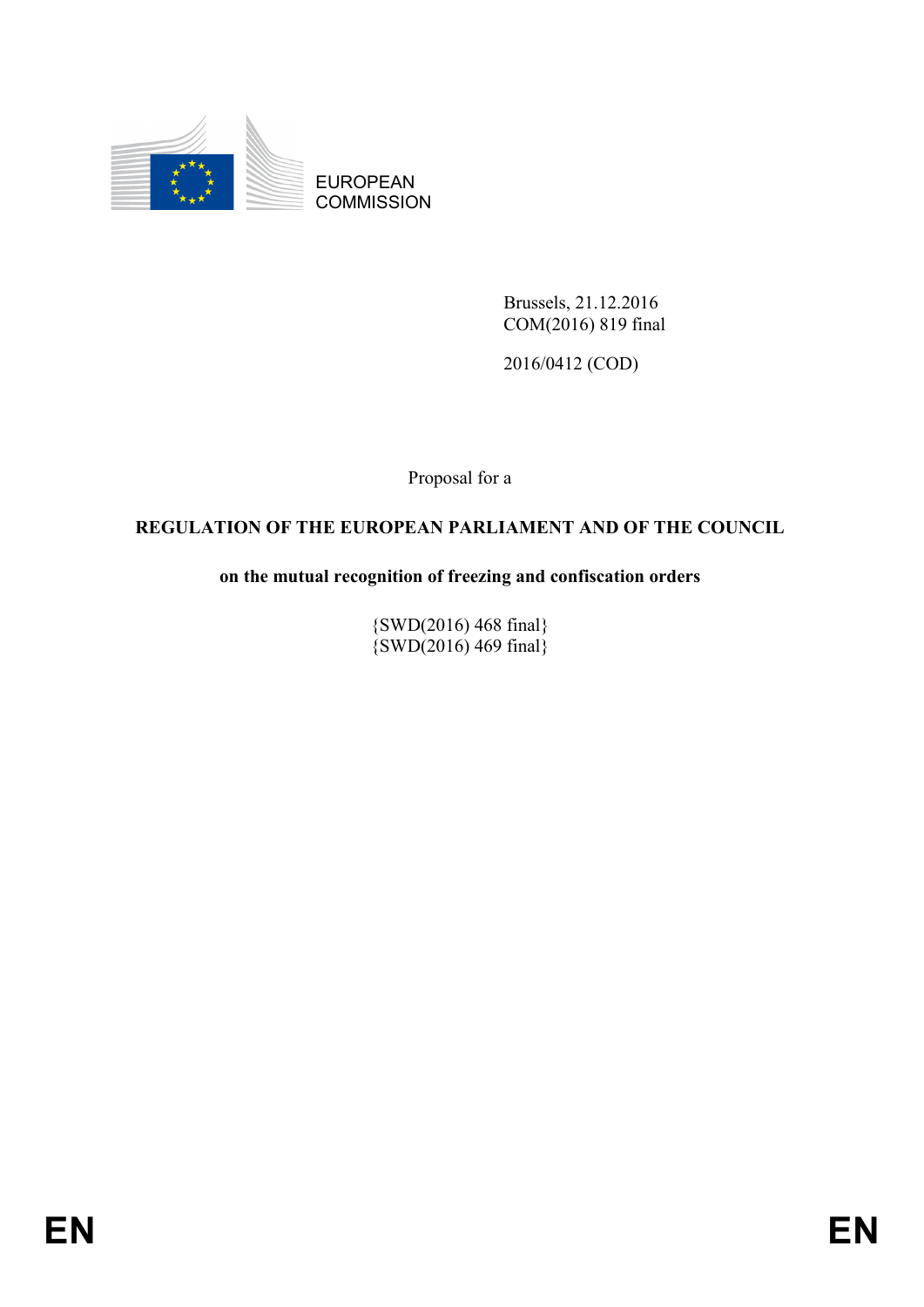

EUROPEAN **COMMISSION** 

> Brussels, 21.12.2016 COM(2016) 819 final

2016/0412 (COD)

Proposal for a

# **REGULATION OF THE EUROPEAN PARLIAMENT AND OF THE COUNCIL**

# **on the mutual recognition of freezing and confiscation orders**

{SWD(2016) 468 final}  $\{SWD(2016) 469 \text{ final}\}$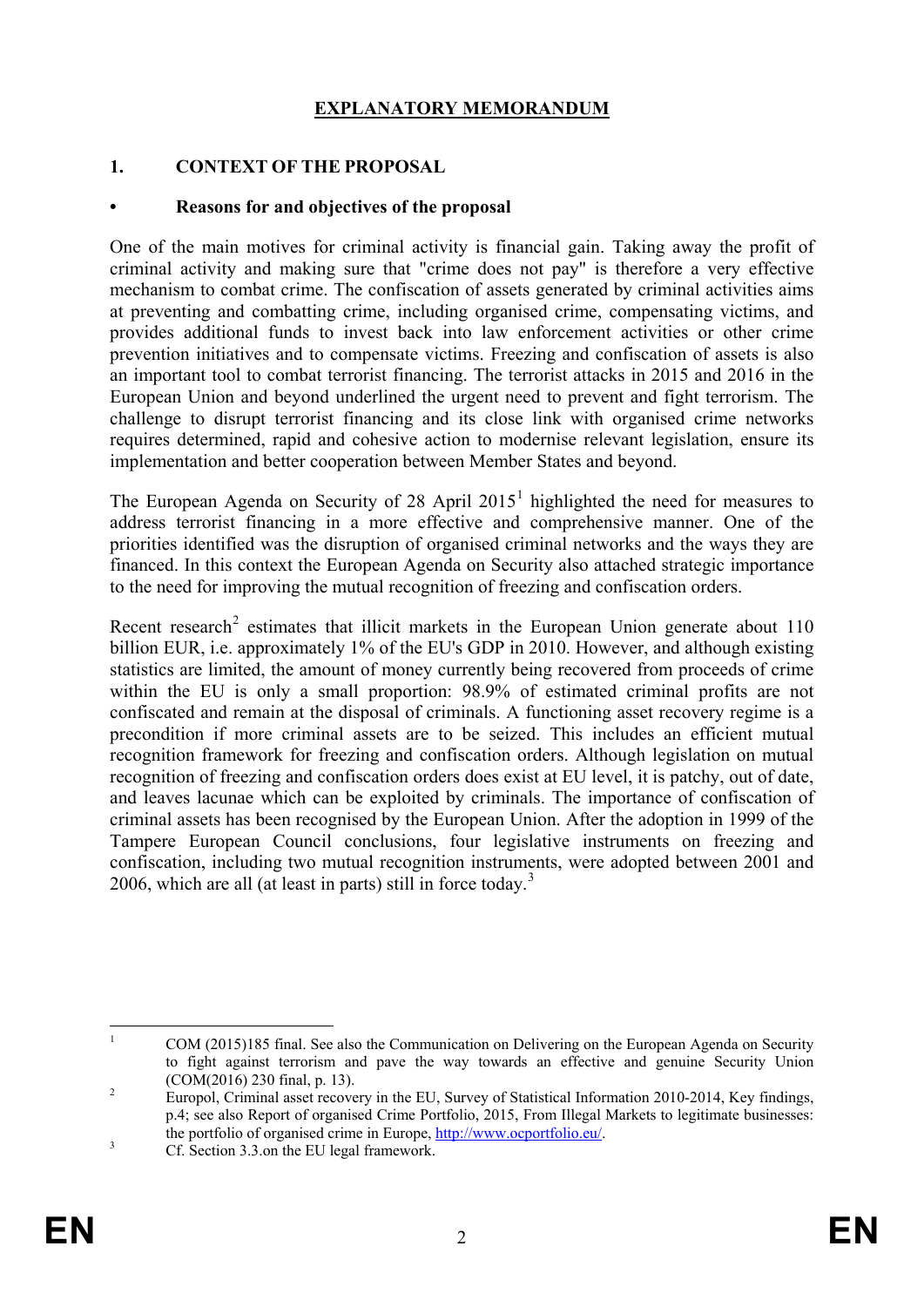# **EXPLANATORY MEMORANDUM**

#### **1. CONTEXT OF THE PROPOSAL**

#### **• Reasons for and objectives of the proposal**

One of the main motives for criminal activity is financial gain. Taking away the profit of criminal activity and making sure that "crime does not pay" is therefore a very effective mechanism to combat crime. The confiscation of assets generated by criminal activities aims at preventing and combatting crime, including organised crime, compensating victims, and provides additional funds to invest back into law enforcement activities or other crime prevention initiatives and to compensate victims. Freezing and confiscation of assets is also an important tool to combat terrorist financing. The terrorist attacks in 2015 and 2016 in the European Union and beyond underlined the urgent need to prevent and fight terrorism. The challenge to disrupt terrorist financing and its close link with organised crime networks requires determined, rapid and cohesive action to modernise relevant legislation, ensure its implementation and better cooperation between Member States and beyond.

The European Agenda on Security of 28 April 20[1](#page-2-0)5<sup>1</sup> highlighted the need for measures to address terrorist financing in a more effective and comprehensive manner. One of the priorities identified was the disruption of organised criminal networks and the ways they are financed. In this context the European Agenda on Security also attached strategic importance to the need for improving the mutual recognition of freezing and confiscation orders.

Recent research<sup>[2](#page-2-1)</sup> estimates that illicit markets in the European Union generate about  $110$ billion EUR, i.e. approximately 1% of the EU's GDP in 2010. However, and although existing statistics are limited, the amount of money currently being recovered from proceeds of crime within the EU is only a small proportion: 98.9% of estimated criminal profits are not confiscated and remain at the disposal of criminals. A functioning asset recovery regime is a precondition if more criminal assets are to be seized. This includes an efficient mutual recognition framework for freezing and confiscation orders. Although legislation on mutual recognition of freezing and confiscation orders does exist at EU level, it is patchy, out of date, and leaves lacunae which can be exploited by criminals. The importance of confiscation of criminal assets has been recognised by the European Union. After the adoption in 1999 of the Tampere European Council conclusions, four legislative instruments on freezing and confiscation, including two mutual recognition instruments, were adopted between 2001 and 2006, which are all (at least in parts) still in force today.<sup>[3](#page-2-2)</sup>

<span id="page-2-0"></span><sup>&</sup>lt;sup>1</sup> COM (2015)185 final. See also the Communication on Delivering on the European Agenda on Security to fight against terrorism and pave the way towards an effective and genuine Security Union (COM(2016) 230 final, p. 13).<br><sup>2</sup> Europol, Criminal asset recovery in the EU, Survey of Statistical Information 2010-2014, Key findings,

<span id="page-2-1"></span>p.4; see also Report of organised Crime Portfolio, 2015, From Illegal Markets to legitimate businesses: the portfolio of organised crime in Europe, <u>http://www.ocportfolio.eu/</u>.<br>
Cf. Section 3.3.on the EU legal framework.

<span id="page-2-2"></span>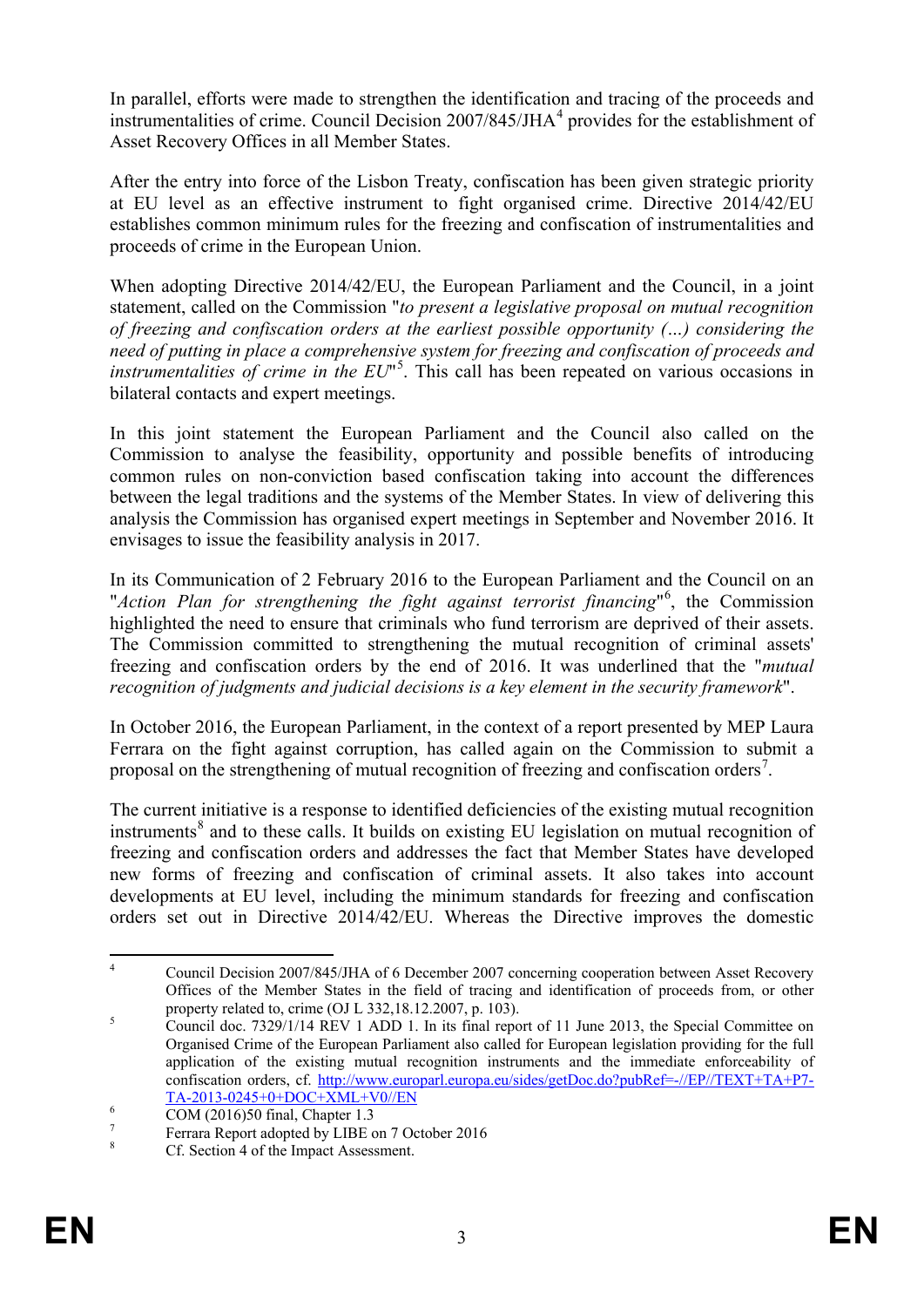In parallel, efforts were made to strengthen the identification and tracing of the proceeds and instrumentalities of crime. Council Decision 2007/8[4](#page-3-0)5/JHA<sup>4</sup> provides for the establishment of Asset Recovery Offices in all Member States.

After the entry into force of the Lisbon Treaty, confiscation has been given strategic priority at EU level as an effective instrument to fight organised crime. Directive 2014/42/EU establishes common minimum rules for the freezing and confiscation of instrumentalities and proceeds of crime in the European Union.

When adopting Directive 2014/42/EU, the European Parliament and the Council, in a joint statement, called on the Commission "*to present a legislative proposal on mutual recognition of freezing and confiscation orders at the earliest possible opportunity (…) considering the need of putting in place a comprehensive system for freezing and confiscation of proceeds and instrumentalities of crime in the EU*" [5](#page-3-1) . This call has been repeated on various occasions in bilateral contacts and expert meetings.

In this joint statement the European Parliament and the Council also called on the Commission to analyse the feasibility, opportunity and possible benefits of introducing common rules on non-conviction based confiscation taking into account the differences between the legal traditions and the systems of the Member States. In view of delivering this analysis the Commission has organised expert meetings in September and November 2016. It envisages to issue the feasibility analysis in 2017.

In its Communication of 2 February 2016 to the European Parliament and the Council on an "Action Plan for strengthening the fight against terrorist financing"<sup>[6](#page-3-2)</sup>, the Commission highlighted the need to ensure that criminals who fund terrorism are deprived of their assets. The Commission committed to strengthening the mutual recognition of criminal assets' freezing and confiscation orders by the end of 2016. It was underlined that the "*mutual recognition of judgments and judicial decisions is a key element in the security framework*".

In October 2016, the European Parliament, in the context of a report presented by MEP Laura Ferrara on the fight against corruption, has called again on the Commission to submit a proposal on the strengthening of mutual recognition of freezing and confiscation orders<sup>[7](#page-3-3)</sup>.

The current initiative is a response to identified deficiencies of the existing mutual recognition instruments<sup>[8](#page-3-4)</sup> and to these calls. It builds on existing EU legislation on mutual recognition of freezing and confiscation orders and addresses the fact that Member States have developed new forms of freezing and confiscation of criminal assets. It also takes into account developments at EU level, including the minimum standards for freezing and confiscation orders set out in Directive 2014/42/EU. Whereas the Directive improves the domestic

<span id="page-3-0"></span><sup>&</sup>lt;sup>4</sup> Council Decision 2007/845/JHA of 6 December 2007 concerning cooperation between Asset Recovery Offices of the Member States in the field of tracing and identification of proceeds from, or other property related to, crime (OJ L 332,18.12.2007, p. 103).<br>
S Council doc. 7329/1/14 REV 1 ADD 1. In its final report of 11 June 2013, the Special Committee on

<span id="page-3-1"></span>Organised Crime of the European Parliament also called for European legislation providing for the full application of the existing mutual recognition instruments and the immediate enforceability of confiscation orders, cf. [http://www.europarl.europa.eu/sides/getDoc.do?pubRef=-//EP//TEXT+TA+P7-](http://www.europarl.europa.eu/sides/getDoc.do?pubRef=-//EP//TEXT+TA+P7-TA-2013-0245+0+DOC+XML+V0//EN)<br>TA-2013-0245+0+DOC+XML+V0//EN

<span id="page-3-2"></span>

 $T$ <sup>7</sup><br>The Ferrara Report adopted by LIBE on 7 October 2016<br>8 Cf. Section 4 of the Impact Assessment.

<span id="page-3-4"></span><span id="page-3-3"></span>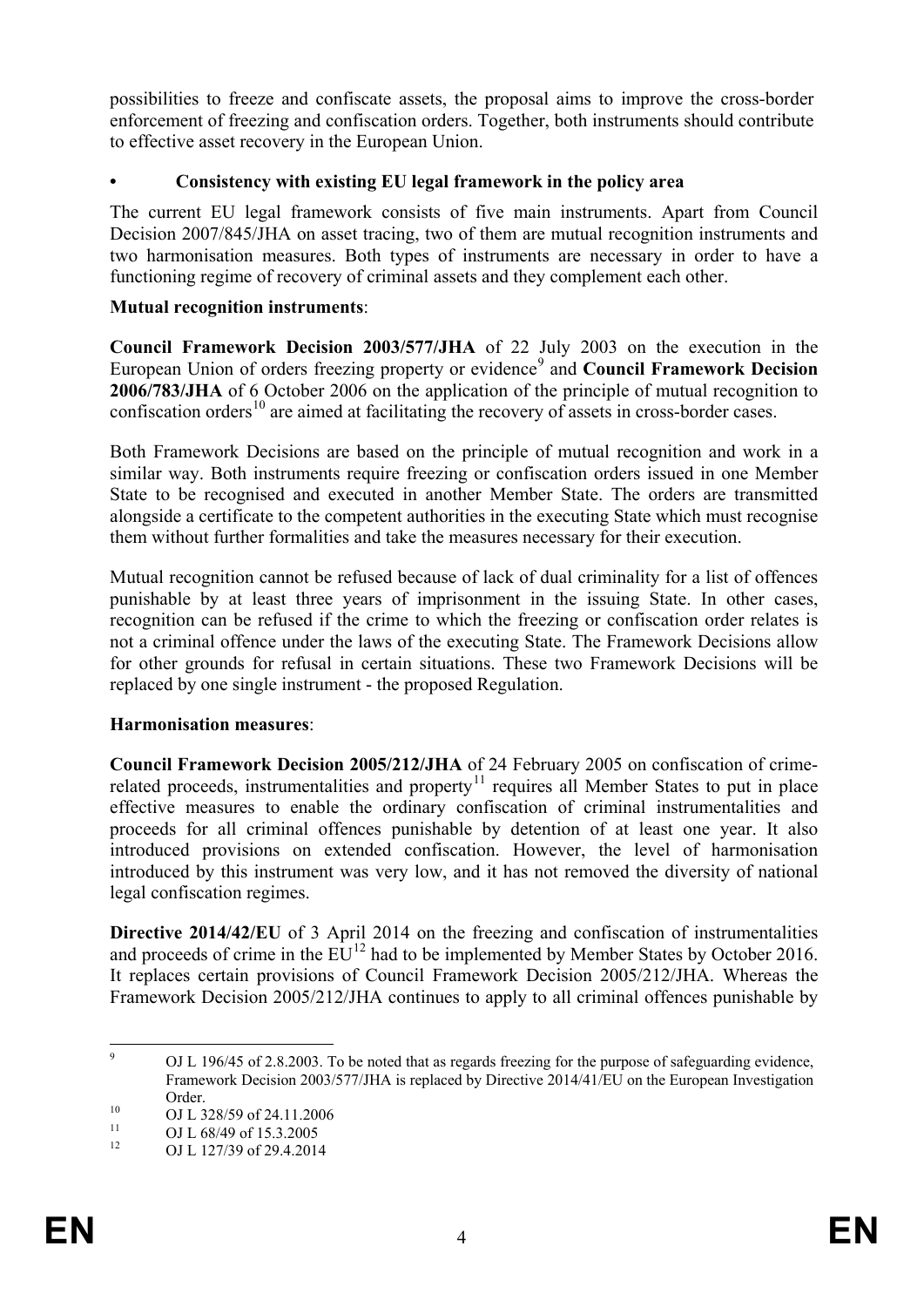possibilities to freeze and confiscate assets, the proposal aims to improve the cross-border enforcement of freezing and confiscation orders. Together, both instruments should contribute to effective asset recovery in the European Union.

## **• Consistency with existing EU legal framework in the policy area**

The current EU legal framework consists of five main instruments. Apart from Council Decision 2007/845/JHA on asset tracing, two of them are mutual recognition instruments and two harmonisation measures. Both types of instruments are necessary in order to have a functioning regime of recovery of criminal assets and they complement each other.

### **Mutual recognition instruments**:

**Council Framework Decision 2003/577/JHA** of 22 July 2003 on the execution in the European Union of orders freezing property or evidence<sup>[9](#page-4-0)</sup> and **Council Framework Decision 2006/783/JHA** of 6 October 2006 on the application of the principle of mutual recognition to confiscation orders<sup>[10](#page-4-1)</sup> are aimed at facilitating the recovery of assets in cross-border cases.

Both Framework Decisions are based on the principle of mutual recognition and work in a similar way. Both instruments require freezing or confiscation orders issued in one Member State to be recognised and executed in another Member State. The orders are transmitted alongside a certificate to the competent authorities in the executing State which must recognise them without further formalities and take the measures necessary for their execution.

Mutual recognition cannot be refused because of lack of dual criminality for a list of offences punishable by at least three years of imprisonment in the issuing State. In other cases, recognition can be refused if the crime to which the freezing or confiscation order relates is not a criminal offence under the laws of the executing State. The Framework Decisions allow for other grounds for refusal in certain situations. These two Framework Decisions will be replaced by one single instrument - the proposed Regulation.

## **Harmonisation measures**:

**Council Framework Decision 2005/212/JHA** of 24 February 2005 on confiscation of crime-related proceeds, instrumentalities and property<sup>[11](#page-4-2)</sup> requires all Member States to put in place effective measures to enable the ordinary confiscation of criminal instrumentalities and proceeds for all criminal offences punishable by detention of at least one year. It also introduced provisions on extended confiscation. However, the level of harmonisation introduced by this instrument was very low, and it has not removed the diversity of national legal confiscation regimes.

**Directive 2014/42/EU** of 3 April 2014 on the freezing and confiscation of instrumentalities and proceeds of crime in the  $EU^{12}$  $EU^{12}$  $EU^{12}$  had to be implemented by Member States by October 2016. It replaces certain provisions of Council Framework Decision 2005/212/JHA. Whereas the Framework Decision 2005/212/JHA continues to apply to all criminal offences punishable by

<span id="page-4-0"></span><sup>&</sup>lt;sup>9</sup> OJ L 196/45 of 2.8.2003. To be noted that as regards freezing for the purpose of safeguarding evidence, Framework Decision 2003/577/JHA is replaced by Directive 2014/41/EU on the European Investigation

<span id="page-4-1"></span>

Order.<br>
0 OJ L 328/59 of 24.11.2006<br>
11 OJ L 68/49 of 15.3.2005<br>
OJ L 127/39 of 29.4.2014

<span id="page-4-3"></span><span id="page-4-2"></span>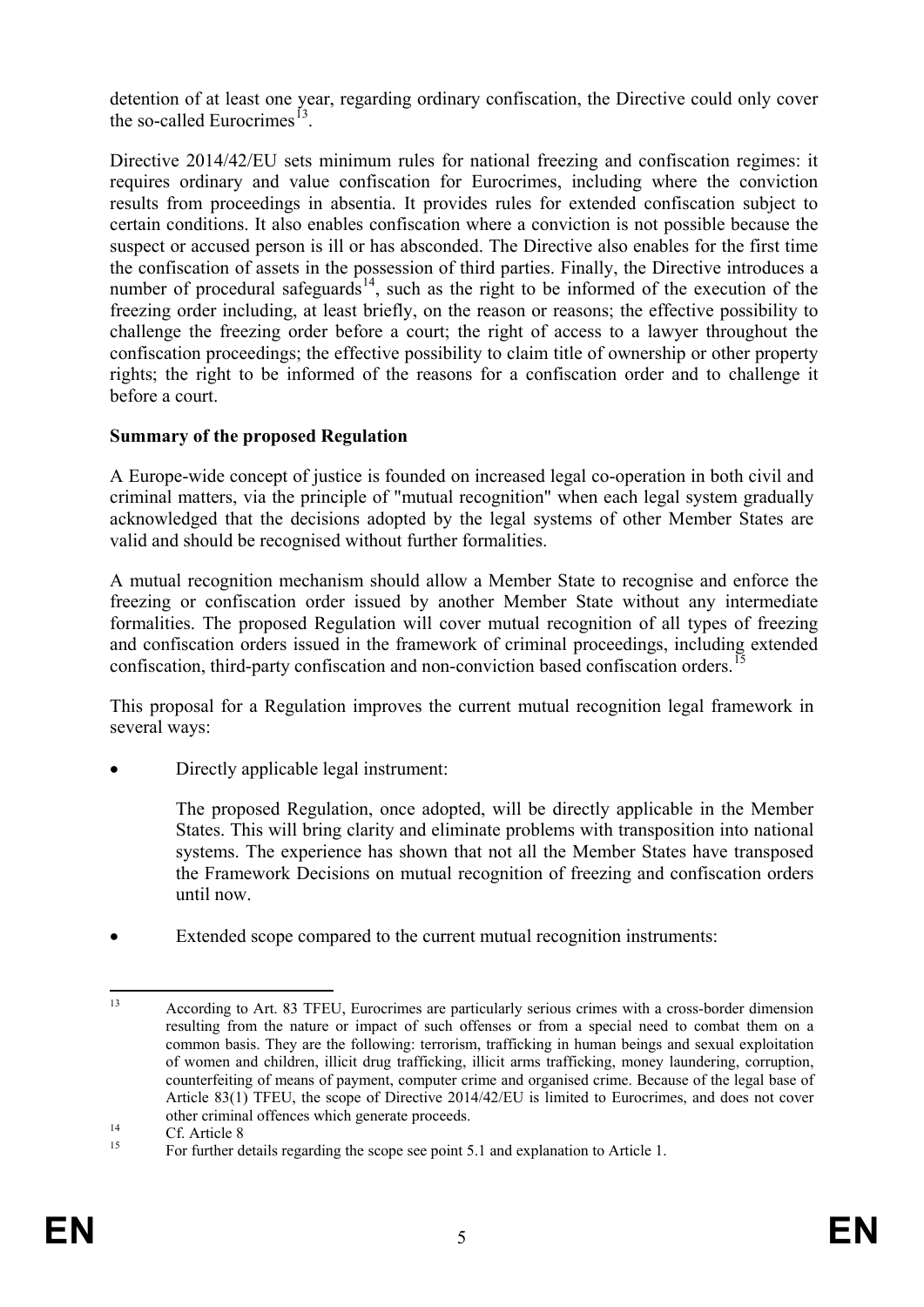detention of at least one year, regarding ordinary confiscation, the Directive could only cover the so-called Eurocrimes<sup>1</sup>

Directive 2014/42/EU sets minimum rules for national freezing and confiscation regimes: it requires ordinary and value confiscation for Eurocrimes, including where the conviction results from proceedings in absentia. It provides rules for extended confiscation subject to certain conditions. It also enables confiscation where a conviction is not possible because the suspect or accused person is ill or has absconded. The Directive also enables for the first time the confiscation of assets in the possession of third parties. Finally, the Directive introduces a number of procedural safeguards<sup>14</sup>, such as the right to be informed of the execution of the freezing order including, at least briefly, on the reason or reasons; the effective possibility to challenge the freezing order before a court; the right of access to a lawyer throughout the confiscation proceedings; the effective possibility to claim title of ownership or other property rights; the right to be informed of the reasons for a confiscation order and to challenge it before a court.

# **Summary of the proposed Regulation**

A Europe-wide concept of justice is founded on increased legal co-operation in both civil and criminal matters, via the principle of "mutual recognition" when each legal system gradually acknowledged that the decisions adopted by the legal systems of other Member States are valid and should be recognised without further formalities.

A mutual recognition mechanism should allow a Member State to recognise and enforce the freezing or confiscation order issued by another Member State without any intermediate formalities. The proposed Regulation will cover mutual recognition of all types of freezing and confiscation orders issued in the framework of criminal proceedings, including extended confiscation, third-party confiscation and non-conviction based confiscation orders.<sup>1</sup>

This proposal for a Regulation improves the current mutual recognition legal framework in several ways:

- Directly applicable legal instrument:
	- The proposed Regulation, once adopted, will be directly applicable in the Member States. This will bring clarity and eliminate problems with transposition into national systems. The experience has shown that not all the Member States have transposed the Framework Decisions on mutual recognition of freezing and confiscation orders until now.
- Extended scope compared to the current mutual recognition instruments:

<span id="page-5-0"></span> <sup>13</sup> According to Art. 83 TFEU, Eurocrimes are particularly serious crimes with a cross-border dimension resulting from the nature or impact of such offenses or from a special need to combat them on a common basis. They are the following: terrorism, trafficking in human beings and sexual exploitation of women and children, illicit drug trafficking, illicit arms trafficking, money laundering, corruption, counterfeiting of means of payment, computer crime and organised crime. Because of the legal base of Article 83(1) TFEU, the scope of Directive 2014/42/EU is limited to Eurocrimes, and does not cover other criminal offences which generate proceeds.<br>
14 Cf. Article 8 For further details regarding the scope see point 5.1 and explanation to Article 1.

<span id="page-5-1"></span>

<span id="page-5-2"></span>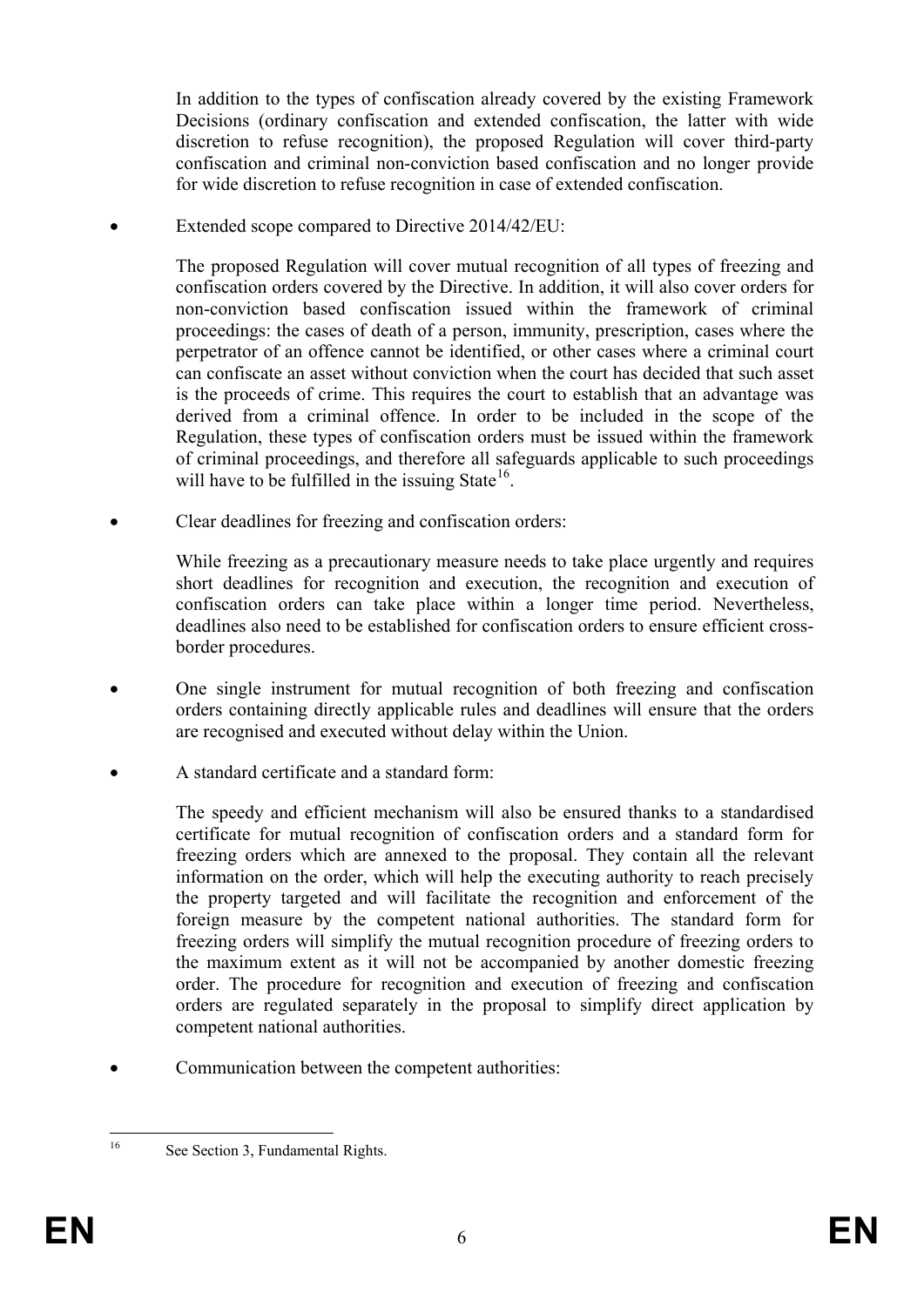In addition to the types of confiscation already covered by the existing Framework Decisions (ordinary confiscation and extended confiscation, the latter with wide discretion to refuse recognition), the proposed Regulation will cover third-party confiscation and criminal non-conviction based confiscation and no longer provide for wide discretion to refuse recognition in case of extended confiscation.

Extended scope compared to Directive 2014/42/EU:

The proposed Regulation will cover mutual recognition of all types of freezing and confiscation orders covered by the Directive. In addition, it will also cover orders for non-conviction based confiscation issued within the framework of criminal proceedings: the cases of death of a person, immunity, prescription, cases where the perpetrator of an offence cannot be identified, or other cases where a criminal court can confiscate an asset without conviction when the court has decided that such asset is the proceeds of crime. This requires the court to establish that an advantage was derived from a criminal offence. In order to be included in the scope of the Regulation, these types of confiscation orders must be issued within the framework of criminal proceedings, and therefore all safeguards applicable to such proceedings will have to be fulfilled in the issuing State<sup>16</sup>.

• Clear deadlines for freezing and confiscation orders:

While freezing as a precautionary measure needs to take place urgently and requires short deadlines for recognition and execution, the recognition and execution of confiscation orders can take place within a longer time period. Nevertheless, deadlines also need to be established for confiscation orders to ensure efficient crossborder procedures.

- One single instrument for mutual recognition of both freezing and confiscation orders containing directly applicable rules and deadlines will ensure that the orders are recognised and executed without delay within the Union.
- A standard certificate and a standard form:

The speedy and efficient mechanism will also be ensured thanks to a standardised certificate for mutual recognition of confiscation orders and a standard form for freezing orders which are annexed to the proposal. They contain all the relevant information on the order, which will help the executing authority to reach precisely the property targeted and will facilitate the recognition and enforcement of the foreign measure by the competent national authorities. The standard form for freezing orders will simplify the mutual recognition procedure of freezing orders to the maximum extent as it will not be accompanied by another domestic freezing order. The procedure for recognition and execution of freezing and confiscation orders are regulated separately in the proposal to simplify direct application by competent national authorities.

Communication between the competent authorities:

<span id="page-6-0"></span>

<sup>&</sup>lt;sup>16</sup> See Section 3, Fundamental Rights.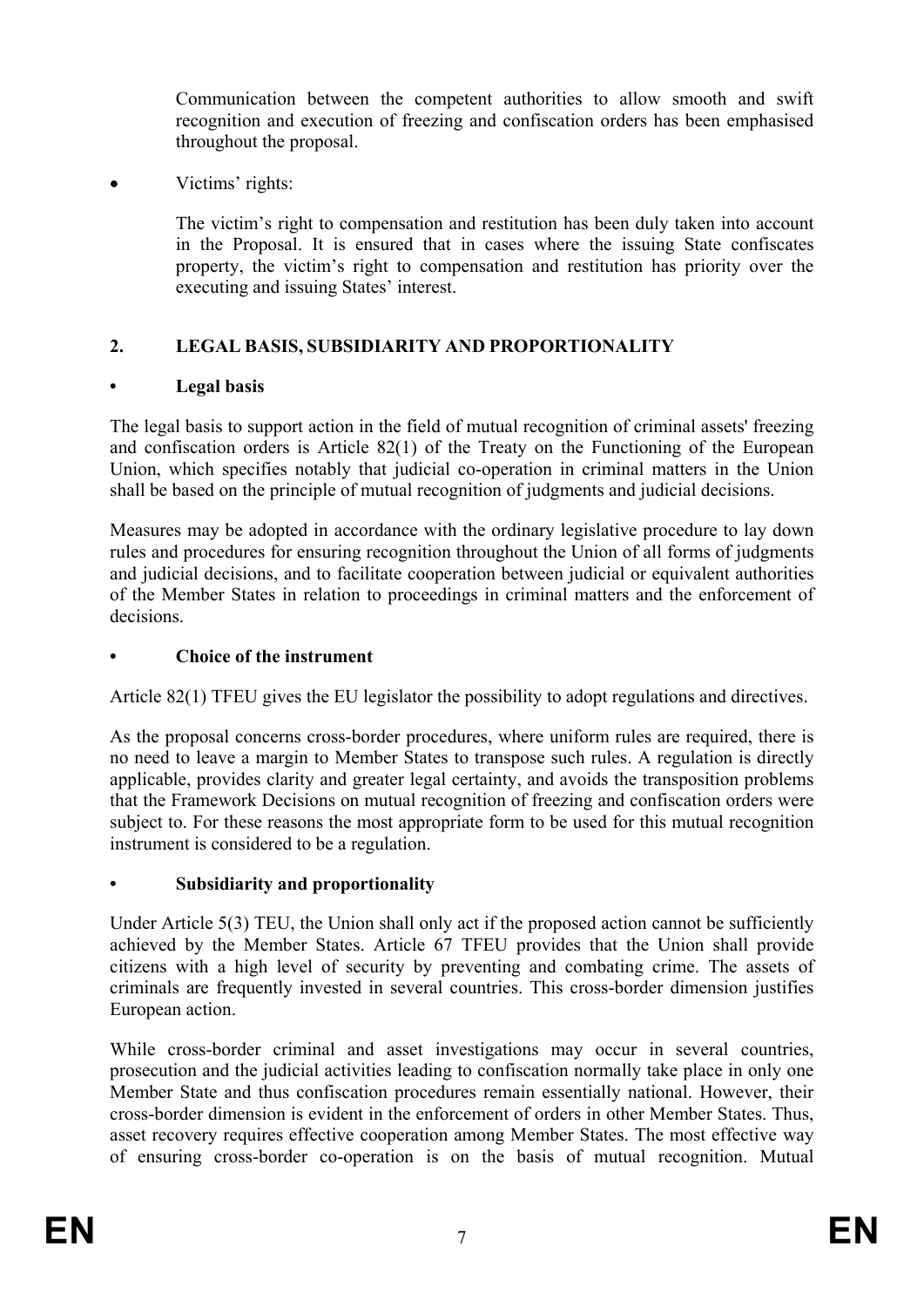Communication between the competent authorities to allow smooth and swift recognition and execution of freezing and confiscation orders has been emphasised throughout the proposal.

Victims' rights:

The victim's right to compensation and restitution has been duly taken into account in the Proposal. It is ensured that in cases where the issuing State confiscates property, the victim's right to compensation and restitution has priority over the executing and issuing States' interest.

# **2. LEGAL BASIS, SUBSIDIARITY AND PROPORTIONALITY**

# **• Legal basis**

The legal basis to support action in the field of mutual recognition of criminal assets' freezing and confiscation orders is Article 82(1) of the Treaty on the Functioning of the European Union, which specifies notably that judicial co-operation in criminal matters in the Union shall be based on the principle of mutual recognition of judgments and judicial decisions.

Measures may be adopted in accordance with the ordinary legislative procedure to lay down rules and procedures for ensuring recognition throughout the Union of all forms of judgments and judicial decisions, and to facilitate cooperation between judicial or equivalent authorities of the Member States in relation to proceedings in criminal matters and the enforcement of decisions.

## **• Choice of the instrument**

Article 82(1) TFEU gives the EU legislator the possibility to adopt regulations and directives.

As the proposal concerns cross-border procedures, where uniform rules are required, there is no need to leave a margin to Member States to transpose such rules. A regulation is directly applicable, provides clarity and greater legal certainty, and avoids the transposition problems that the Framework Decisions on mutual recognition of freezing and confiscation orders were subject to. For these reasons the most appropriate form to be used for this mutual recognition instrument is considered to be a regulation.

# **• Subsidiarity and proportionality**

Under Article 5(3) TEU, the Union shall only act if the proposed action cannot be sufficiently achieved by the Member States. Article 67 TFEU provides that the Union shall provide citizens with a high level of security by preventing and combating crime. The assets of criminals are frequently invested in several countries. This cross-border dimension justifies European action.

While cross-border criminal and asset investigations may occur in several countries, prosecution and the judicial activities leading to confiscation normally take place in only one Member State and thus confiscation procedures remain essentially national. However, their cross-border dimension is evident in the enforcement of orders in other Member States. Thus, asset recovery requires effective cooperation among Member States. The most effective way of ensuring cross-border co-operation is on the basis of mutual recognition. Mutual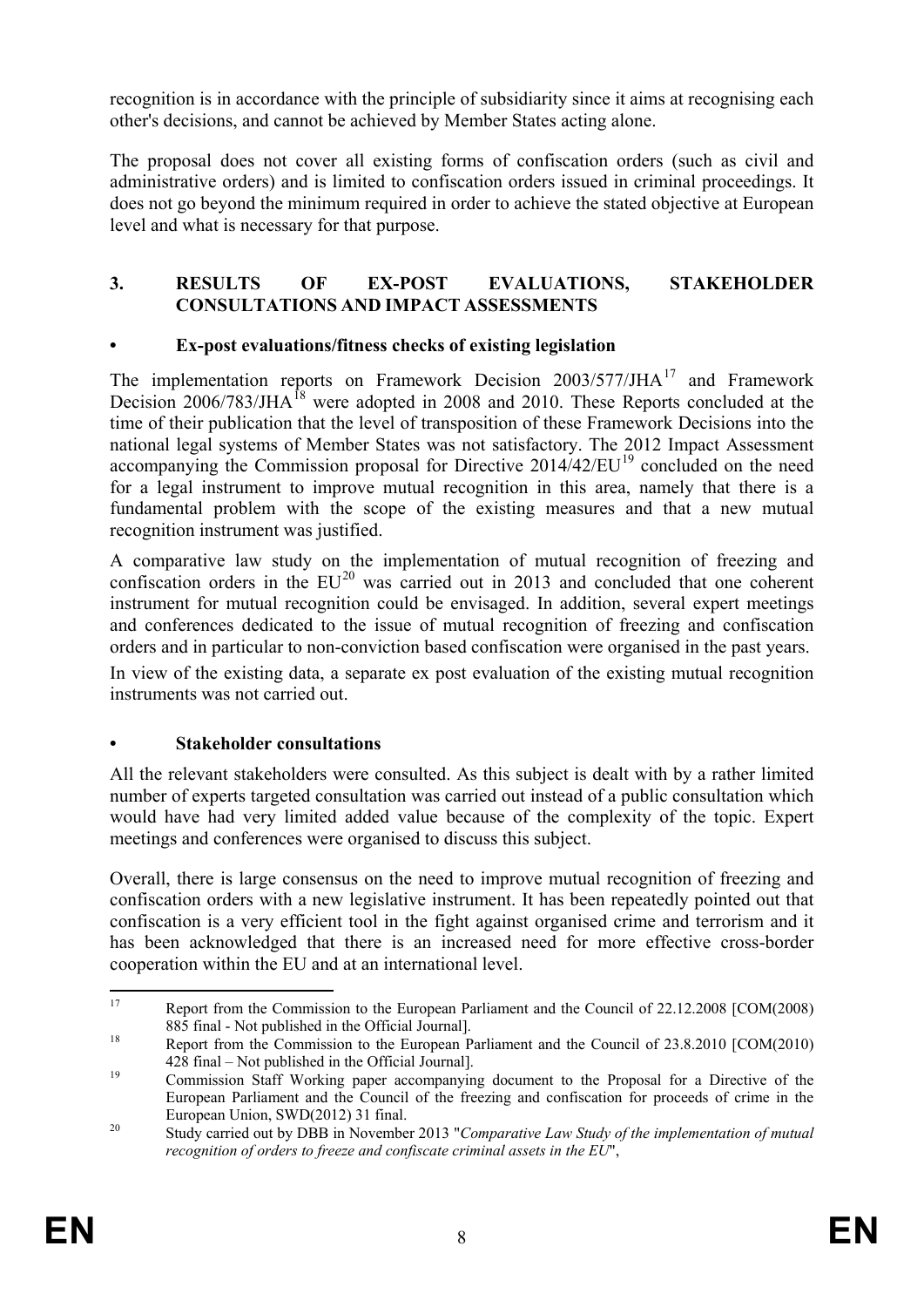recognition is in accordance with the principle of subsidiarity since it aims at recognising each other's decisions, and cannot be achieved by Member States acting alone.

The proposal does not cover all existing forms of confiscation orders (such as civil and administrative orders) and is limited to confiscation orders issued in criminal proceedings. It does not go beyond the minimum required in order to achieve the stated objective at European level and what is necessary for that purpose.

### **3. RESULTS OF EX-POST EVALUATIONS, STAKEHOLDER CONSULTATIONS AND IMPACT ASSESSMENTS**

# **• Ex-post evaluations/fitness checks of existing legislation**

The implementation reports on Framework Decision 2003/577/JHA<sup>[17](#page-8-0)</sup> and Framework Decision 2006/783/JHA<sup>[18](#page-8-1)</sup> were adopted in 2008 and 2010. These Reports concluded at the time of their publication that the level of transposition of these Framework Decisions into the national legal systems of Member States was not satisfactory. The 2012 Impact Assessment accompanying the Commission proposal for Directive  $2014/42/EU^{19}$  $2014/42/EU^{19}$  $2014/42/EU^{19}$  concluded on the need for a legal instrument to improve mutual recognition in this area, namely that there is a fundamental problem with the scope of the existing measures and that a new mutual recognition instrument was justified.

A comparative law study on the implementation of mutual recognition of freezing and confiscation orders in the  $EU^{20}$  $EU^{20}$  $EU^{20}$  was carried out in 2013 and concluded that one coherent instrument for mutual recognition could be envisaged. In addition, several expert meetings and conferences dedicated to the issue of mutual recognition of freezing and confiscation orders and in particular to non-conviction based confiscation were organised in the past years.

In view of the existing data, a separate ex post evaluation of the existing mutual recognition instruments was not carried out.

# **• Stakeholder consultations**

All the relevant stakeholders were consulted. As this subject is dealt with by a rather limited number of experts targeted consultation was carried out instead of a public consultation which would have had very limited added value because of the complexity of the topic. Expert meetings and conferences were organised to discuss this subject.

Overall, there is large consensus on the need to improve mutual recognition of freezing and confiscation orders with a new legislative instrument. It has been repeatedly pointed out that confiscation is a very efficient tool in the fight against organised crime and terrorism and it has been acknowledged that there is an increased need for more effective cross-border cooperation within the EU and at an international level.

<span id="page-8-0"></span><sup>&</sup>lt;sup>17</sup> Report from the Commission to the European Parliament and the Council of 22.12.2008 [COM(2008) [885 final -](http://eur-lex.europa.eu/LexUriServ/LexUriServ.do?uri=CELEX:52010DC0428:EN:NOT) Not published in the Official Journal].<br>
Report from the Commission to the European Parliament and the Council of 23.8.2010 [COM(2010)

<span id="page-8-1"></span>[<sup>428</sup>](http://eur-lex.europa.eu/LexUriServ/LexUriServ.do?uri=CELEX:52010DC0428:EN:NOT) final – Not published in the Official Journal]. <sup>19</sup> Commission Staff Working paper accompanying document to the Proposal for a Directive of the

<span id="page-8-2"></span>European Parliament and the Council of the freezing and confiscation for proceeds of crime in the European Union, SWD(2012) 31 final. <sup>20</sup> Study carried out by DBB in November 2013 "*Comparative Law Study of the implementation of mutual* 

<span id="page-8-3"></span>*recognition of orders to freeze and confiscate criminal assets in the EU*",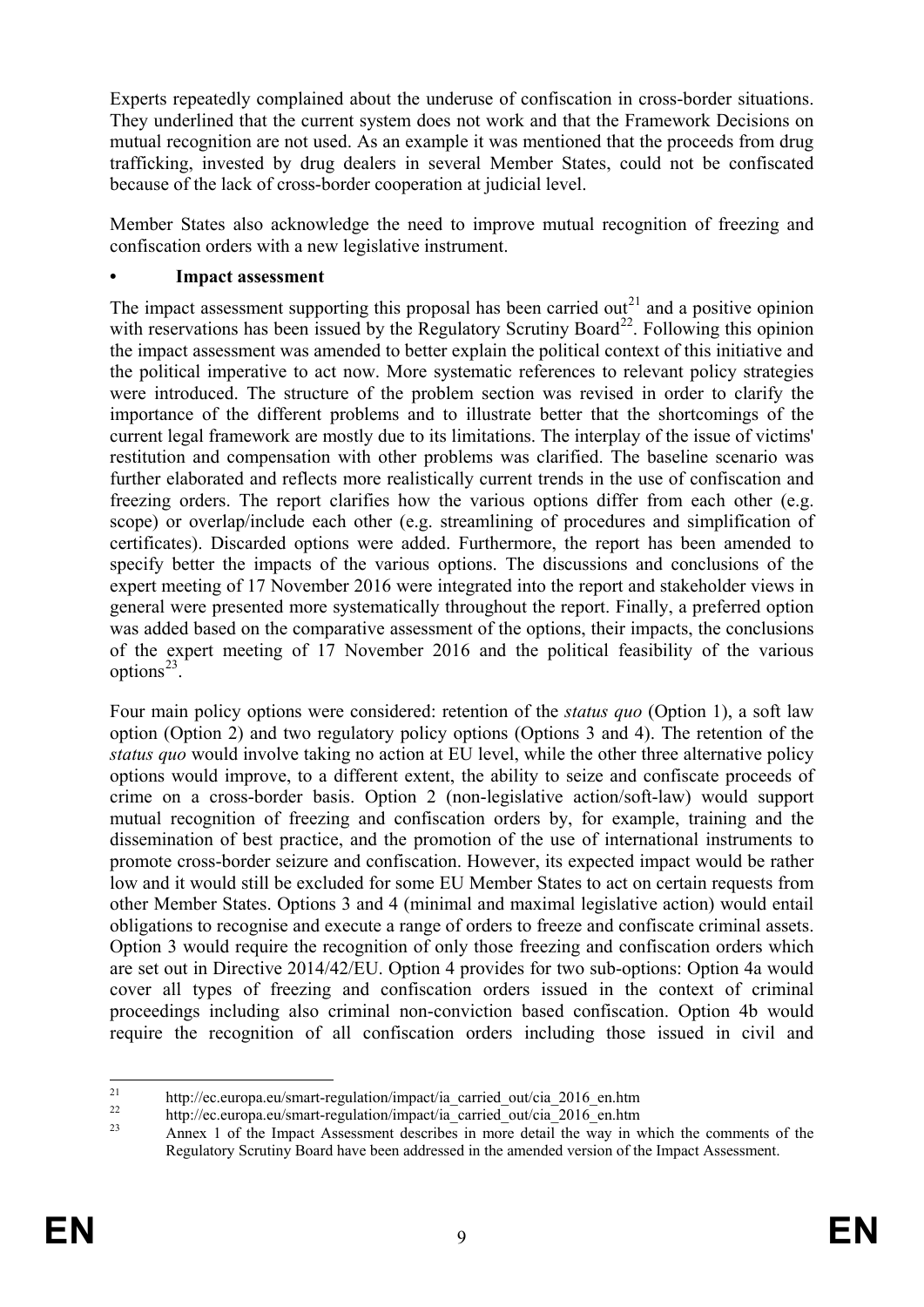Experts repeatedly complained about the underuse of confiscation in cross-border situations. They underlined that the current system does not work and that the Framework Decisions on mutual recognition are not used. As an example it was mentioned that the proceeds from drug trafficking, invested by drug dealers in several Member States, could not be confiscated because of the lack of cross-border cooperation at judicial level.

Member States also acknowledge the need to improve mutual recognition of freezing and confiscation orders with a new legislative instrument.

### **• Impact assessment**

The impact assessment supporting this proposal has been carried out<sup>[21](#page-9-0)</sup> and a positive opinion with reservations has been issued by the Regulatory Scrutiny Board<sup>[22](#page-9-1)</sup>. Following this opinion the impact assessment was amended to better explain the political context of this initiative and the political imperative to act now. More systematic references to relevant policy strategies were introduced. The structure of the problem section was revised in order to clarify the importance of the different problems and to illustrate better that the shortcomings of the current legal framework are mostly due to its limitations. The interplay of the issue of victims' restitution and compensation with other problems was clarified. The baseline scenario was further elaborated and reflects more realistically current trends in the use of confiscation and freezing orders. The report clarifies how the various options differ from each other (e.g. scope) or overlap/include each other (e.g. streamlining of procedures and simplification of certificates). Discarded options were added. Furthermore, the report has been amended to specify better the impacts of the various options. The discussions and conclusions of the expert meeting of 17 November 2016 were integrated into the report and stakeholder views in general were presented more systematically throughout the report. Finally, a preferred option was added based on the comparative assessment of the options, their impacts, the conclusions of the expert meeting of 17 November 2016 and the political feasibility of the various options<sup>23</sup>.

Four main policy options were considered: retention of the *status quo* (Option 1), a soft law option (Option 2) and two regulatory policy options (Options 3 and 4). The retention of the *status quo* would involve taking no action at EU level, while the other three alternative policy options would improve, to a different extent, the ability to seize and confiscate proceeds of crime on a cross-border basis. Option 2 (non-legislative action/soft-law) would support mutual recognition of freezing and confiscation orders by, for example, training and the dissemination of best practice, and the promotion of the use of international instruments to promote cross-border seizure and confiscation. However, its expected impact would be rather low and it would still be excluded for some EU Member States to act on certain requests from other Member States. Options 3 and 4 (minimal and maximal legislative action) would entail obligations to recognise and execute a range of orders to freeze and confiscate criminal assets. Option 3 would require the recognition of only those freezing and confiscation orders which are set out in Directive 2014/42/EU. Option 4 provides for two sub-options: Option 4a would cover all types of freezing and confiscation orders issued in the context of criminal proceedings including also criminal non-conviction based confiscation. Option 4b would require the recognition of all confiscation orders including those issued in civil and

<span id="page-9-2"></span><span id="page-9-1"></span>

<span id="page-9-0"></span>http://ec.europa.eu/smart-regulation/impact/ia\_carried\_out/cia\_2016\_en.htm<br>http://ec.europa.eu/smart-regulation/impact/ia\_carried\_out/cia\_2016\_en.htm<br>Annex 1 of the Impact Assessment describes in more detail the way in whi Regulatory Scrutiny Board have been addressed in the amended version of the Impact Assessment.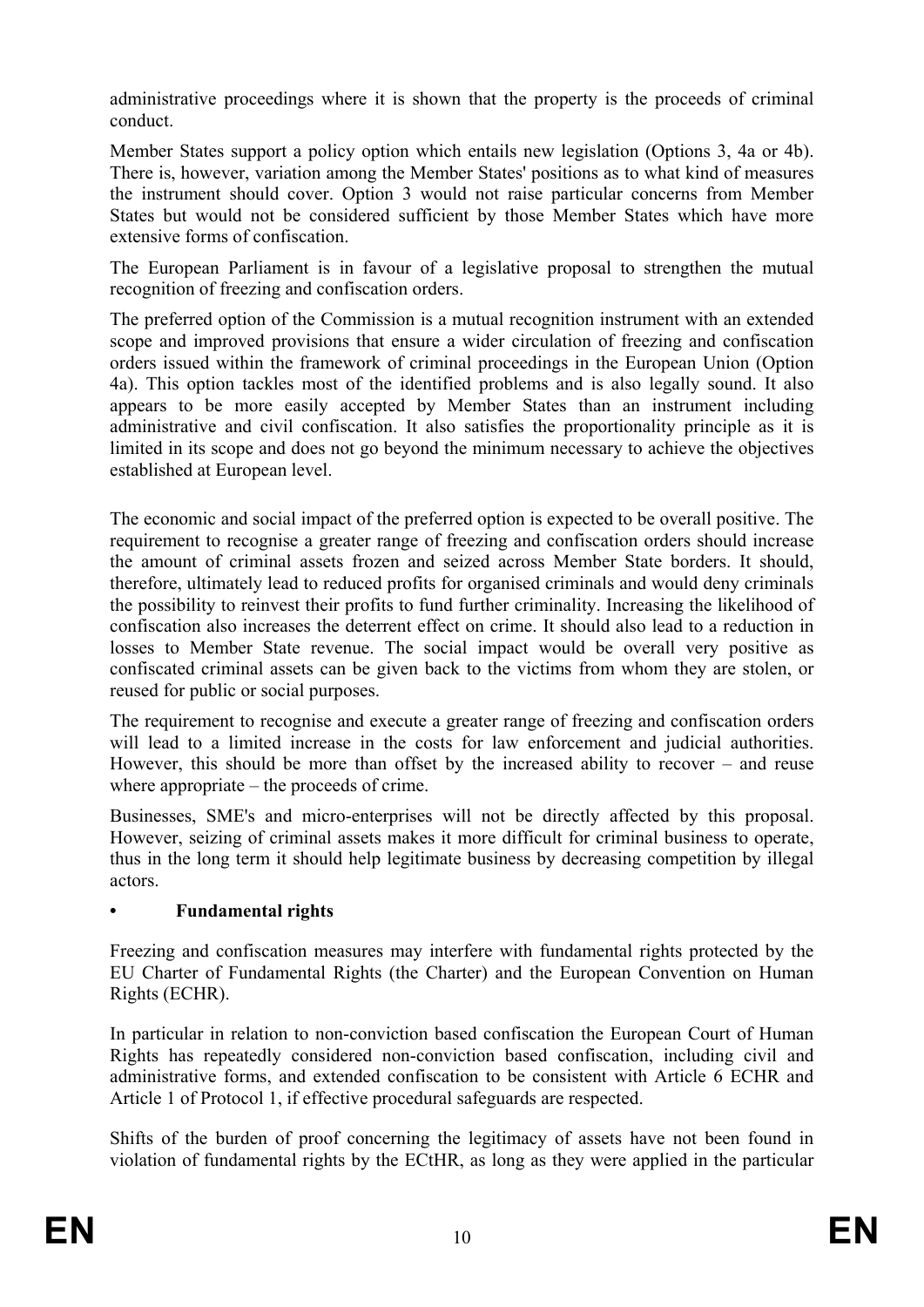administrative proceedings where it is shown that the property is the proceeds of criminal conduct.

Member States support a policy option which entails new legislation (Options 3, 4a or 4b). There is, however, variation among the Member States' positions as to what kind of measures the instrument should cover. Option 3 would not raise particular concerns from Member States but would not be considered sufficient by those Member States which have more extensive forms of confiscation.

The European Parliament is in favour of a legislative proposal to strengthen the mutual recognition of freezing and confiscation orders.

The preferred option of the Commission is a mutual recognition instrument with an extended scope and improved provisions that ensure a wider circulation of freezing and confiscation orders issued within the framework of criminal proceedings in the European Union (Option 4a). This option tackles most of the identified problems and is also legally sound. It also appears to be more easily accepted by Member States than an instrument including administrative and civil confiscation. It also satisfies the proportionality principle as it is limited in its scope and does not go beyond the minimum necessary to achieve the objectives established at European level.

The economic and social impact of the preferred option is expected to be overall positive. The requirement to recognise a greater range of freezing and confiscation orders should increase the amount of criminal assets frozen and seized across Member State borders. It should, therefore, ultimately lead to reduced profits for organised criminals and would deny criminals the possibility to reinvest their profits to fund further criminality. Increasing the likelihood of confiscation also increases the deterrent effect on crime. It should also lead to a reduction in losses to Member State revenue. The social impact would be overall very positive as confiscated criminal assets can be given back to the victims from whom they are stolen, or reused for public or social purposes.

The requirement to recognise and execute a greater range of freezing and confiscation orders will lead to a limited increase in the costs for law enforcement and judicial authorities. However, this should be more than offset by the increased ability to recover – and reuse where appropriate – the proceeds of crime.

Businesses, SME's and micro-enterprises will not be directly affected by this proposal. However, seizing of criminal assets makes it more difficult for criminal business to operate, thus in the long term it should help legitimate business by decreasing competition by illegal actors.

## **• Fundamental rights**

Freezing and confiscation measures may interfere with fundamental rights protected by the EU Charter of Fundamental Rights (the Charter) and the European Convention on Human Rights (ECHR).

In particular in relation to non-conviction based confiscation the European Court of Human Rights has repeatedly considered non-conviction based confiscation, including civil and administrative forms, and extended confiscation to be consistent with Article 6 ECHR and Article 1 of Protocol 1, if effective procedural safeguards are respected.

Shifts of the burden of proof concerning the legitimacy of assets have not been found in violation of fundamental rights by the ECtHR, as long as they were applied in the particular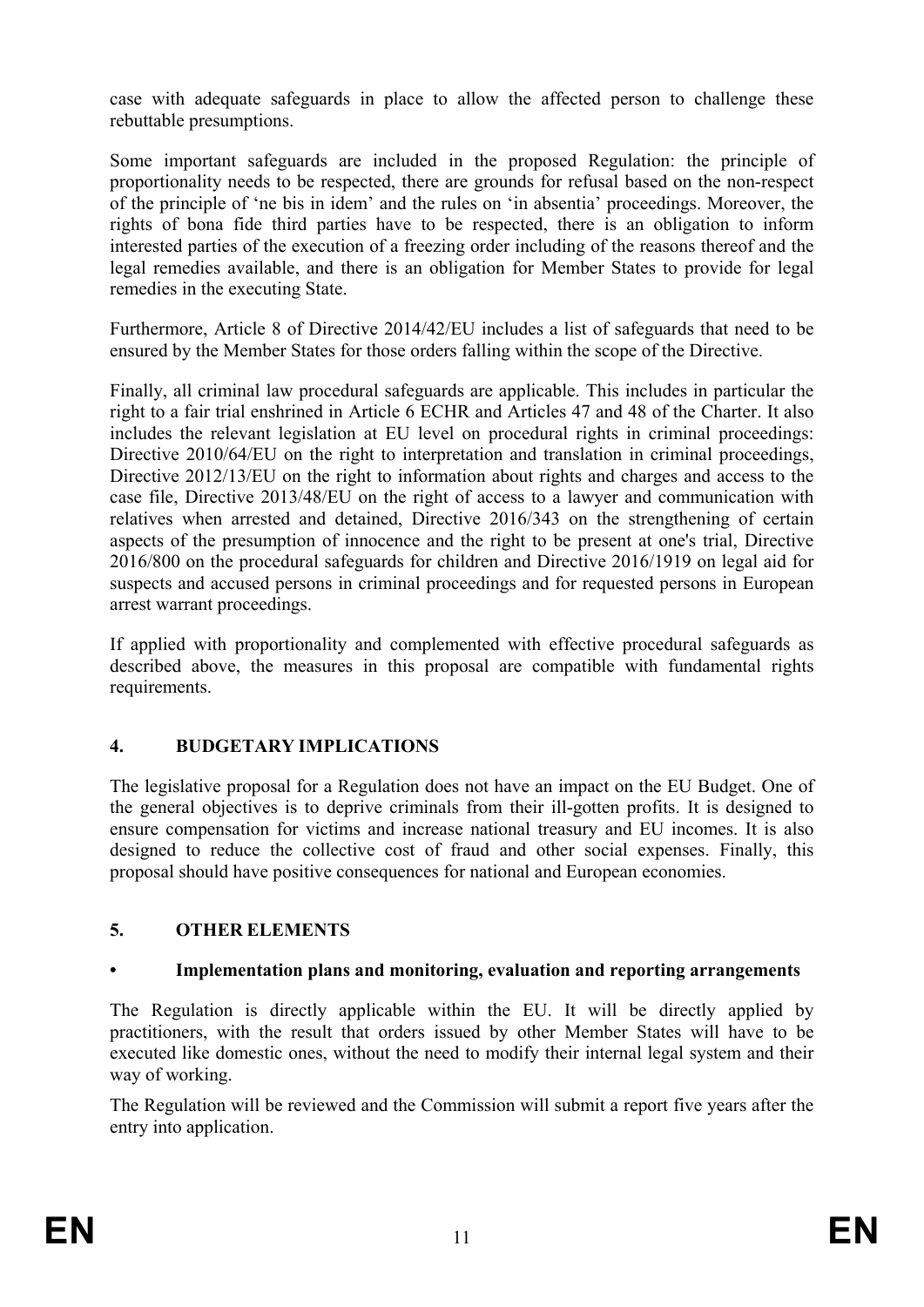case with adequate safeguards in place to allow the affected person to challenge these rebuttable presumptions.

Some important safeguards are included in the proposed Regulation: the principle of proportionality needs to be respected, there are grounds for refusal based on the non-respect of the principle of 'ne bis in idem' and the rules on 'in absentia' proceedings. Moreover, the rights of bona fide third parties have to be respected, there is an obligation to inform interested parties of the execution of a freezing order including of the reasons thereof and the legal remedies available, and there is an obligation for Member States to provide for legal remedies in the executing State.

Furthermore, Article 8 of Directive 2014/42/EU includes a list of safeguards that need to be ensured by the Member States for those orders falling within the scope of the Directive.

Finally, all criminal law procedural safeguards are applicable. This includes in particular the right to a fair trial enshrined in Article 6 ECHR and Articles 47 and 48 of the Charter. It also includes the relevant legislation at EU level on procedural rights in criminal proceedings: Directive 2010/64/EU on the right to interpretation and translation in criminal proceedings, Directive 2012/13/EU on the right to information about rights and charges and access to the case file, Directive 2013/48/EU on the right of access to a lawyer and communication with relatives when arrested and detained, Directive 2016/343 on the strengthening of certain aspects of the presumption of innocence and the right to be present at one's trial, Directive 2016/800 on the procedural safeguards for children and Directive 2016/1919 on legal aid for suspects and accused persons in criminal proceedings and for requested persons in European arrest warrant proceedings.

If applied with proportionality and complemented with effective procedural safeguards as described above, the measures in this proposal are compatible with fundamental rights requirements.

# **4. BUDGETARY IMPLICATIONS**

The legislative proposal for a Regulation does not have an impact on the EU Budget. One of the general objectives is to deprive criminals from their ill-gotten profits. It is designed to ensure compensation for victims and increase national treasury and EU incomes. It is also designed to reduce the collective cost of fraud and other social expenses. Finally, this proposal should have positive consequences for national and European economies.

# **5. OTHER ELEMENTS**

# **• Implementation plans and monitoring, evaluation and reporting arrangements**

The Regulation is directly applicable within the EU. It will be directly applied by practitioners, with the result that orders issued by other Member States will have to be executed like domestic ones, without the need to modify their internal legal system and their way of working.

The Regulation will be reviewed and the Commission will submit a report five years after the entry into application.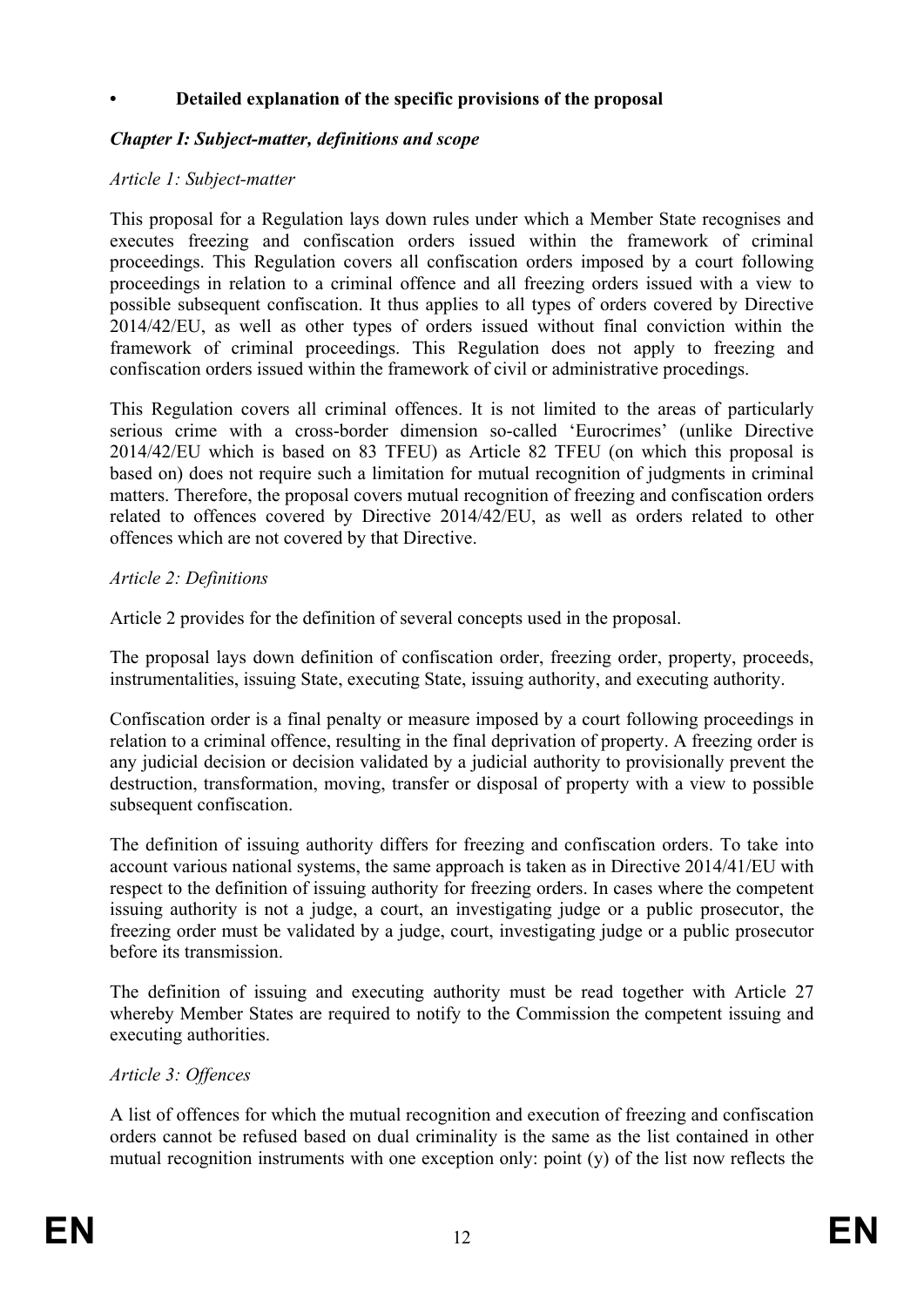## **• Detailed explanation of the specific provisions of the proposal**

## *Chapter I: Subject-matter, definitions and scope*

#### *Article 1: Subject-matter*

This proposal for a Regulation lays down rules under which a Member State recognises and executes freezing and confiscation orders issued within the framework of criminal proceedings. This Regulation covers all confiscation orders imposed by a court following proceedings in relation to a criminal offence and all freezing orders issued with a view to possible subsequent confiscation. It thus applies to all types of orders covered by Directive 2014/42/EU, as well as other types of orders issued without final conviction within the framework of criminal proceedings. This Regulation does not apply to freezing and confiscation orders issued within the framework of civil or administrative procedings.

This Regulation covers all criminal offences. It is not limited to the areas of particularly serious crime with a cross-border dimension so-called 'Eurocrimes' (unlike Directive 2014/42/EU which is based on 83 TFEU) as Article 82 TFEU (on which this proposal is based on) does not require such a limitation for mutual recognition of judgments in criminal matters. Therefore, the proposal covers mutual recognition of freezing and confiscation orders related to offences covered by Directive 2014/42/EU, as well as orders related to other offences which are not covered by that Directive.

#### *Article 2: Definitions*

Article 2 provides for the definition of several concepts used in the proposal.

The proposal lays down definition of confiscation order, freezing order, property, proceeds, instrumentalities, issuing State, executing State, issuing authority, and executing authority.

Confiscation order is a final penalty or measure imposed by a court following proceedings in relation to a criminal offence, resulting in the final deprivation of property. A freezing order is any judicial decision or decision validated by a judicial authority to provisionally prevent the destruction, transformation, moving, transfer or disposal of property with a view to possible subsequent confiscation.

The definition of issuing authority differs for freezing and confiscation orders. To take into account various national systems, the same approach is taken as in Directive 2014/41/EU with respect to the definition of issuing authority for freezing orders. In cases where the competent issuing authority is not a judge, a court, an investigating judge or a public prosecutor, the freezing order must be validated by a judge, court, investigating judge or a public prosecutor before its transmission.

The definition of issuing and executing authority must be read together with Article 27 whereby Member States are required to notify to the Commission the competent issuing and executing authorities.

#### *Article 3: Offences*

A list of offences for which the mutual recognition and execution of freezing and confiscation orders cannot be refused based on dual criminality is the same as the list contained in other mutual recognition instruments with one exception only: point (y) of the list now reflects the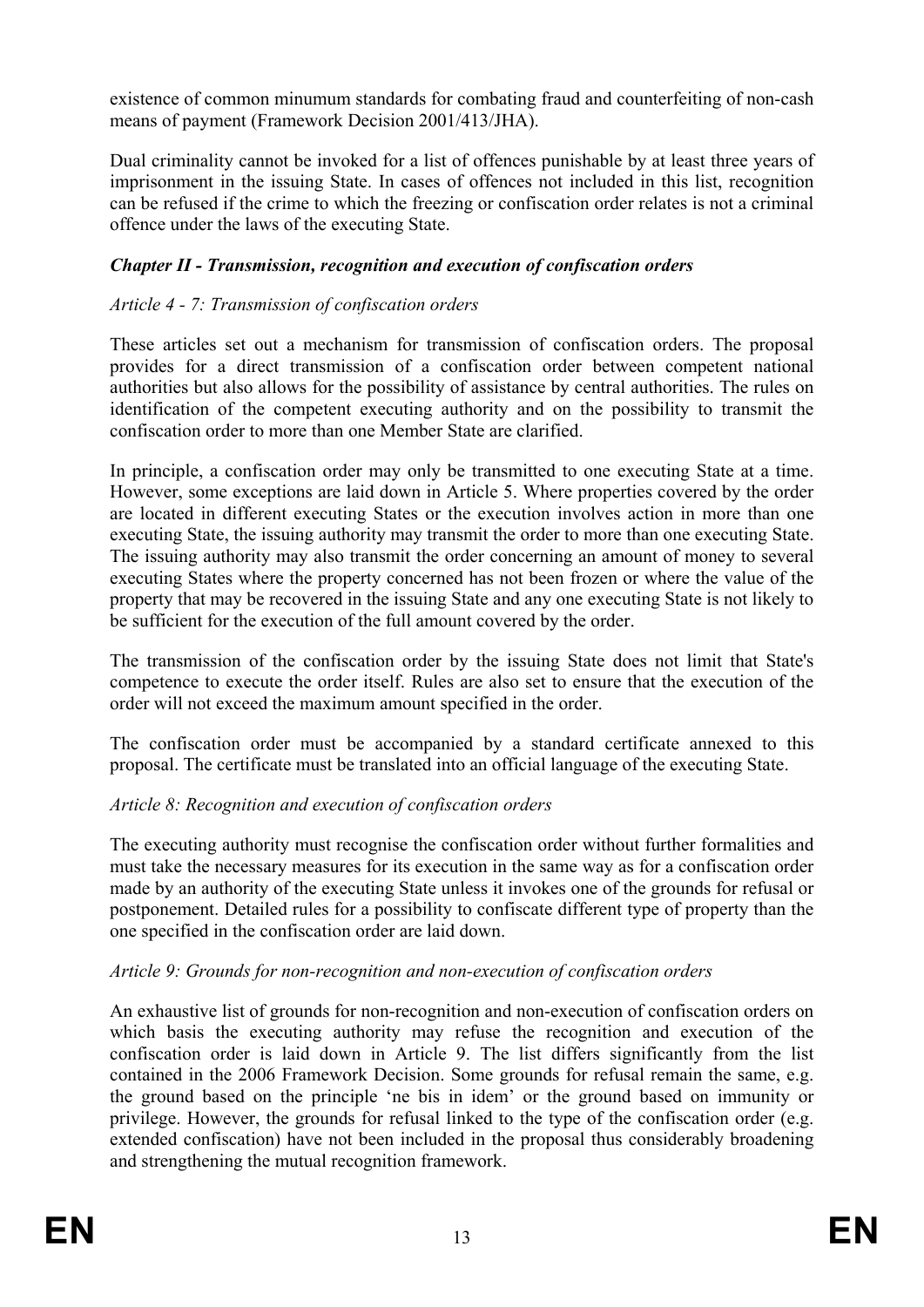existence of common minumum standards for combating fraud and counterfeiting of non-cash means of payment (Framework Decision 2001/413/JHA).

Dual criminality cannot be invoked for a list of offences punishable by at least three years of imprisonment in the issuing State. In cases of offences not included in this list, recognition can be refused if the crime to which the freezing or confiscation order relates is not a criminal offence under the laws of the executing State.

# *Chapter II - Transmission, recognition and execution of confiscation orders*

# *Article 4 - 7: Transmission of confiscation orders*

These articles set out a mechanism for transmission of confiscation orders. The proposal provides for a direct transmission of a confiscation order between competent national authorities but also allows for the possibility of assistance by central authorities. The rules on identification of the competent executing authority and on the possibility to transmit the confiscation order to more than one Member State are clarified.

In principle, a confiscation order may only be transmitted to one executing State at a time. However, some exceptions are laid down in Article 5. Where properties covered by the order are located in different executing States or the execution involves action in more than one executing State, the issuing authority may transmit the order to more than one executing State. The issuing authority may also transmit the order concerning an amount of money to several executing States where the property concerned has not been frozen or where the value of the property that may be recovered in the issuing State and any one executing State is not likely to be sufficient for the execution of the full amount covered by the order.

The transmission of the confiscation order by the issuing State does not limit that State's competence to execute the order itself. Rules are also set to ensure that the execution of the order will not exceed the maximum amount specified in the order.

The confiscation order must be accompanied by a standard certificate annexed to this proposal. The certificate must be translated into an official language of the executing State.

## *Article 8: Recognition and execution of confiscation orders*

The executing authority must recognise the confiscation order without further formalities and must take the necessary measures for its execution in the same way as for a confiscation order made by an authority of the executing State unless it invokes one of the grounds for refusal or postponement. Detailed rules for a possibility to confiscate different type of property than the one specified in the confiscation order are laid down.

## *Article 9: Grounds for non-recognition and non-execution of confiscation orders*

An exhaustive list of grounds for non-recognition and non-execution of confiscation orders on which basis the executing authority may refuse the recognition and execution of the confiscation order is laid down in Article 9. The list differs significantly from the list contained in the 2006 Framework Decision. Some grounds for refusal remain the same, e.g. the ground based on the principle 'ne bis in idem' or the ground based on immunity or privilege. However, the grounds for refusal linked to the type of the confiscation order (e.g. extended confiscation) have not been included in the proposal thus considerably broadening and strengthening the mutual recognition framework.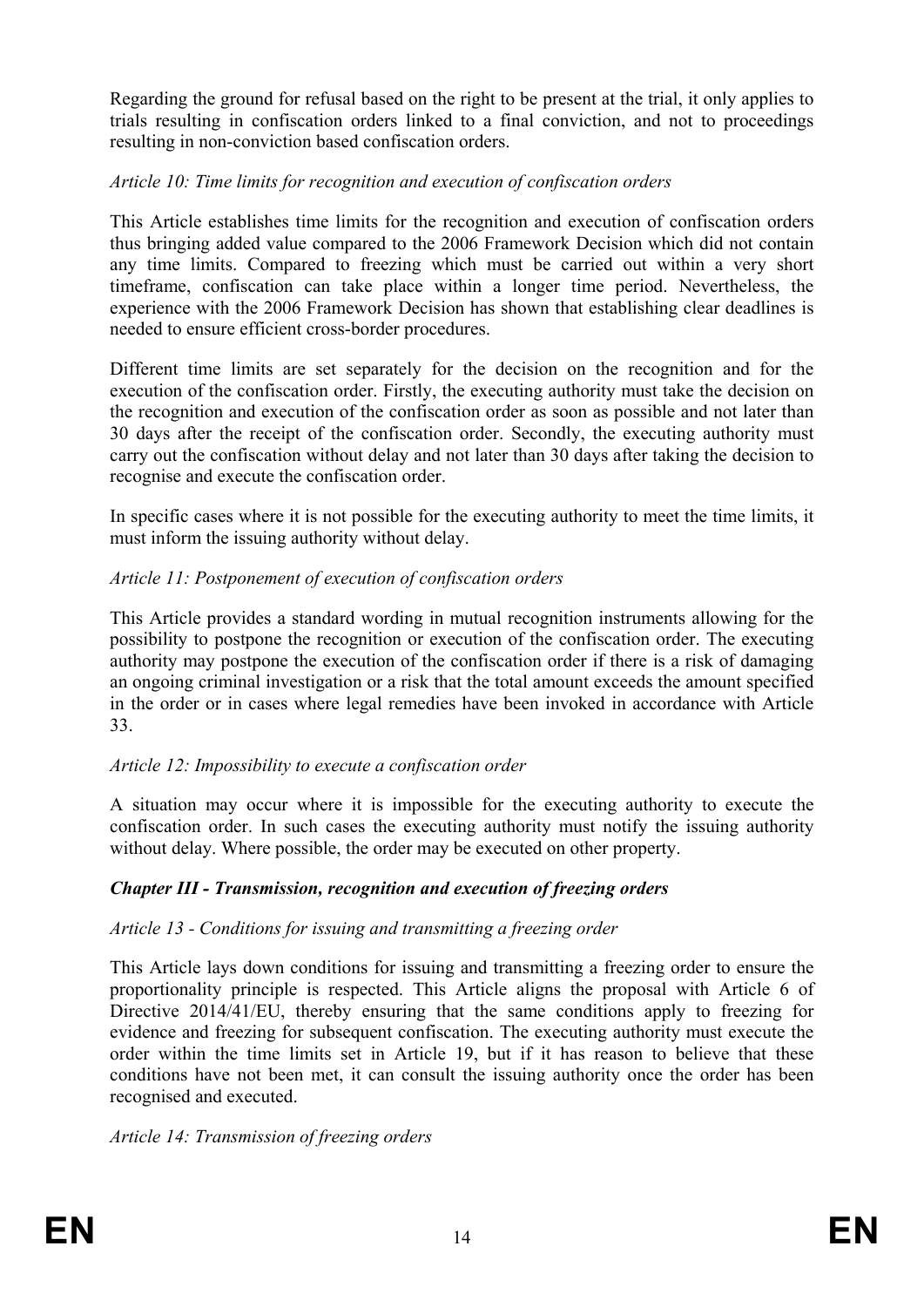Regarding the ground for refusal based on the right to be present at the trial, it only applies to trials resulting in confiscation orders linked to a final conviction, and not to proceedings resulting in non-conviction based confiscation orders.

## *Article 10: Time limits for recognition and execution of confiscation orders*

This Article establishes time limits for the recognition and execution of confiscation orders thus bringing added value compared to the 2006 Framework Decision which did not contain any time limits. Compared to freezing which must be carried out within a very short timeframe, confiscation can take place within a longer time period. Nevertheless, the experience with the 2006 Framework Decision has shown that establishing clear deadlines is needed to ensure efficient cross-border procedures.

Different time limits are set separately for the decision on the recognition and for the execution of the confiscation order. Firstly, the executing authority must take the decision on the recognition and execution of the confiscation order as soon as possible and not later than 30 days after the receipt of the confiscation order. Secondly, the executing authority must carry out the confiscation without delay and not later than 30 days after taking the decision to recognise and execute the confiscation order.

In specific cases where it is not possible for the executing authority to meet the time limits, it must inform the issuing authority without delay.

# *Article 11: Postponement of execution of confiscation orders*

This Article provides a standard wording in mutual recognition instruments allowing for the possibility to postpone the recognition or execution of the confiscation order. The executing authority may postpone the execution of the confiscation order if there is a risk of damaging an ongoing criminal investigation or a risk that the total amount exceeds the amount specified in the order or in cases where legal remedies have been invoked in accordance with Article 33.

## *Article 12: Impossibility to execute a confiscation order*

A situation may occur where it is impossible for the executing authority to execute the confiscation order. In such cases the executing authority must notify the issuing authority without delay. Where possible, the order may be executed on other property.

# *Chapter III - Transmission, recognition and execution of freezing orders*

## *Article 13 - Conditions for issuing and transmitting a freezing order*

This Article lays down conditions for issuing and transmitting a freezing order to ensure the proportionality principle is respected. This Article aligns the proposal with Article 6 of Directive 2014/41/EU, thereby ensuring that the same conditions apply to freezing for evidence and freezing for subsequent confiscation. The executing authority must execute the order within the time limits set in Article 19, but if it has reason to believe that these conditions have not been met, it can consult the issuing authority once the order has been recognised and executed.

*Article 14: Transmission of freezing orders*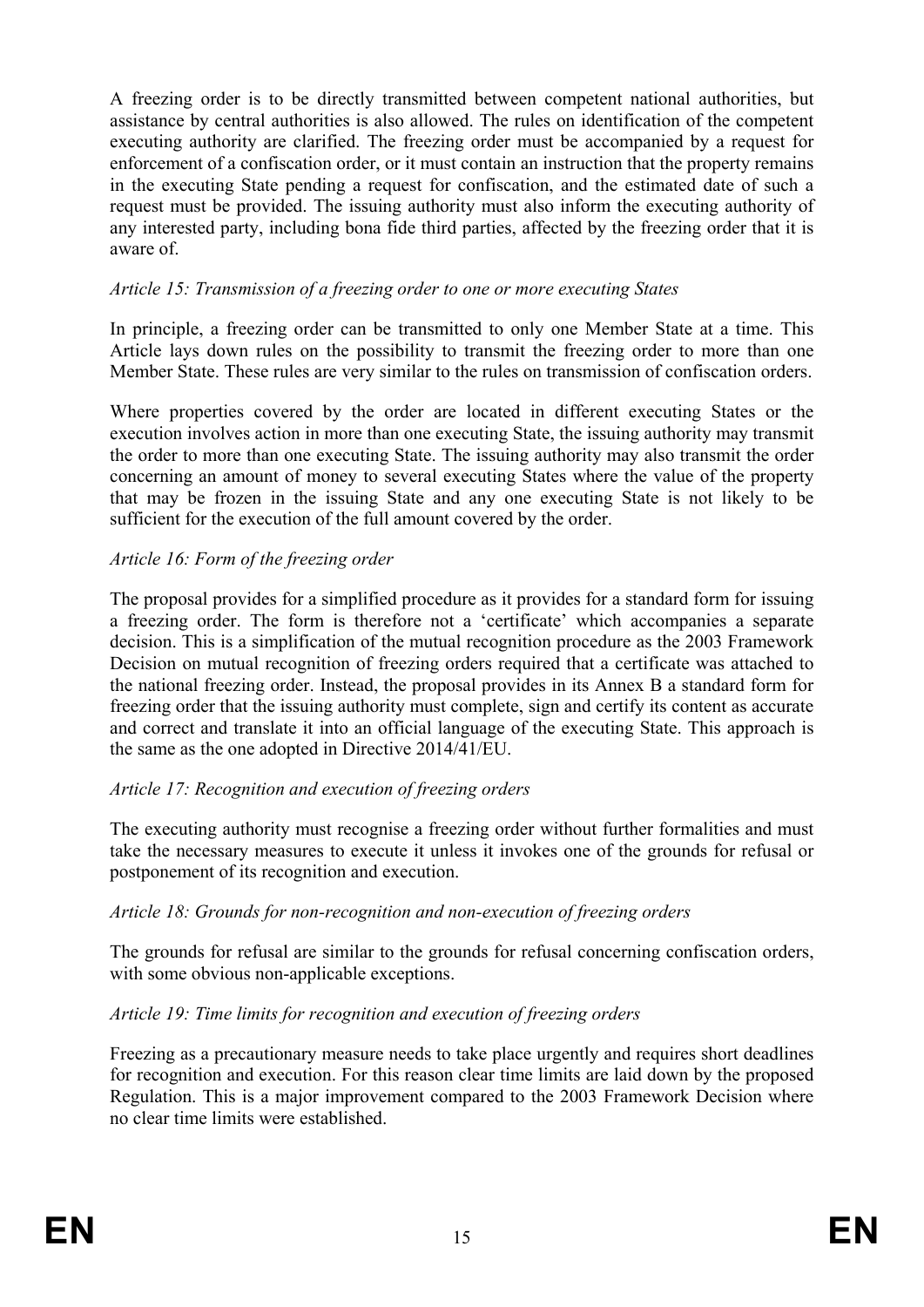A freezing order is to be directly transmitted between competent national authorities, but assistance by central authorities is also allowed. The rules on identification of the competent executing authority are clarified. The freezing order must be accompanied by a request for enforcement of a confiscation order, or it must contain an instruction that the property remains in the executing State pending a request for confiscation, and the estimated date of such a request must be provided. The issuing authority must also inform the executing authority of any interested party, including bona fide third parties, affected by the freezing order that it is aware of.

## *Article 15: Transmission of a freezing order to one or more executing States*

In principle, a freezing order can be transmitted to only one Member State at a time. This Article lays down rules on the possibility to transmit the freezing order to more than one Member State. These rules are very similar to the rules on transmission of confiscation orders.

Where properties covered by the order are located in different executing States or the execution involves action in more than one executing State, the issuing authority may transmit the order to more than one executing State. The issuing authority may also transmit the order concerning an amount of money to several executing States where the value of the property that may be frozen in the issuing State and any one executing State is not likely to be sufficient for the execution of the full amount covered by the order.

## *Article 16: Form of the freezing order*

The proposal provides for a simplified procedure as it provides for a standard form for issuing a freezing order. The form is therefore not a 'certificate' which accompanies a separate decision. This is a simplification of the mutual recognition procedure as the 2003 Framework Decision on mutual recognition of freezing orders required that a certificate was attached to the national freezing order. Instead, the proposal provides in its Annex B a standard form for freezing order that the issuing authority must complete, sign and certify its content as accurate and correct and translate it into an official language of the executing State. This approach is the same as the one adopted in Directive 2014/41/EU.

## *Article 17: Recognition and execution of freezing orders*

The executing authority must recognise a freezing order without further formalities and must take the necessary measures to execute it unless it invokes one of the grounds for refusal or postponement of its recognition and execution.

## *Article 18: Grounds for non-recognition and non-execution of freezing orders*

The grounds for refusal are similar to the grounds for refusal concerning confiscation orders, with some obvious non-applicable exceptions.

# *Article 19: Time limits for recognition and execution of freezing orders*

Freezing as a precautionary measure needs to take place urgently and requires short deadlines for recognition and execution. For this reason clear time limits are laid down by the proposed Regulation. This is a major improvement compared to the 2003 Framework Decision where no clear time limits were established.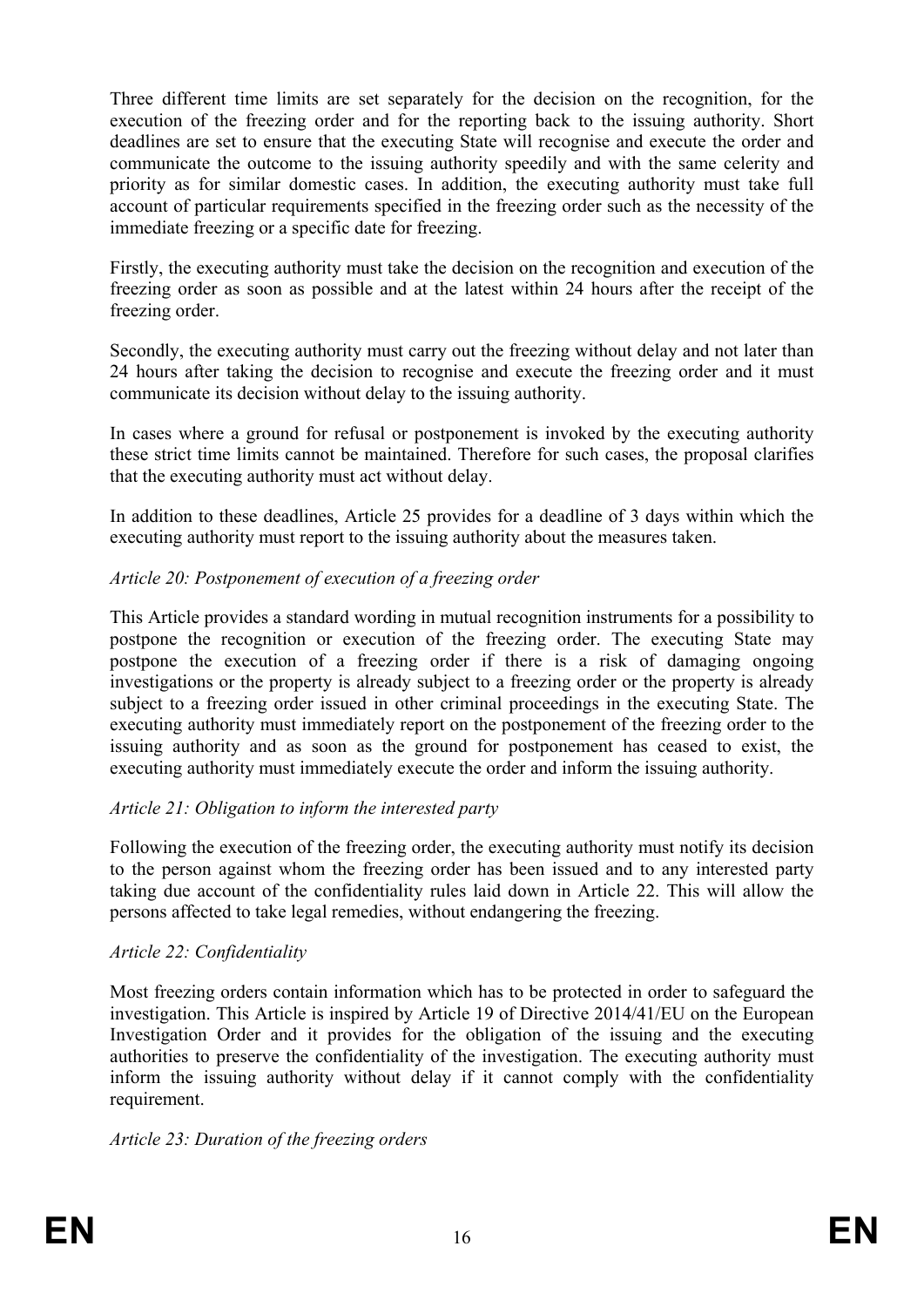Three different time limits are set separately for the decision on the recognition, for the execution of the freezing order and for the reporting back to the issuing authority. Short deadlines are set to ensure that the executing State will recognise and execute the order and communicate the outcome to the issuing authority speedily and with the same celerity and priority as for similar domestic cases. In addition, the executing authority must take full account of particular requirements specified in the freezing order such as the necessity of the immediate freezing or a specific date for freezing.

Firstly, the executing authority must take the decision on the recognition and execution of the freezing order as soon as possible and at the latest within 24 hours after the receipt of the freezing order.

Secondly, the executing authority must carry out the freezing without delay and not later than 24 hours after taking the decision to recognise and execute the freezing order and it must communicate its decision without delay to the issuing authority.

In cases where a ground for refusal or postponement is invoked by the executing authority these strict time limits cannot be maintained. Therefore for such cases, the proposal clarifies that the executing authority must act without delay.

In addition to these deadlines, Article 25 provides for a deadline of 3 days within which the executing authority must report to the issuing authority about the measures taken.

### *Article 20: Postponement of execution of a freezing order*

This Article provides a standard wording in mutual recognition instruments for a possibility to postpone the recognition or execution of the freezing order. The executing State may postpone the execution of a freezing order if there is a risk of damaging ongoing investigations or the property is already subject to a freezing order or the property is already subject to a freezing order issued in other criminal proceedings in the executing State. The executing authority must immediately report on the postponement of the freezing order to the issuing authority and as soon as the ground for postponement has ceased to exist, the executing authority must immediately execute the order and inform the issuing authority.

## *Article 21: Obligation to inform the interested party*

Following the execution of the freezing order, the executing authority must notify its decision to the person against whom the freezing order has been issued and to any interested party taking due account of the confidentiality rules laid down in Article 22. This will allow the persons affected to take legal remedies, without endangering the freezing.

#### *Article 22: Confidentiality*

Most freezing orders contain information which has to be protected in order to safeguard the investigation. This Article is inspired by Article 19 of Directive 2014/41/EU on the European Investigation Order and it provides for the obligation of the issuing and the executing authorities to preserve the confidentiality of the investigation. The executing authority must inform the issuing authority without delay if it cannot comply with the confidentiality requirement.

#### *Article 23: Duration of the freezing orders*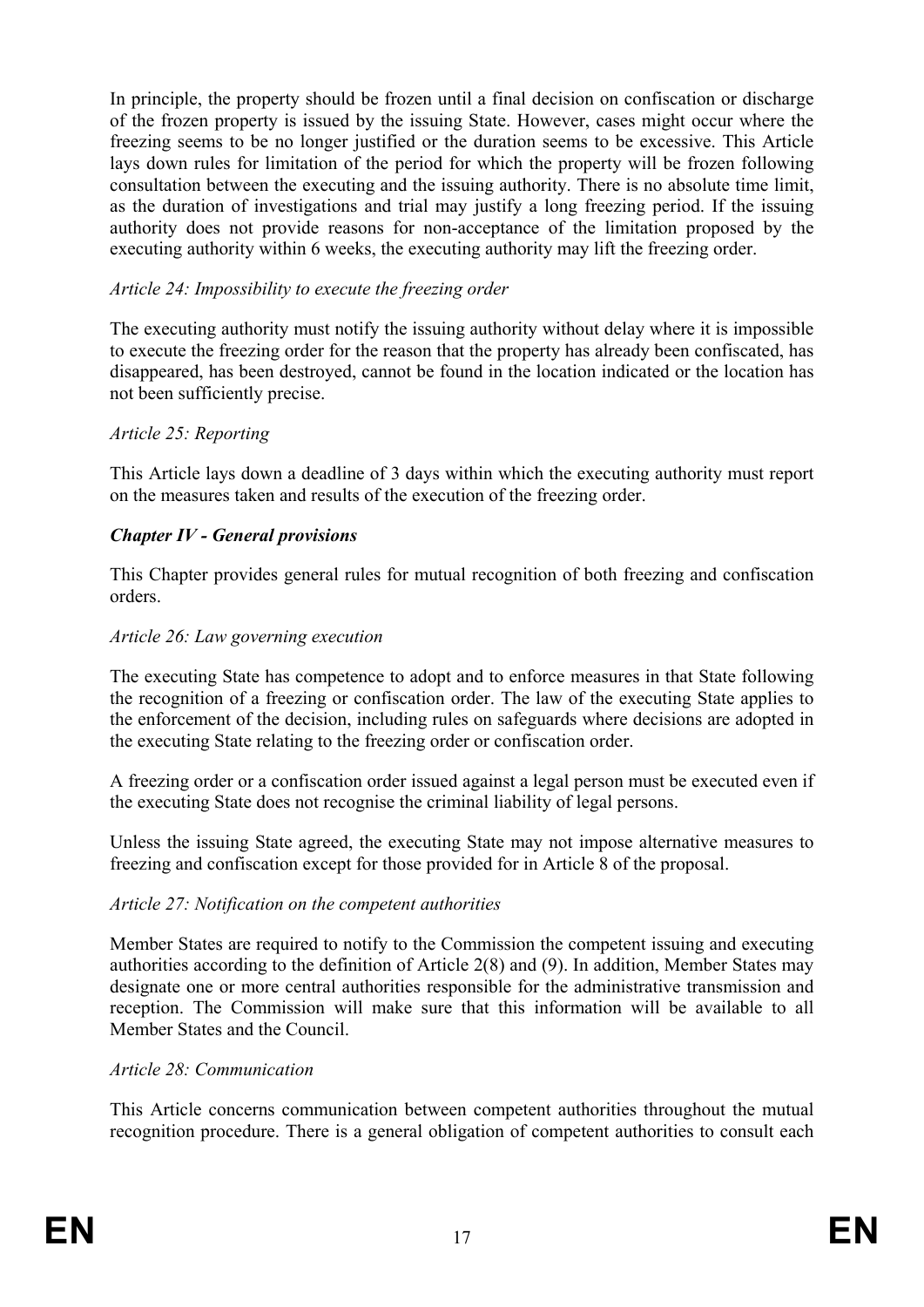In principle, the property should be frozen until a final decision on confiscation or discharge of the frozen property is issued by the issuing State. However, cases might occur where the freezing seems to be no longer justified or the duration seems to be excessive. This Article lays down rules for limitation of the period for which the property will be frozen following consultation between the executing and the issuing authority. There is no absolute time limit, as the duration of investigations and trial may justify a long freezing period. If the issuing authority does not provide reasons for non-acceptance of the limitation proposed by the executing authority within 6 weeks, the executing authority may lift the freezing order.

### *Article 24: Impossibility to execute the freezing order*

The executing authority must notify the issuing authority without delay where it is impossible to execute the freezing order for the reason that the property has already been confiscated, has disappeared, has been destroyed, cannot be found in the location indicated or the location has not been sufficiently precise.

#### *Article 25: Reporting*

This Article lays down a deadline of 3 days within which the executing authority must report on the measures taken and results of the execution of the freezing order.

#### *Chapter IV - General provisions*

This Chapter provides general rules for mutual recognition of both freezing and confiscation orders.

#### *Article 26: Law governing execution*

The executing State has competence to adopt and to enforce measures in that State following the recognition of a freezing or confiscation order. The law of the executing State applies to the enforcement of the decision, including rules on safeguards where decisions are adopted in the executing State relating to the freezing order or confiscation order.

A freezing order or a confiscation order issued against a legal person must be executed even if the executing State does not recognise the criminal liability of legal persons.

Unless the issuing State agreed, the executing State may not impose alternative measures to freezing and confiscation except for those provided for in Article 8 of the proposal.

#### *Article 27: Notification on the competent authorities*

Member States are required to notify to the Commission the competent issuing and executing authorities according to the definition of Article 2(8) and (9). In addition, Member States may designate one or more central authorities responsible for the administrative transmission and reception. The Commission will make sure that this information will be available to all Member States and the Council.

#### *Article 28: Communication*

This Article concerns communication between competent authorities throughout the mutual recognition procedure. There is a general obligation of competent authorities to consult each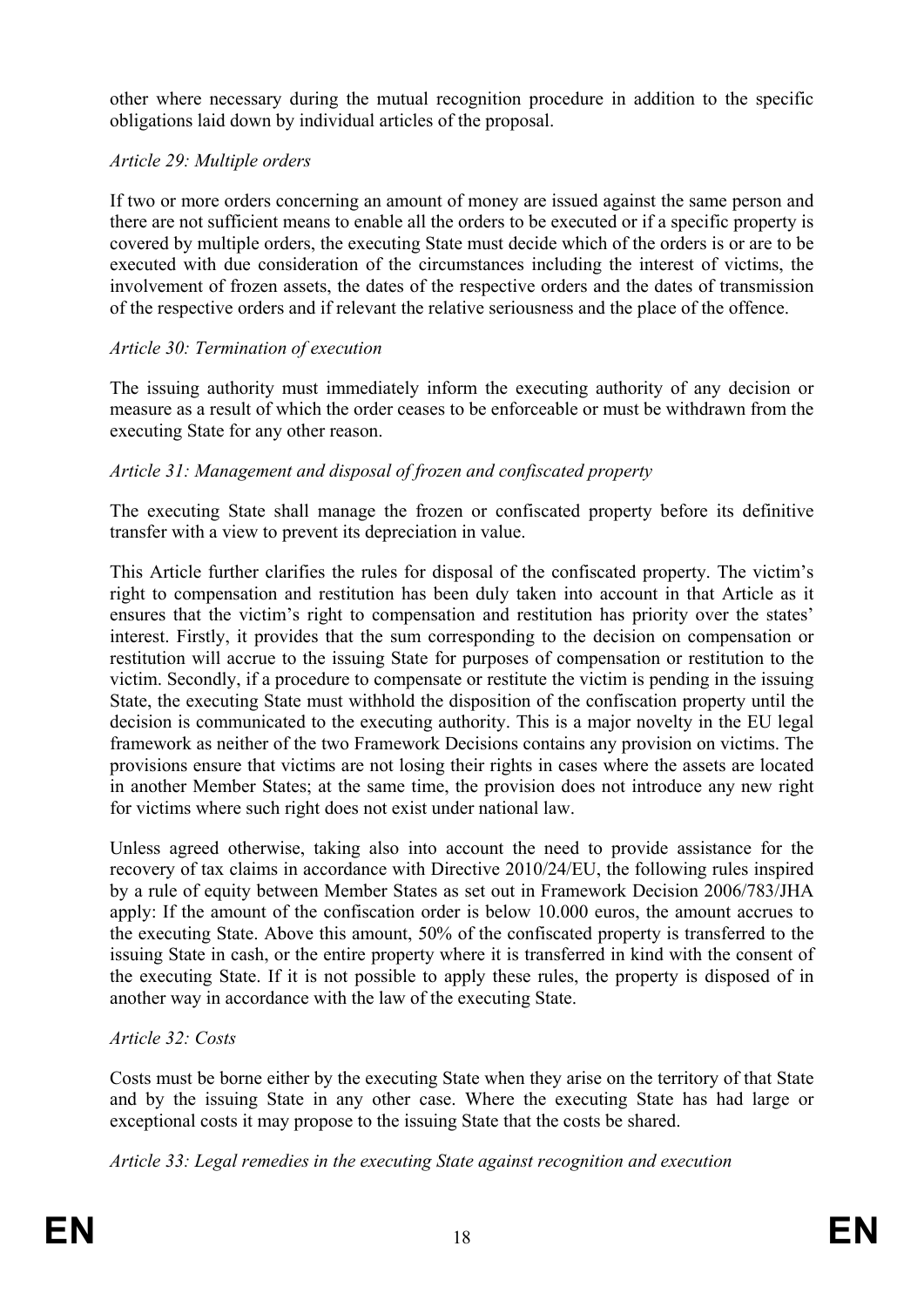other where necessary during the mutual recognition procedure in addition to the specific obligations laid down by individual articles of the proposal.

# *Article 29: Multiple orders*

If two or more orders concerning an amount of money are issued against the same person and there are not sufficient means to enable all the orders to be executed or if a specific property is covered by multiple orders, the executing State must decide which of the orders is or are to be executed with due consideration of the circumstances including the interest of victims, the involvement of frozen assets, the dates of the respective orders and the dates of transmission of the respective orders and if relevant the relative seriousness and the place of the offence.

# *Article 30: Termination of execution*

The issuing authority must immediately inform the executing authority of any decision or measure as a result of which the order ceases to be enforceable or must be withdrawn from the executing State for any other reason.

# *Article 31: Management and disposal of frozen and confiscated property*

The executing State shall manage the frozen or confiscated property before its definitive transfer with a view to prevent its depreciation in value.

This Article further clarifies the rules for disposal of the confiscated property. The victim's right to compensation and restitution has been duly taken into account in that Article as it ensures that the victim's right to compensation and restitution has priority over the states' interest. Firstly, it provides that the sum corresponding to the decision on compensation or restitution will accrue to the issuing State for purposes of compensation or restitution to the victim. Secondly, if a procedure to compensate or restitute the victim is pending in the issuing State, the executing State must withhold the disposition of the confiscation property until the decision is communicated to the executing authority. This is a major novelty in the EU legal framework as neither of the two Framework Decisions contains any provision on victims. The provisions ensure that victims are not losing their rights in cases where the assets are located in another Member States; at the same time, the provision does not introduce any new right for victims where such right does not exist under national law.

Unless agreed otherwise, taking also into account the need to provide assistance for the recovery of tax claims in accordance with Directive 2010/24/EU, the following rules inspired by a rule of equity between Member States as set out in Framework Decision 2006/783/JHA apply: If the amount of the confiscation order is below 10.000 euros, the amount accrues to the executing State. Above this amount, 50% of the confiscated property is transferred to the issuing State in cash, or the entire property where it is transferred in kind with the consent of the executing State. If it is not possible to apply these rules, the property is disposed of in another way in accordance with the law of the executing State.

## *Article 32: Costs*

Costs must be borne either by the executing State when they arise on the territory of that State and by the issuing State in any other case. Where the executing State has had large or exceptional costs it may propose to the issuing State that the costs be shared.

*Article 33: Legal remedies in the executing State against recognition and execution*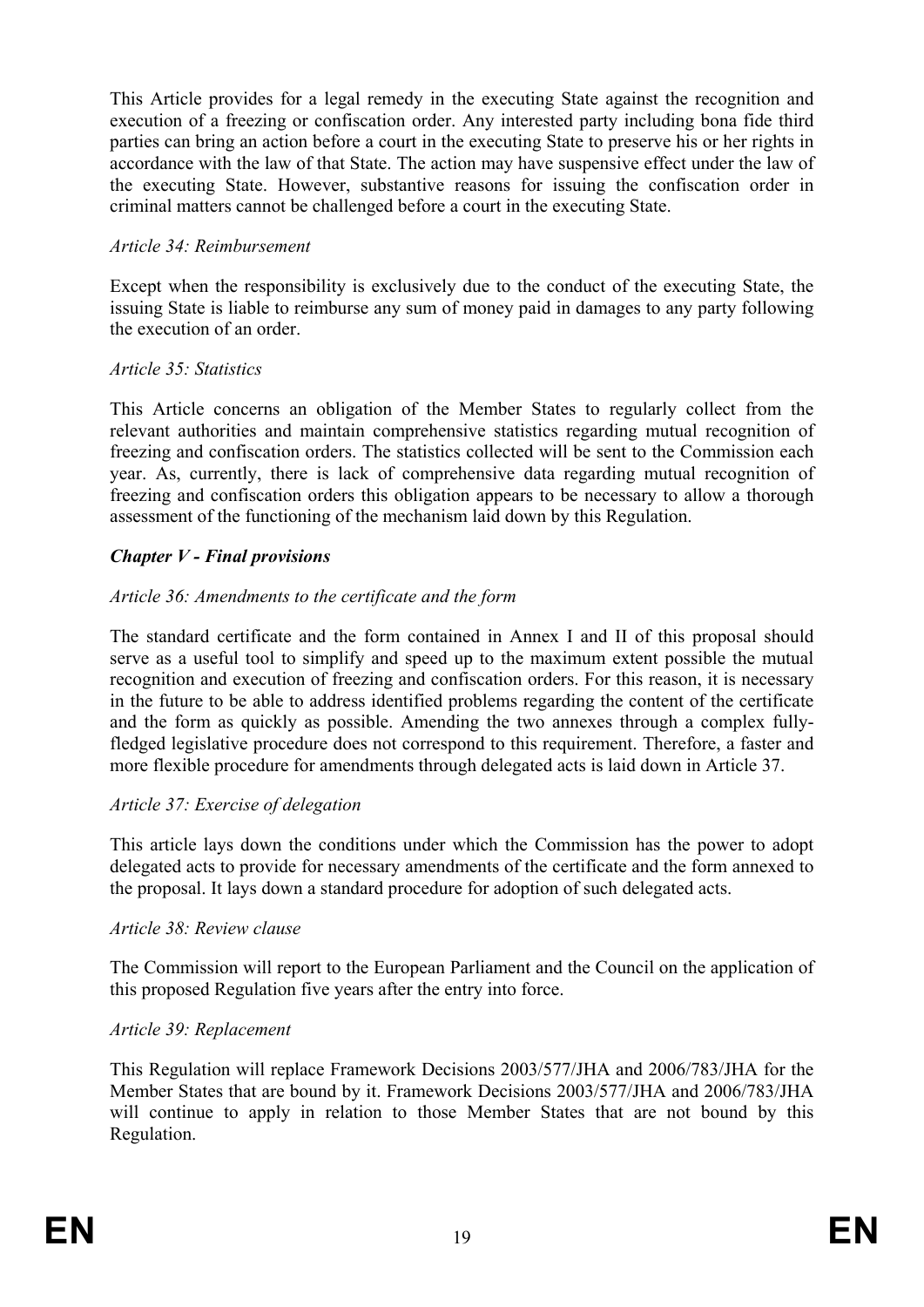This Article provides for a legal remedy in the executing State against the recognition and execution of a freezing or confiscation order. Any interested party including bona fide third parties can bring an action before a court in the executing State to preserve his or her rights in accordance with the law of that State. The action may have suspensive effect under the law of the executing State. However, substantive reasons for issuing the confiscation order in criminal matters cannot be challenged before a court in the executing State.

## *Article 34: Reimbursement*

Except when the responsibility is exclusively due to the conduct of the executing State, the issuing State is liable to reimburse any sum of money paid in damages to any party following the execution of an order.

### *Article 35: Statistics*

This Article concerns an obligation of the Member States to regularly collect from the relevant authorities and maintain comprehensive statistics regarding mutual recognition of freezing and confiscation orders. The statistics collected will be sent to the Commission each year. As, currently, there is lack of comprehensive data regarding mutual recognition of freezing and confiscation orders this obligation appears to be necessary to allow a thorough assessment of the functioning of the mechanism laid down by this Regulation.

## *Chapter V - Final provisions*

### *Article 36: Amendments to the certificate and the form*

The standard certificate and the form contained in Annex I and II of this proposal should serve as a useful tool to simplify and speed up to the maximum extent possible the mutual recognition and execution of freezing and confiscation orders. For this reason, it is necessary in the future to be able to address identified problems regarding the content of the certificate and the form as quickly as possible. Amending the two annexes through a complex fullyfledged legislative procedure does not correspond to this requirement. Therefore, a faster and more flexible procedure for amendments through delegated acts is laid down in Article 37.

#### *Article 37: Exercise of delegation*

This article lays down the conditions under which the Commission has the power to adopt delegated acts to provide for necessary amendments of the certificate and the form annexed to the proposal. It lays down a standard procedure for adoption of such delegated acts.

#### *Article 38: Review clause*

The Commission will report to the European Parliament and the Council on the application of this proposed Regulation five years after the entry into force.

#### *Article 39: Replacement*

This Regulation will replace Framework Decisions 2003/577/JHA and 2006/783/JHA for the Member States that are bound by it. Framework Decisions 2003/577/JHA and 2006/783/JHA will continue to apply in relation to those Member States that are not bound by this Regulation.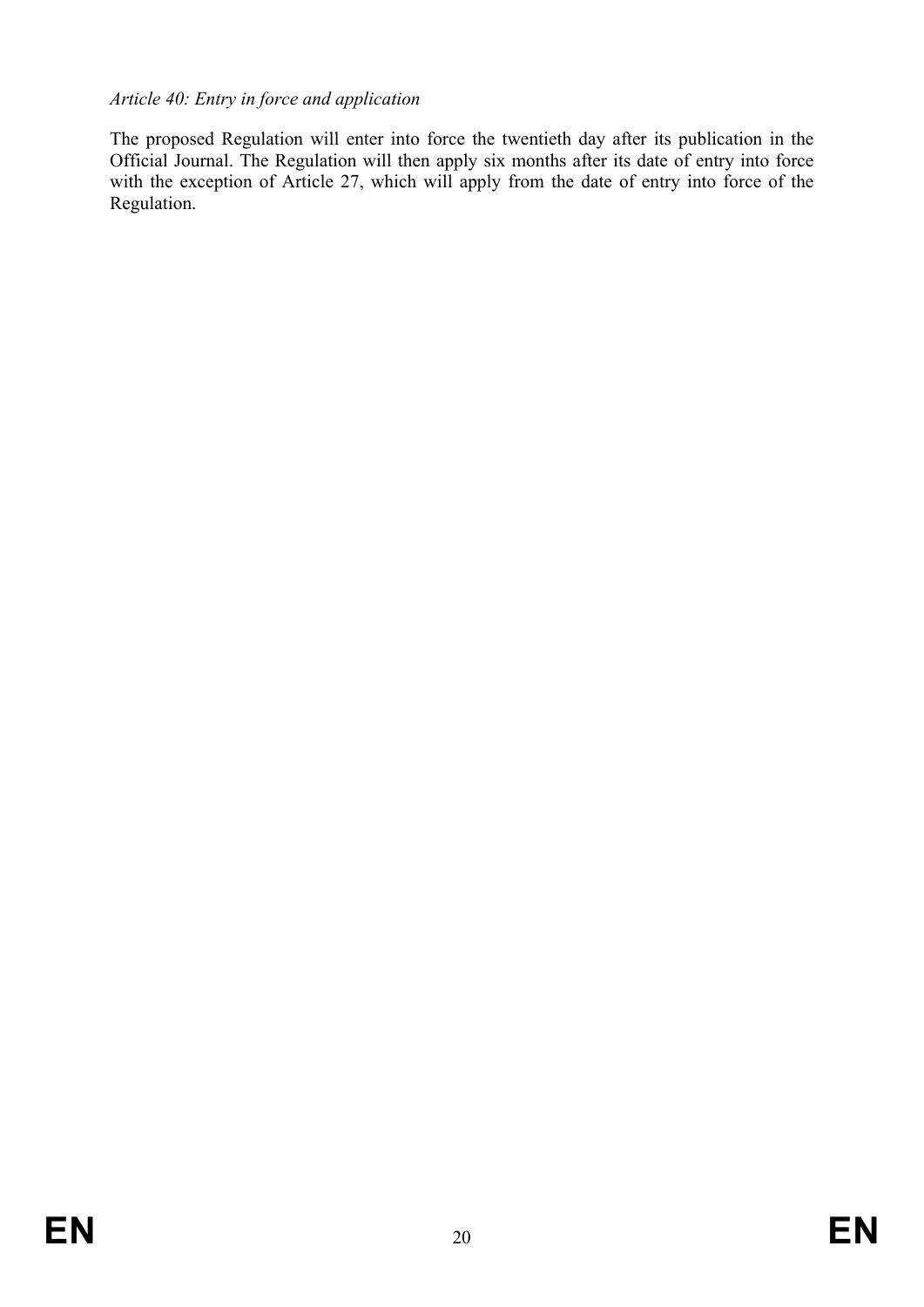# *Article 40: Entry in force and application*

The proposed Regulation will enter into force the twentieth day after its publication in the Official Journal. The Regulation will then apply six months after its date of entry into force with the exception of Article 27, which will apply from the date of entry into force of the Regulation.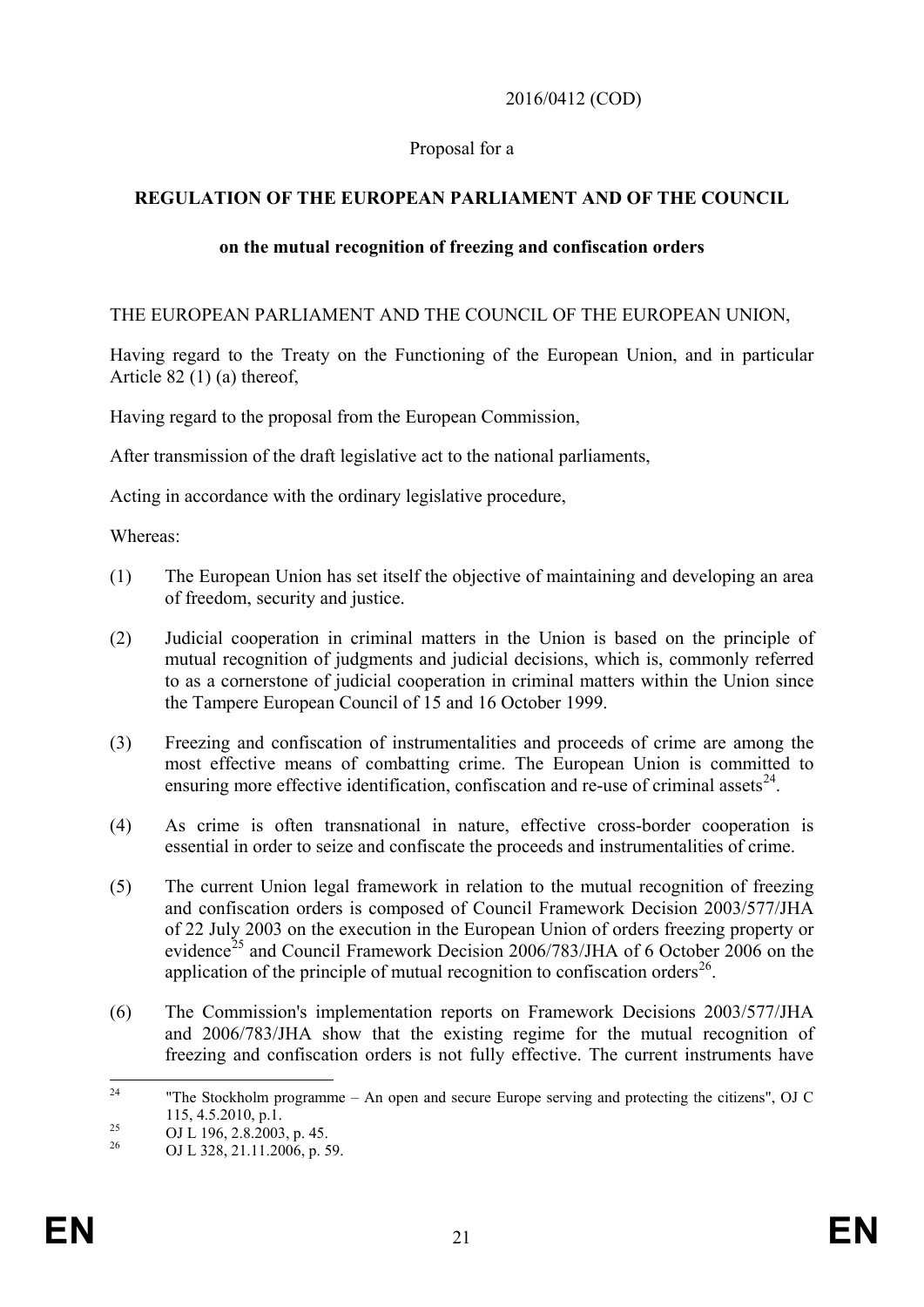## 2016/0412 (COD)

## Proposal for a

# **REGULATION OF THE EUROPEAN PARLIAMENT AND OF THE COUNCIL**

## **on the mutual recognition of freezing and confiscation orders**

THE EUROPEAN PARLIAMENT AND THE COUNCIL OF THE EUROPEAN UNION,

Having regard to the Treaty on the Functioning of the European Union, and in particular Article 82 (1) (a) thereof,

Having regard to the proposal from the European Commission,

After transmission of the draft legislative act to the national parliaments,

Acting in accordance with the ordinary legislative procedure,

Whereas:

- (1) The European Union has set itself the objective of maintaining and developing an area of freedom, security and justice.
- (2) Judicial cooperation in criminal matters in the Union is based on the principle of mutual recognition of judgments and judicial decisions, which is, commonly referred to as a cornerstone of judicial cooperation in criminal matters within the Union since the Tampere European Council of 15 and 16 October 1999.
- (3) Freezing and confiscation of instrumentalities and proceeds of crime are among the most effective means of combatting crime. The European Union is committed to ensuring more effective identification, confiscation and re-use of criminal assets $^{24}$  $^{24}$  $^{24}$ .
- (4) As crime is often transnational in nature, effective cross-border cooperation is essential in order to seize and confiscate the proceeds and instrumentalities of crime.
- (5) The current Union legal framework in relation to the mutual recognition of freezing and confiscation orders is composed of Council Framework Decision 2003/577/JHA of 22 July 2003 on the execution in the European Union of orders freezing property or evidence<sup>[25](#page-21-1)</sup> and Council Framework Decision 2006/783/JHA of 6 October 2006 on the application of the principle of mutual recognition to confiscation orders<sup>26</sup>.
- (6) The Commission's implementation reports on Framework Decisions 2003/577/JHA and 2006/783/JHA show that the existing regime for the mutual recognition of freezing and confiscation orders is not fully effective. The current instruments have

<span id="page-21-0"></span><sup>&</sup>lt;sup>24</sup> "The Stockholm programme – An open and secure Europe serving and protecting the citizens". OJ C 115, 4.5.2010, p.1.<br>
<sup>25</sup> OJ L 196, 2.8.2003, p. 45.<br>
<sup>26</sup> OJ L 328, 21.11.2006, p. 59.

<span id="page-21-2"></span><span id="page-21-1"></span>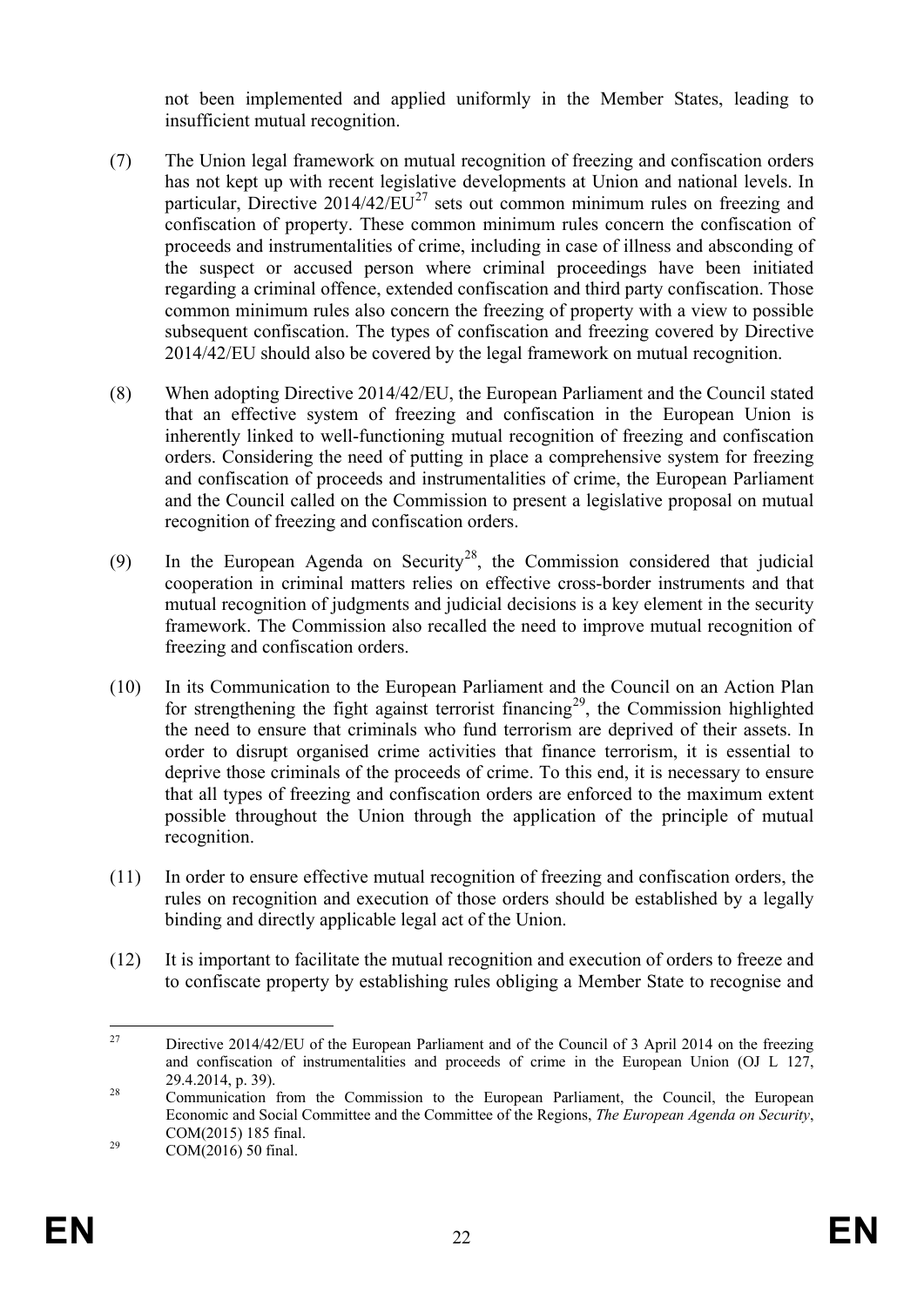not been implemented and applied uniformly in the Member States, leading to insufficient mutual recognition.

- (7) The Union legal framework on mutual recognition of freezing and confiscation orders has not kept up with recent legislative developments at Union and national levels. In particular, Directive  $2014/42/EU^{27}$  $2014/42/EU^{27}$  $2014/42/EU^{27}$  sets out common minimum rules on freezing and confiscation of property. These common minimum rules concern the confiscation of proceeds and instrumentalities of crime, including in case of illness and absconding of the suspect or accused person where criminal proceedings have been initiated regarding a criminal offence, extended confiscation and third party confiscation. Those common minimum rules also concern the freezing of property with a view to possible subsequent confiscation. The types of confiscation and freezing covered by Directive 2014/42/EU should also be covered by the legal framework on mutual recognition.
- (8) When adopting Directive 2014/42/EU, the European Parliament and the Council stated that an effective system of freezing and confiscation in the European Union is inherently linked to well-functioning mutual recognition of freezing and confiscation orders. Considering the need of putting in place a comprehensive system for freezing and confiscation of proceeds and instrumentalities of crime, the European Parliament and the Council called on the Commission to present a legislative proposal on mutual recognition of freezing and confiscation orders.
- (9) In the European Agenda on Security<sup>28</sup>, the Commission considered that judicial cooperation in criminal matters relies on effective cross-border instruments and that mutual recognition of judgments and judicial decisions is a key element in the security framework. The Commission also recalled the need to improve mutual recognition of freezing and confiscation orders.
- (10) In its Communication to the European Parliament and the Council on an Action Plan for strengthening the fight against terrorist financing<sup>[29](#page-22-2)</sup>, the Commission highlighted the need to ensure that criminals who fund terrorism are deprived of their assets. In order to disrupt organised crime activities that finance terrorism, it is essential to deprive those criminals of the proceeds of crime. To this end, it is necessary to ensure that all types of freezing and confiscation orders are enforced to the maximum extent possible throughout the Union through the application of the principle of mutual recognition.
- (11) In order to ensure effective mutual recognition of freezing and confiscation orders, the rules on recognition and execution of those orders should be established by a legally binding and directly applicable legal act of the Union.
- (12) It is important to facilitate the mutual recognition and execution of orders to freeze and to confiscate property by establishing rules obliging a Member State to recognise and

<span id="page-22-0"></span><sup>&</sup>lt;sup>27</sup> Directive 2014/42/EU of the European Parliament and of the Council of 3 April 2014 on the freezing and confiscation of instrumentalities and proceeds of crime in the European Union (OJ L 127, 29.4.2014, p. 39).<br><sup>28</sup> Communication from the Commission to the European Parliament, the Council, the European

<span id="page-22-1"></span>Economic and Social Committee and the Committee of the Regions, *The European Agenda on Security*, COM(2015) 185 final.<br>
COM(2016) 50 final.

<span id="page-22-2"></span>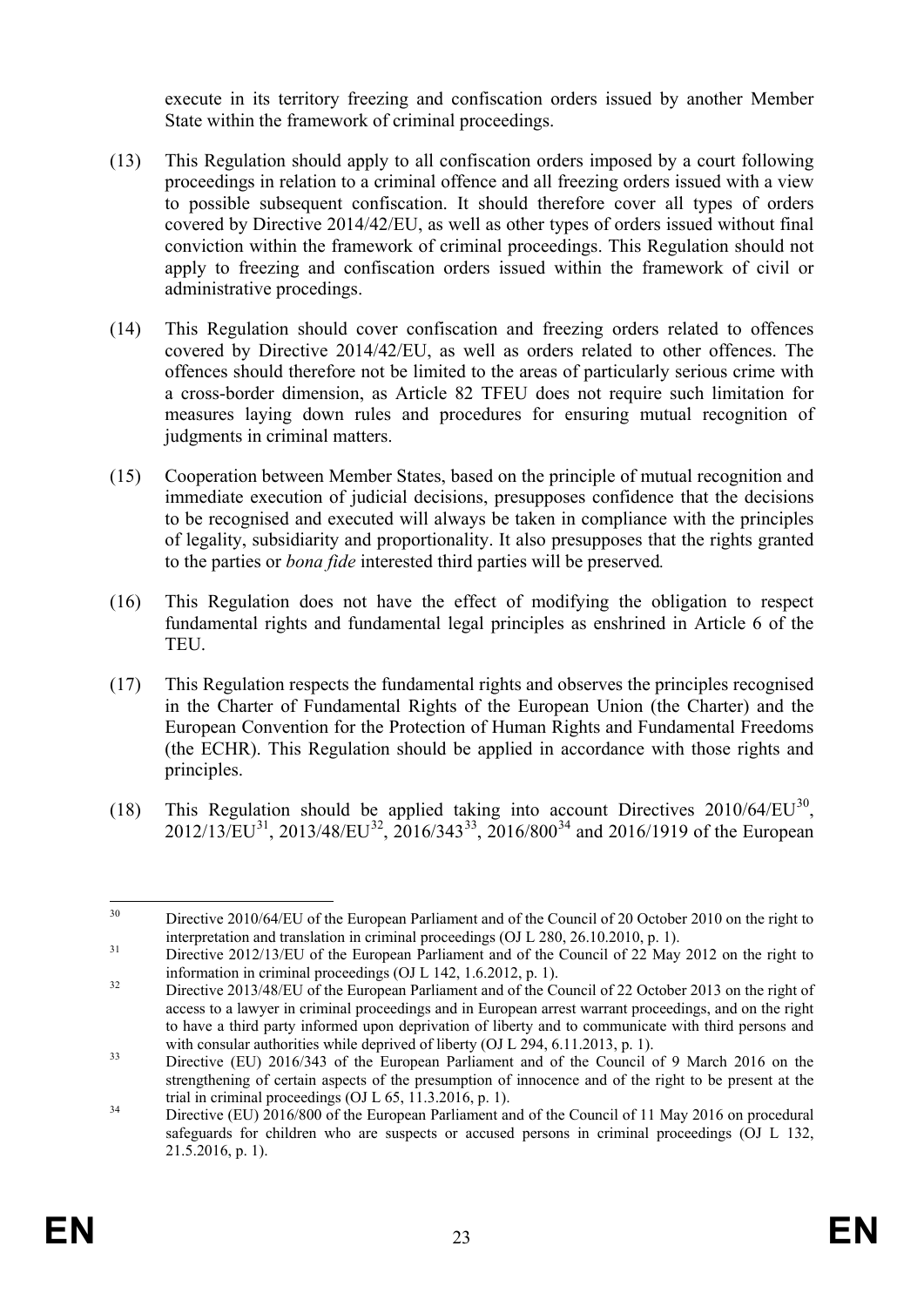execute in its territory freezing and confiscation orders issued by another Member State within the framework of criminal proceedings.

- (13) This Regulation should apply to all confiscation orders imposed by a court following proceedings in relation to a criminal offence and all freezing orders issued with a view to possible subsequent confiscation. It should therefore cover all types of orders covered by Directive 2014/42/EU, as well as other types of orders issued without final conviction within the framework of criminal proceedings. This Regulation should not apply to freezing and confiscation orders issued within the framework of civil or administrative procedings.
- (14) This Regulation should cover confiscation and freezing orders related to offences covered by Directive 2014/42/EU, as well as orders related to other offences. The offences should therefore not be limited to the areas of particularly serious crime with a cross-border dimension, as Article 82 TFEU does not require such limitation for measures laying down rules and procedures for ensuring mutual recognition of judgments in criminal matters.
- (15) Cooperation between Member States, based on the principle of mutual recognition and immediate execution of judicial decisions, presupposes confidence that the decisions to be recognised and executed will always be taken in compliance with the principles of legality, subsidiarity and proportionality. It also presupposes that the rights granted to the parties or *bona fide* interested third parties will be preserved*.*
- (16) This Regulation does not have the effect of modifying the obligation to respect fundamental rights and fundamental legal principles as enshrined in Article 6 of the TEU.
- (17) This Regulation respects the fundamental rights and observes the principles recognised in the Charter of Fundamental Rights of the European Union (the Charter) and the European Convention for the Protection of Human Rights and Fundamental Freedoms (the ECHR). This Regulation should be applied in accordance with those rights and principles.
- (18) This Regulation should be applied taking into account Directives  $2010/64/EU^{30}$ ,  $2012/13/EU^{31}$ ,  $2013/48/EU^{32}$  $2013/48/EU^{32}$  $2013/48/EU^{32}$ ,  $2016/343^{33}$  $2016/343^{33}$  $2016/343^{33}$ ,  $2016/800^{34}$  and  $2016/1919$  of the European

<span id="page-23-0"></span><sup>&</sup>lt;sup>30</sup> Directive 2010/64/EU of the European Parliament and of the Council of 20 October 2010 on the right to

<span id="page-23-1"></span>interpretation and translation in criminal proceedings (OJ L 280, 26.10.2010, p. 1).<br>Directive 2012/13/EU of the European Parliament and of the Council of 22 May 2012 on the right to<br>information in criminal proceedings (OJ

<span id="page-23-2"></span> $\frac{32}{2}$  Directive 2013/48/EU of the European Parliament and of the Council of 22 October 2013 on the right of access to a lawyer in criminal proceedings and in European arrest warrant proceedings, and on the right to have a third party informed upon deprivation of liberty and to communicate with third persons and with consular authorities while deprived of liberty (OJ L 294, 6.11.2013, p. 1).

<span id="page-23-3"></span> $^{33}$  Directive (EU) 2016/343 of the European Parliament and of the Council of 9 March 2016 on the strengthening of certain aspects of the presumption of innocence and of the right to be present at the trial in criminal proceedings  $(OJ L 65, 11.3.2016, p. 1)$ .

<span id="page-23-4"></span> $t_{\text{max}}$  Directive (EU) 2016/800 of the European Parliament and of the Council of 11 May 2016 on procedural safeguards for children who are suspects or accused persons in criminal proceedings (OJ L 132,  $21.5.2016$ , p. 1).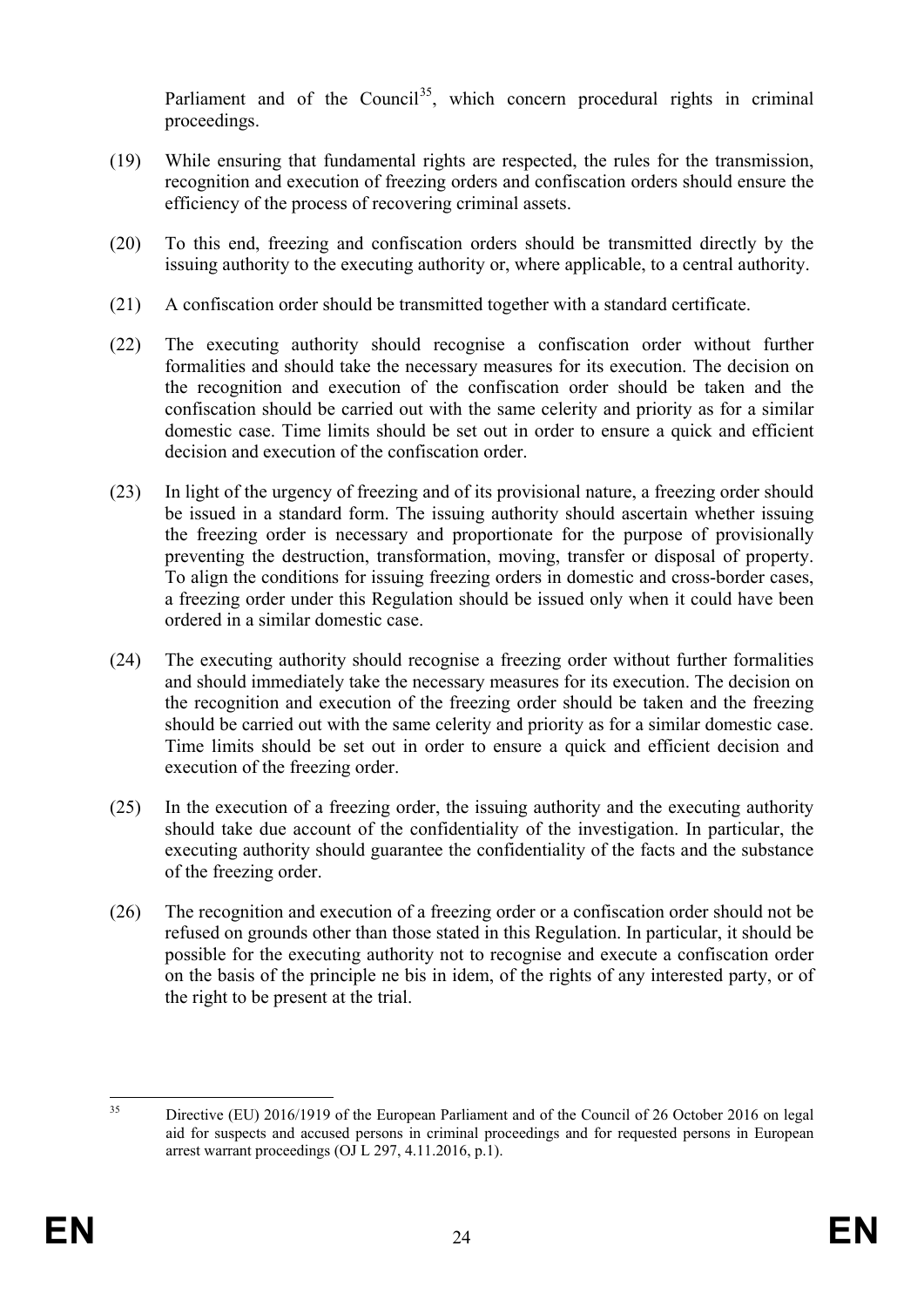Parliament and of the Council<sup>35</sup>, which concern procedural rights in criminal proceedings.

- (19) While ensuring that fundamental rights are respected, the rules for the transmission, recognition and execution of freezing orders and confiscation orders should ensure the efficiency of the process of recovering criminal assets.
- (20) To this end, freezing and confiscation orders should be transmitted directly by the issuing authority to the executing authority or, where applicable, to a central authority.
- (21) A confiscation order should be transmitted together with a standard certificate.
- (22) The executing authority should recognise a confiscation order without further formalities and should take the necessary measures for its execution. The decision on the recognition and execution of the confiscation order should be taken and the confiscation should be carried out with the same celerity and priority as for a similar domestic case. Time limits should be set out in order to ensure a quick and efficient decision and execution of the confiscation order.
- (23) In light of the urgency of freezing and of its provisional nature, a freezing order should be issued in a standard form. The issuing authority should ascertain whether issuing the freezing order is necessary and proportionate for the purpose of provisionally preventing the destruction, transformation, moving, transfer or disposal of property. To align the conditions for issuing freezing orders in domestic and cross-border cases, a freezing order under this Regulation should be issued only when it could have been ordered in a similar domestic case.
- (24) The executing authority should recognise a freezing order without further formalities and should immediately take the necessary measures for its execution. The decision on the recognition and execution of the freezing order should be taken and the freezing should be carried out with the same celerity and priority as for a similar domestic case. Time limits should be set out in order to ensure a quick and efficient decision and execution of the freezing order.
- (25) In the execution of a freezing order, the issuing authority and the executing authority should take due account of the confidentiality of the investigation. In particular, the executing authority should guarantee the confidentiality of the facts and the substance of the freezing order.
- (26) The recognition and execution of a freezing order or a confiscation order should not be refused on grounds other than those stated in this Regulation. In particular, it should be possible for the executing authority not to recognise and execute a confiscation order on the basis of the principle ne bis in idem, of the rights of any interested party, or of the right to be present at the trial.

<span id="page-24-0"></span><sup>&</sup>lt;sup>35</sup> Directive (EU) 2016/1919 of the European Parliament and of the Council of 26 October 2016 on legal aid for suspects and accused persons in criminal proceedings and for requested persons in European arrest warrant proceedings (OJ L 297, 4.11.2016, p.1).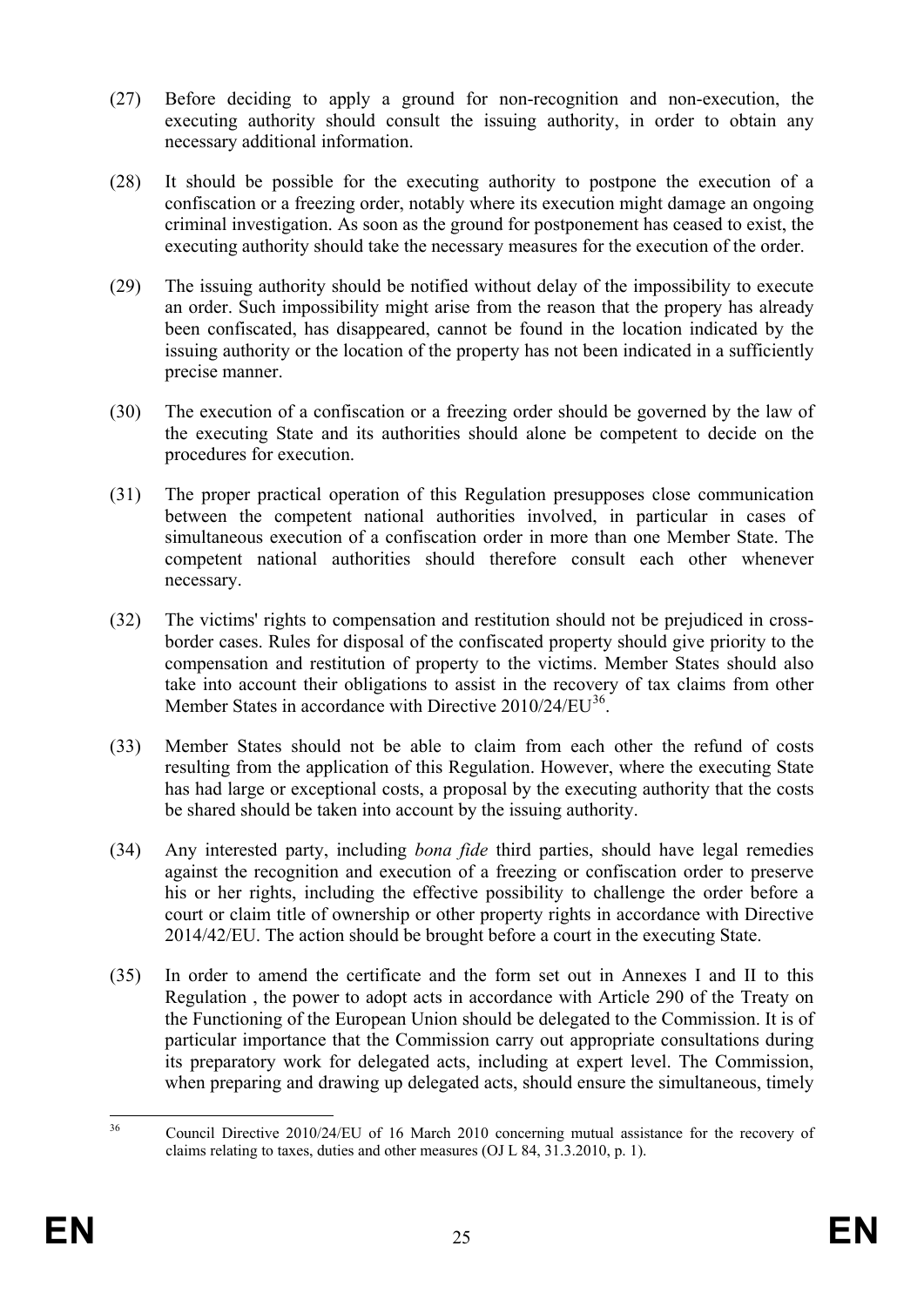- (27) Before deciding to apply a ground for non-recognition and non-execution, the executing authority should consult the issuing authority, in order to obtain any necessary additional information.
- (28) It should be possible for the executing authority to postpone the execution of a confiscation or a freezing order, notably where its execution might damage an ongoing criminal investigation. As soon as the ground for postponement has ceased to exist, the executing authority should take the necessary measures for the execution of the order.
- (29) The issuing authority should be notified without delay of the impossibility to execute an order. Such impossibility might arise from the reason that the propery has already been confiscated, has disappeared, cannot be found in the location indicated by the issuing authority or the location of the property has not been indicated in a sufficiently precise manner.
- (30) The execution of a confiscation or a freezing order should be governed by the law of the executing State and its authorities should alone be competent to decide on the procedures for execution.
- (31) The proper practical operation of this Regulation presupposes close communication between the competent national authorities involved, in particular in cases of simultaneous execution of a confiscation order in more than one Member State. The competent national authorities should therefore consult each other whenever necessary.
- (32) The victims' rights to compensation and restitution should not be prejudiced in crossborder cases. Rules for disposal of the confiscated property should give priority to the compensation and restitution of property to the victims. Member States should also take into account their obligations to assist in the recovery of tax claims from other Member States in accordance with Directive  $2010/24/EU^{36}$  $2010/24/EU^{36}$  $2010/24/EU^{36}$ .
- (33) Member States should not be able to claim from each other the refund of costs resulting from the application of this Regulation. However, where the executing State has had large or exceptional costs, a proposal by the executing authority that the costs be shared should be taken into account by the issuing authority.
- (34) Any interested party, including *bona fide* third parties, should have legal remedies against the recognition and execution of a freezing or confiscation order to preserve his or her rights, including the effective possibility to challenge the order before a court or claim title of ownership or other property rights in accordance with Directive 2014/42/EU. The action should be brought before a court in the executing State.
- (35) In order to amend the certificate and the form set out in Annexes I and II to this Regulation , the power to adopt acts in accordance with Article 290 of the Treaty on the Functioning of the European Union should be delegated to the Commission. It is of particular importance that the Commission carry out appropriate consultations during its preparatory work for delegated acts, including at expert level. The Commission, when preparing and drawing up delegated acts, should ensure the simultaneous, timely

<span id="page-25-0"></span><sup>&</sup>lt;sup>36</sup> Council Directive 2010/24/EU of 16 March 2010 concerning mutual assistance for the recovery of claims relating to taxes, duties and other measures (OJ L 84, 31.3.2010, p. 1).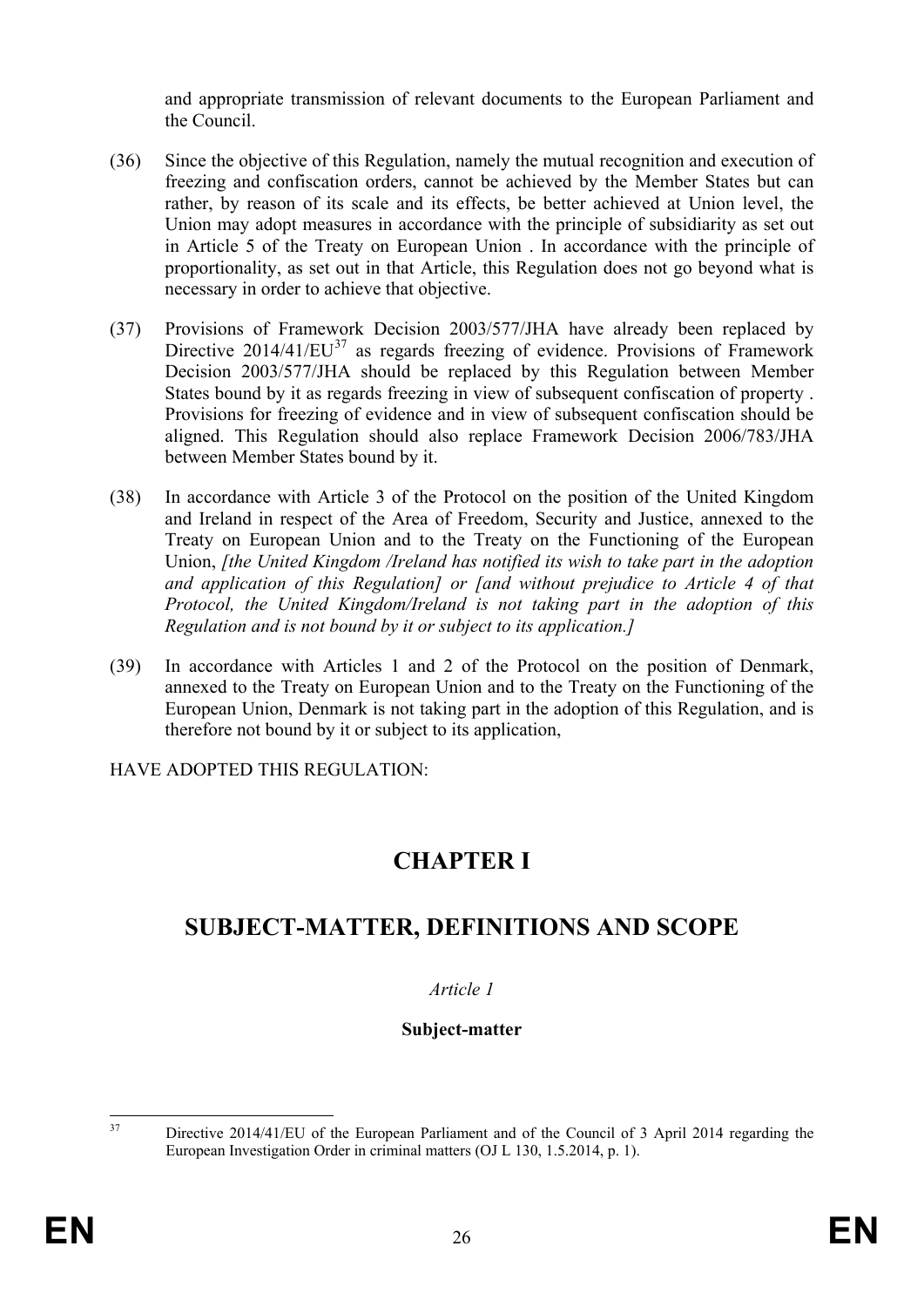and appropriate transmission of relevant documents to the European Parliament and the Council.

- (36) Since the objective of this Regulation, namely the mutual recognition and execution of freezing and confiscation orders, cannot be achieved by the Member States but can rather, by reason of its scale and its effects, be better achieved at Union level, the Union may adopt measures in accordance with the principle of subsidiarity as set out in Article 5 of the Treaty on European Union . In accordance with the principle of proportionality, as set out in that Article, this Regulation does not go beyond what is necessary in order to achieve that objective.
- (37) Provisions of Framework Decision 2003/577/JHA have already been replaced by Directive  $2014/41/EU^{37}$  $2014/41/EU^{37}$  $2014/41/EU^{37}$  as regards freezing of evidence. Provisions of Framework Decision 2003/577/JHA should be replaced by this Regulation between Member States bound by it as regards freezing in view of subsequent confiscation of property . Provisions for freezing of evidence and in view of subsequent confiscation should be aligned. This Regulation should also replace Framework Decision 2006/783/JHA between Member States bound by it.
- (38) In accordance with Article 3 of the Protocol on the position of the United Kingdom and Ireland in respect of the Area of Freedom, Security and Justice, annexed to the Treaty on European Union and to the Treaty on the Functioning of the European Union, *[the United Kingdom /Ireland has notified its wish to take part in the adoption and application of this Regulation] or [and without prejudice to Article 4 of that Protocol, the United Kingdom/Ireland is not taking part in the adoption of this Regulation and is not bound by it or subject to its application.]*
- (39) In accordance with Articles 1 and 2 of the Protocol on the position of Denmark, annexed to the Treaty on European Union and to the Treaty on the Functioning of the European Union, Denmark is not taking part in the adoption of this Regulation, and is therefore not bound by it or subject to its application,

HAVE ADOPTED THIS REGULATION:

# **CHAPTER I**

# **SUBJECT-MATTER, DEFINITIONS AND SCOPE**

## *Article 1*

## **Subject-matter**

<span id="page-26-0"></span>

<sup>&</sup>lt;sup>37</sup> Directive 2014/41/EU of the European Parliament and of the Council of 3 April 2014 regarding the European Investigation Order in criminal matters (OJ L 130, 1.5.2014, p. 1).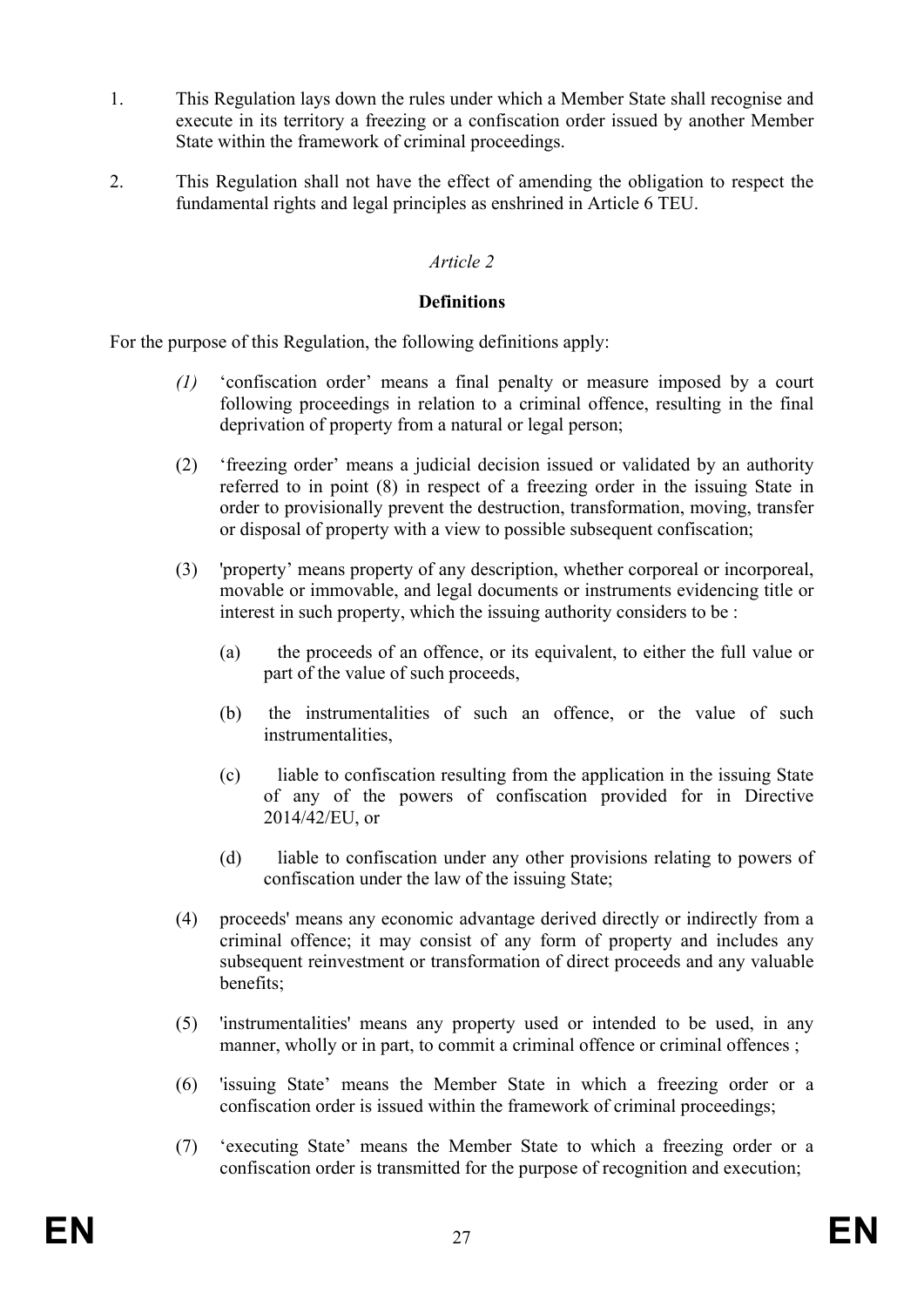- 1. This Regulation lays down the rules under which a Member State shall recognise and execute in its territory a freezing or a confiscation order issued by another Member State within the framework of criminal proceedings.
- 2. This Regulation shall not have the effect of amending the obligation to respect the fundamental rights and legal principles as enshrined in Article 6 TEU.

#### **Definitions**

For the purpose of this Regulation, the following definitions apply:

- *(1)* 'confiscation order' means a final penalty or measure imposed by a court following proceedings in relation to a criminal offence, resulting in the final deprivation of property from a natural or legal person;
- (2) 'freezing order' means a judicial decision issued or validated by an authority referred to in point (8) in respect of a freezing order in the issuing State in order to provisionally prevent the destruction, transformation, moving, transfer or disposal of property with a view to possible subsequent confiscation;
- (3) 'property' means property of any description, whether corporeal or incorporeal, movable or immovable, and legal documents or instruments evidencing title or interest in such property, which the issuing authority considers to be :
	- (a) the proceeds of an offence, or its equivalent, to either the full value or part of the value of such proceeds,
	- (b) the instrumentalities of such an offence, or the value of such instrumentalities,
	- (c) liable to confiscation resulting from the application in the issuing State of any of the powers of confiscation provided for in Directive 2014/42/EU, or
	- (d) liable to confiscation under any other provisions relating to powers of confiscation under the law of the issuing State;
- (4) proceeds' means any economic advantage derived directly or indirectly from a criminal offence; it may consist of any form of property and includes any subsequent reinvestment or transformation of direct proceeds and any valuable benefits;
- (5) 'instrumentalities' means any property used or intended to be used, in any manner, wholly or in part, to commit a criminal offence or criminal offences;
- (6) 'issuing State' means the Member State in which a freezing order or a confiscation order is issued within the framework of criminal proceedings;
- (7) 'executing State' means the Member State to which a freezing order or a confiscation order is transmitted for the purpose of recognition and execution;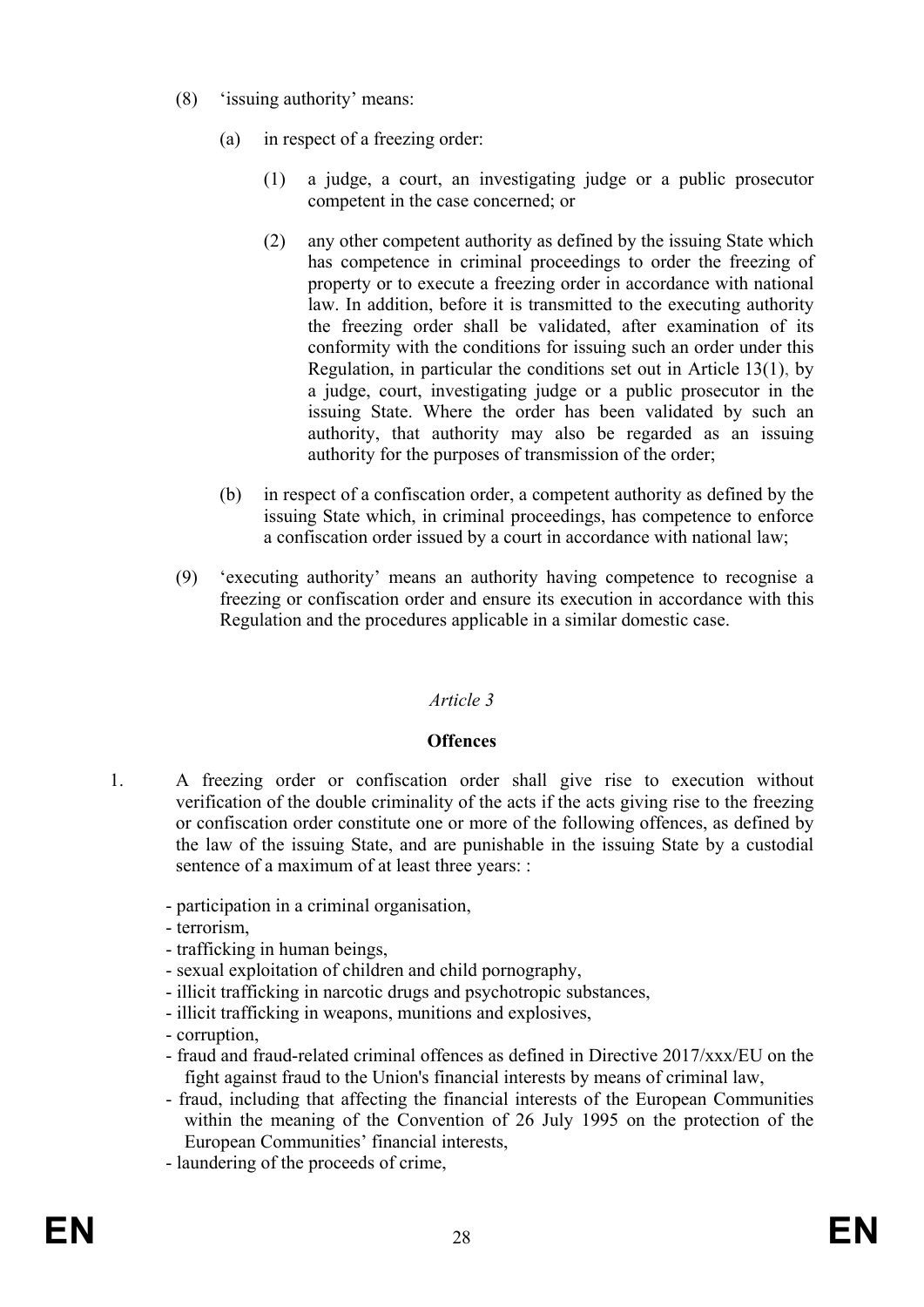- (8) 'issuing authority' means:
	- (a) in respect of a freezing order:
		- (1) a judge, a court, an investigating judge or a public prosecutor competent in the case concerned; or
		- (2) any other competent authority as defined by the issuing State which has competence in criminal proceedings to order the freezing of property or to execute a freezing order in accordance with national law. In addition, before it is transmitted to the executing authority the freezing order shall be validated, after examination of its conformity with the conditions for issuing such an order under this Regulation, in particular the conditions set out in Article 13(1), by a judge, court, investigating judge or a public prosecutor in the issuing State. Where the order has been validated by such an authority, that authority may also be regarded as an issuing authority for the purposes of transmission of the order;
	- (b) in respect of a confiscation order, a competent authority as defined by the issuing State which, in criminal proceedings, has competence to enforce a confiscation order issued by a court in accordance with national law;
- (9) 'executing authority' means an authority having competence to recognise a freezing or confiscation order and ensure its execution in accordance with this Regulation and the procedures applicable in a similar domestic case.

#### **Offences**

- 1. A freezing order or confiscation order shall give rise to execution without verification of the double criminality of the acts if the acts giving rise to the freezing or confiscation order constitute one or more of the following offences, as defined by the law of the issuing State, and are punishable in the issuing State by a custodial sentence of a maximum of at least three years: :
	- participation in a criminal organisation,
	- terrorism,
	- trafficking in human beings,
	- sexual exploitation of children and child pornography,
	- illicit trafficking in narcotic drugs and psychotropic substances,
	- illicit trafficking in weapons, munitions and explosives,
	- corruption,
	- fraud and fraud-related criminal offences as defined in Directive 2017/xxx/EU on the fight against fraud to the Union's financial interests by means of criminal law,
	- fraud, including that affecting the financial interests of the European Communities within the meaning of the Convention of 26 July 1995 on the protection of the European Communities' financial interests,
	- laundering of the proceeds of crime,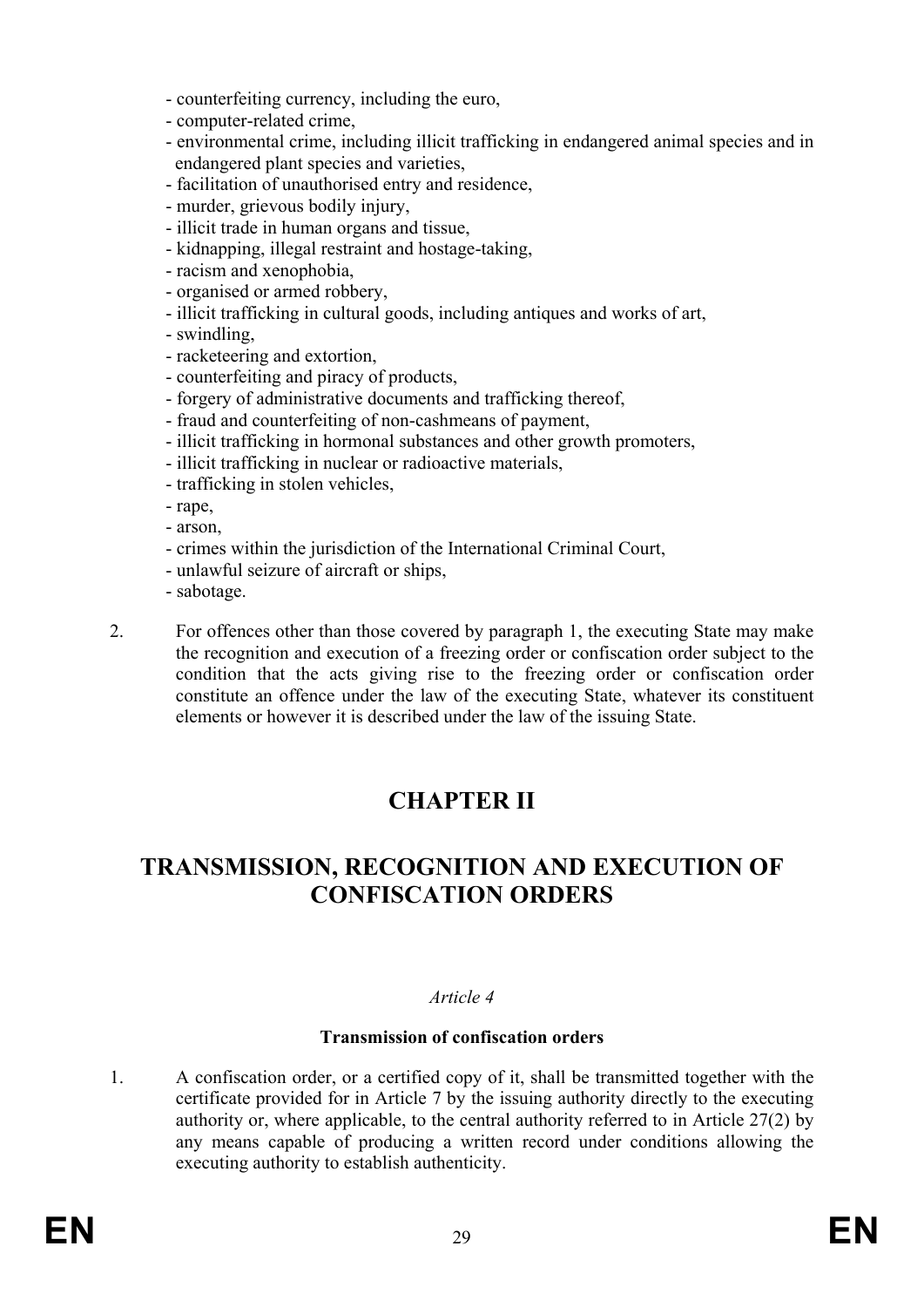- counterfeiting currency, including the euro,
- computer-related crime,
- environmental crime, including illicit trafficking in endangered animal species and in endangered plant species and varieties,
- facilitation of unauthorised entry and residence,
- murder, grievous bodily injury,
- illicit trade in human organs and tissue,
- kidnapping, illegal restraint and hostage-taking,
- racism and xenophobia,
- organised or armed robbery,
- illicit trafficking in cultural goods, including antiques and works of art,
- swindling,
- racketeering and extortion,
- counterfeiting and piracy of products,
- forgery of administrative documents and trafficking thereof,
- fraud and counterfeiting of non-cashmeans of payment,
- illicit trafficking in hormonal substances and other growth promoters,
- illicit trafficking in nuclear or radioactive materials,
- trafficking in stolen vehicles,
- rape,
- arson,
- crimes within the jurisdiction of the International Criminal Court,
- unlawful seizure of aircraft or ships,
- sabotage.

2. For offences other than those covered by paragraph 1, the executing State may make the recognition and execution of a freezing order or confiscation order subject to the condition that the acts giving rise to the freezing order or confiscation order constitute an offence under the law of the executing State, whatever its constituent elements or however it is described under the law of the issuing State.

# **CHAPTER II**

# **TRANSMISSION, RECOGNITION AND EXECUTION OF CONFISCATION ORDERS**

## *Article 4*

## **Transmission of confiscation orders**

1. A confiscation order, or a certified copy of it, shall be transmitted together with the certificate provided for in Article 7 by the issuing authority directly to the executing authority or, where applicable, to the central authority referred to in Article 27(2) by any means capable of producing a written record under conditions allowing the executing authority to establish authenticity.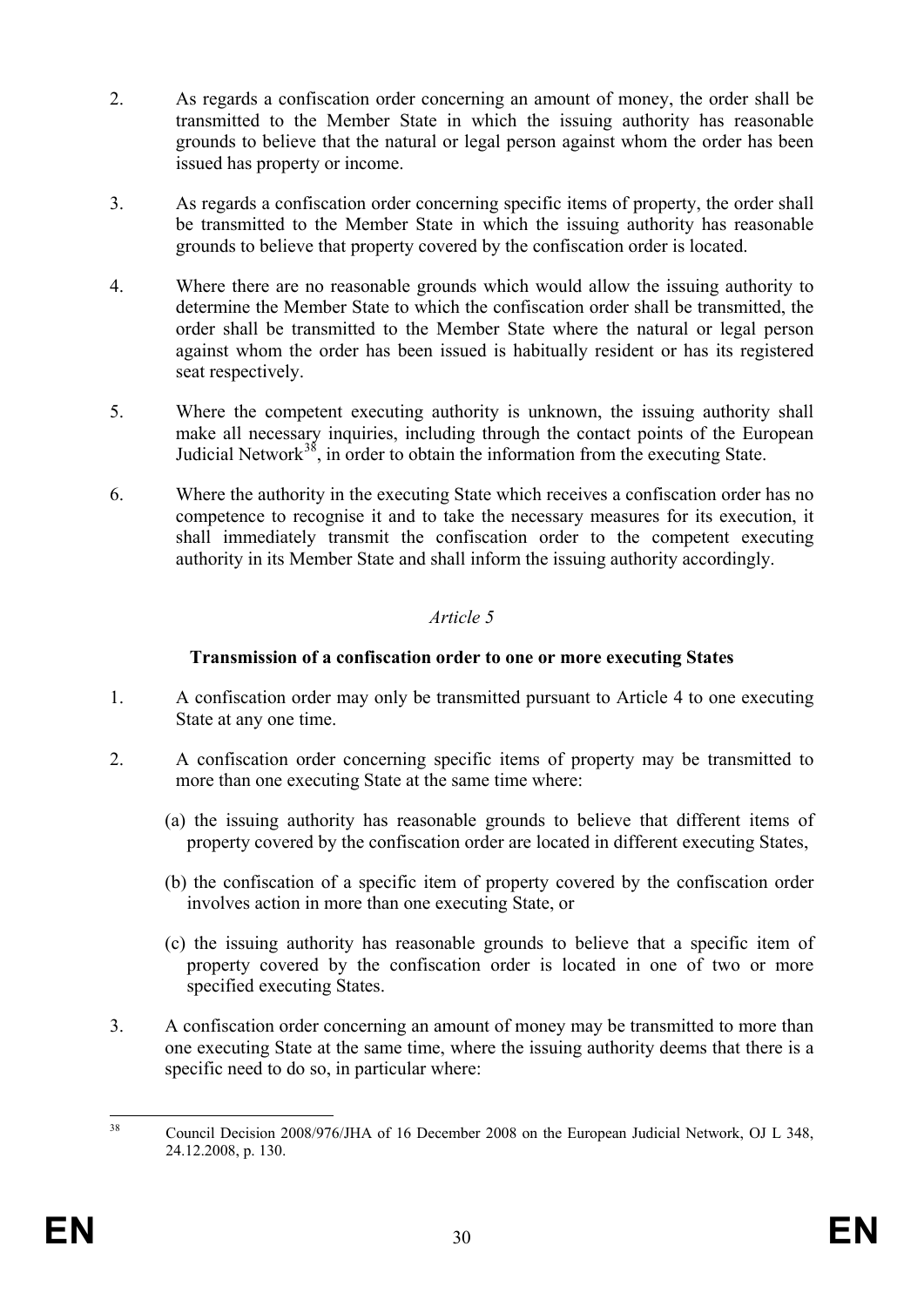- 2. As regards a confiscation order concerning an amount of money, the order shall be transmitted to the Member State in which the issuing authority has reasonable grounds to believe that the natural or legal person against whom the order has been issued has property or income.
- 3. As regards a confiscation order concerning specific items of property, the order shall be transmitted to the Member State in which the issuing authority has reasonable grounds to believe that property covered by the confiscation order is located.
- 4. Where there are no reasonable grounds which would allow the issuing authority to determine the Member State to which the confiscation order shall be transmitted, the order shall be transmitted to the Member State where the natural or legal person against whom the order has been issued is habitually resident or has its registered seat respectively.
- 5. Where the competent executing authority is unknown, the issuing authority shall make all necessary inquiries, including through the contact points of the European Judicial Network $38$ , in order to obtain the information from the executing State.
- 6. Where the authority in the executing State which receives a confiscation order has no competence to recognise it and to take the necessary measures for its execution, it shall immediately transmit the confiscation order to the competent executing authority in its Member State and shall inform the issuing authority accordingly.

# **Transmission of a confiscation order to one or more executing States**

- 1. A confiscation order may only be transmitted pursuant to Article 4 to one executing State at any one time.
- 2. A confiscation order concerning specific items of property may be transmitted to more than one executing State at the same time where:
	- (a) the issuing authority has reasonable grounds to believe that different items of property covered by the confiscation order are located in different executing States,
	- (b) the confiscation of a specific item of property covered by the confiscation order involves action in more than one executing State, or
	- (c) the issuing authority has reasonable grounds to believe that a specific item of property covered by the confiscation order is located in one of two or more specified executing States.
- 3. A confiscation order concerning an amount of money may be transmitted to more than one executing State at the same time, where the issuing authority deems that there is a specific need to do so, in particular where:

<span id="page-30-0"></span><sup>&</sup>lt;sup>38</sup> Council Decision 2008/976/JHA of 16 December 2008 on the European Judicial Network, OJ L 348, 24.12.2008, p. 130.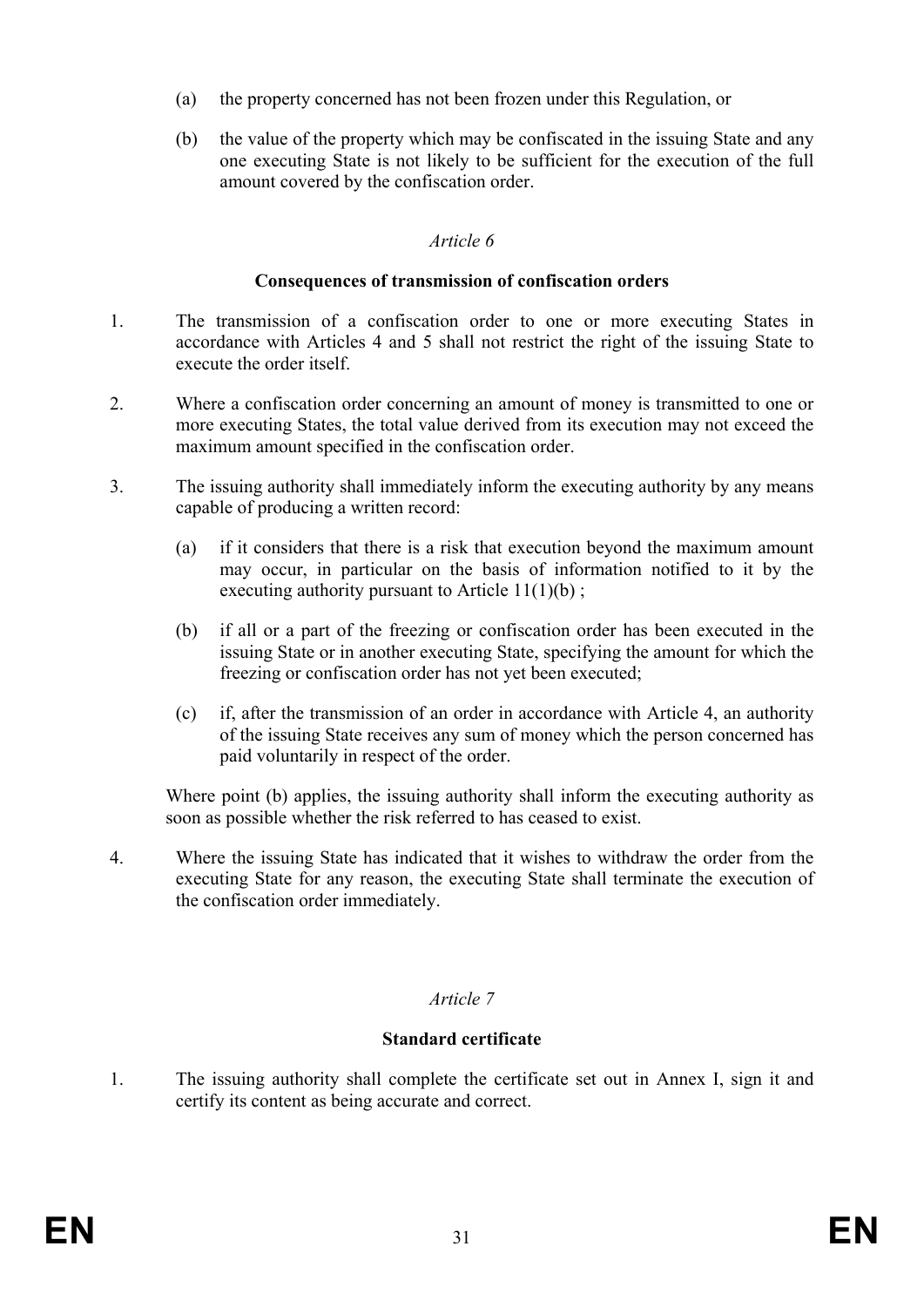- (a) the property concerned has not been frozen under this Regulation, or
- (b) the value of the property which may be confiscated in the issuing State and any one executing State is not likely to be sufficient for the execution of the full amount covered by the confiscation order.

#### **Consequences of transmission of confiscation orders**

- 1. The transmission of a confiscation order to one or more executing States in accordance with Articles 4 and 5 shall not restrict the right of the issuing State to execute the order itself.
- 2. Where a confiscation order concerning an amount of money is transmitted to one or more executing States, the total value derived from its execution may not exceed the maximum amount specified in the confiscation order.
- 3. The issuing authority shall immediately inform the executing authority by any means capable of producing a written record:
	- (a) if it considers that there is a risk that execution beyond the maximum amount may occur, in particular on the basis of information notified to it by the executing authority pursuant to Article  $11(1)(b)$ ;
	- (b) if all or a part of the freezing or confiscation order has been executed in the issuing State or in another executing State, specifying the amount for which the freezing or confiscation order has not yet been executed;
	- (c) if, after the transmission of an order in accordance with Article 4, an authority of the issuing State receives any sum of money which the person concerned has paid voluntarily in respect of the order.

Where point (b) applies, the issuing authority shall inform the executing authority as soon as possible whether the risk referred to has ceased to exist.

4. Where the issuing State has indicated that it wishes to withdraw the order from the executing State for any reason, the executing State shall terminate the execution of the confiscation order immediately.

## *Article 7*

#### **Standard certificate**

1. The issuing authority shall complete the certificate set out in Annex I, sign it and certify its content as being accurate and correct.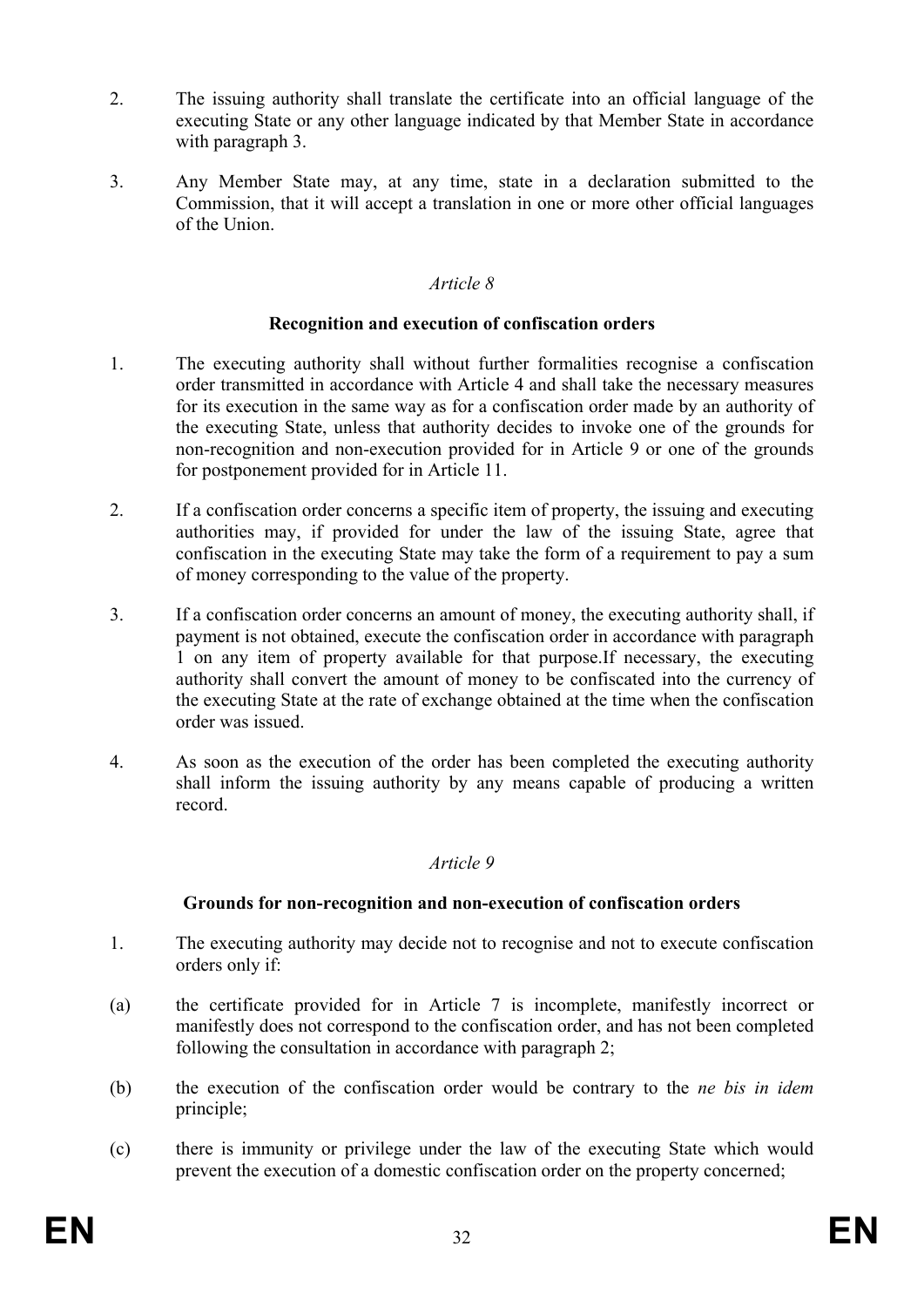- 2. The issuing authority shall translate the certificate into an official language of the executing State or any other language indicated by that Member State in accordance with paragraph 3.
- 3. Any Member State may, at any time, state in a declaration submitted to the Commission, that it will accept a translation in one or more other official languages of the Union.

### **Recognition and execution of confiscation orders**

- 1. The executing authority shall without further formalities recognise a confiscation order transmitted in accordance with Article 4 and shall take the necessary measures for its execution in the same way as for a confiscation order made by an authority of the executing State, unless that authority decides to invoke one of the grounds for non-recognition and non-execution provided for in Article 9 or one of the grounds for postponement provided for in Article 11.
- 2. If a confiscation order concerns a specific item of property, the issuing and executing authorities may, if provided for under the law of the issuing State, agree that confiscation in the executing State may take the form of a requirement to pay a sum of money corresponding to the value of the property.
- 3. If a confiscation order concerns an amount of money, the executing authority shall, if payment is not obtained, execute the confiscation order in accordance with paragraph 1 on any item of property available for that purpose.If necessary, the executing authority shall convert the amount of money to be confiscated into the currency of the executing State at the rate of exchange obtained at the time when the confiscation order was issued.
- 4. As soon as the execution of the order has been completed the executing authority shall inform the issuing authority by any means capable of producing a written record.

## *Article 9*

## **Grounds for non-recognition and non-execution of confiscation orders**

- 1. The executing authority may decide not to recognise and not to execute confiscation orders only if:
- (a) the certificate provided for in Article 7 is incomplete, manifestly incorrect or manifestly does not correspond to the confiscation order, and has not been completed following the consultation in accordance with paragraph 2;
- (b) the execution of the confiscation order would be contrary to the *ne bis in idem* principle;
- (c) there is immunity or privilege under the law of the executing State which would prevent the execution of a domestic confiscation order on the property concerned;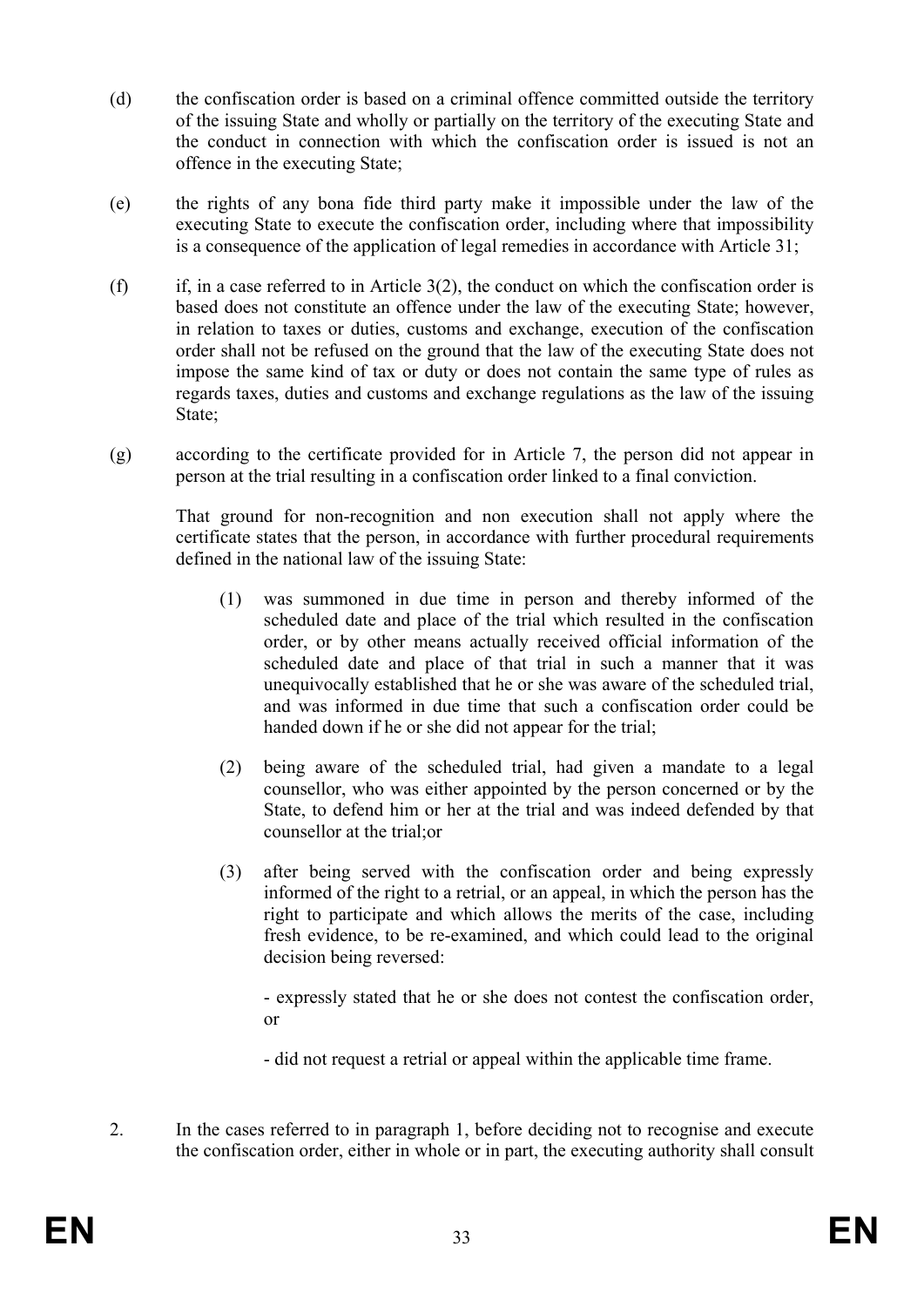- (d) the confiscation order is based on a criminal offence committed outside the territory of the issuing State and wholly or partially on the territory of the executing State and the conduct in connection with which the confiscation order is issued is not an offence in the executing State;
- (e) the rights of any bona fide third party make it impossible under the law of the executing State to execute the confiscation order, including where that impossibility is a consequence of the application of legal remedies in accordance with Article 31;
- (f) if, in a case referred to in Article  $3(2)$ , the conduct on which the confiscation order is based does not constitute an offence under the law of the executing State; however, in relation to taxes or duties, customs and exchange, execution of the confiscation order shall not be refused on the ground that the law of the executing State does not impose the same kind of tax or duty or does not contain the same type of rules as regards taxes, duties and customs and exchange regulations as the law of the issuing State;
- (g) according to the certificate provided for in Article 7, the person did not appear in person at the trial resulting in a confiscation order linked to a final conviction.

That ground for non-recognition and non execution shall not apply where the certificate states that the person, in accordance with further procedural requirements defined in the national law of the issuing State:

- (1) was summoned in due time in person and thereby informed of the scheduled date and place of the trial which resulted in the confiscation order, or by other means actually received official information of the scheduled date and place of that trial in such a manner that it was unequivocally established that he or she was aware of the scheduled trial, and was informed in due time that such a confiscation order could be handed down if he or she did not appear for the trial;
- (2) being aware of the scheduled trial, had given a mandate to a legal counsellor, who was either appointed by the person concerned or by the State, to defend him or her at the trial and was indeed defended by that counsellor at the trial;or
- (3) after being served with the confiscation order and being expressly informed of the right to a retrial, or an appeal, in which the person has the right to participate and which allows the merits of the case, including fresh evidence, to be re-examined, and which could lead to the original decision being reversed:

- expressly stated that he or she does not contest the confiscation order, or

- did not request a retrial or appeal within the applicable time frame.
- 2. In the cases referred to in paragraph 1, before deciding not to recognise and execute the confiscation order, either in whole or in part, the executing authority shall consult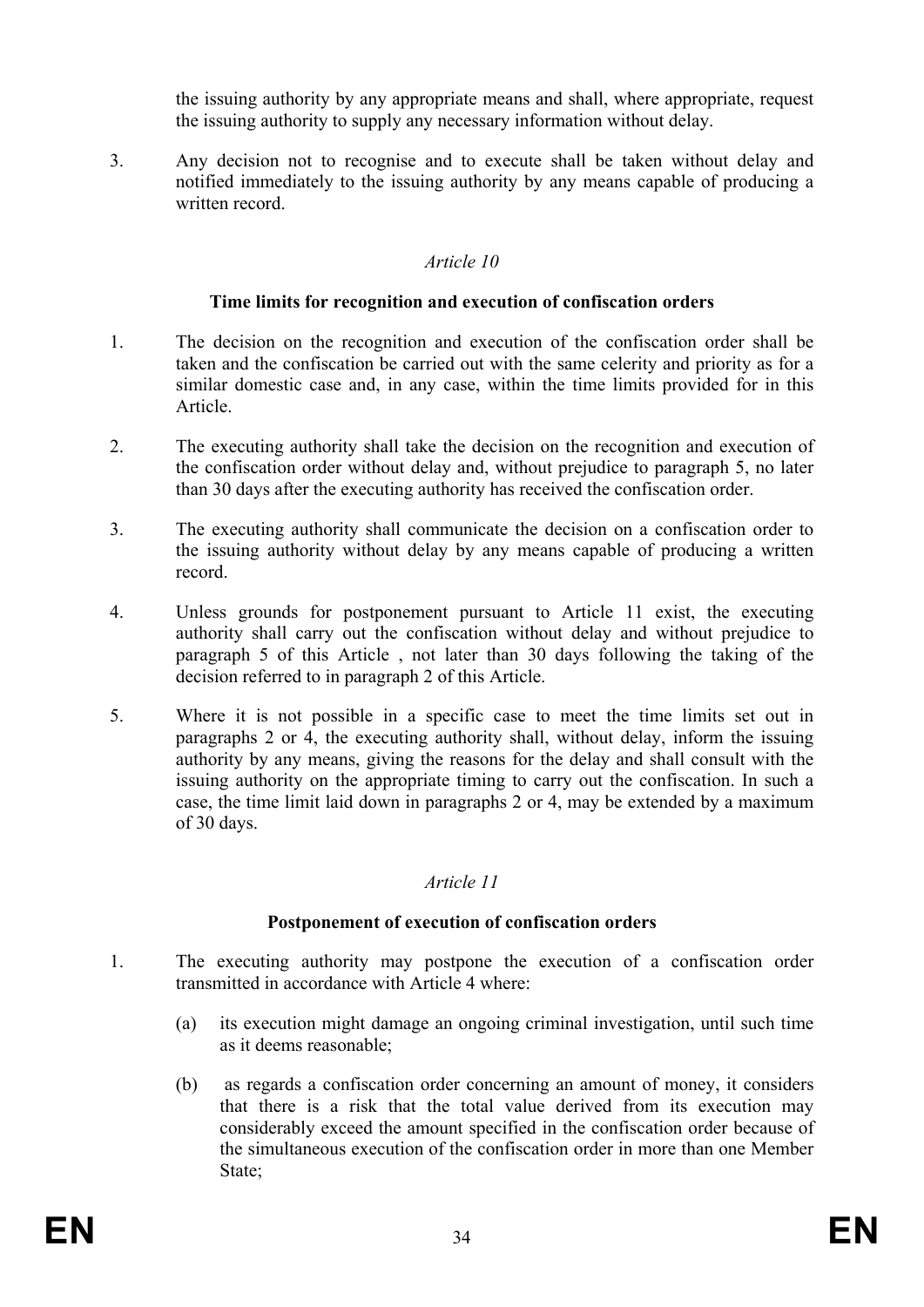the issuing authority by any appropriate means and shall, where appropriate, request the issuing authority to supply any necessary information without delay.

3. Any decision not to recognise and to execute shall be taken without delay and notified immediately to the issuing authority by any means capable of producing a written record.

### *Article 10*

#### **Time limits for recognition and execution of confiscation orders**

- 1. The decision on the recognition and execution of the confiscation order shall be taken and the confiscation be carried out with the same celerity and priority as for a similar domestic case and, in any case, within the time limits provided for in this Article.
- 2. The executing authority shall take the decision on the recognition and execution of the confiscation order without delay and, without prejudice to paragraph 5, no later than 30 days after the executing authority has received the confiscation order.
- 3. The executing authority shall communicate the decision on a confiscation order to the issuing authority without delay by any means capable of producing a written record.
- 4. Unless grounds for postponement pursuant to Article 11 exist, the executing authority shall carry out the confiscation without delay and without prejudice to paragraph 5 of this Article , not later than 30 days following the taking of the decision referred to in paragraph 2 of this Article.
- 5. Where it is not possible in a specific case to meet the time limits set out in paragraphs 2 or 4, the executing authority shall, without delay, inform the issuing authority by any means, giving the reasons for the delay and shall consult with the issuing authority on the appropriate timing to carry out the confiscation. In such a case, the time limit laid down in paragraphs 2 or 4, may be extended by a maximum of 30 days.

## *Article 11*

## **Postponement of execution of confiscation orders**

- 1. The executing authority may postpone the execution of a confiscation order transmitted in accordance with Article 4 where:
	- (a) its execution might damage an ongoing criminal investigation, until such time as it deems reasonable;
	- (b) as regards a confiscation order concerning an amount of money, it considers that there is a risk that the total value derived from its execution may considerably exceed the amount specified in the confiscation order because of the simultaneous execution of the confiscation order in more than one Member State;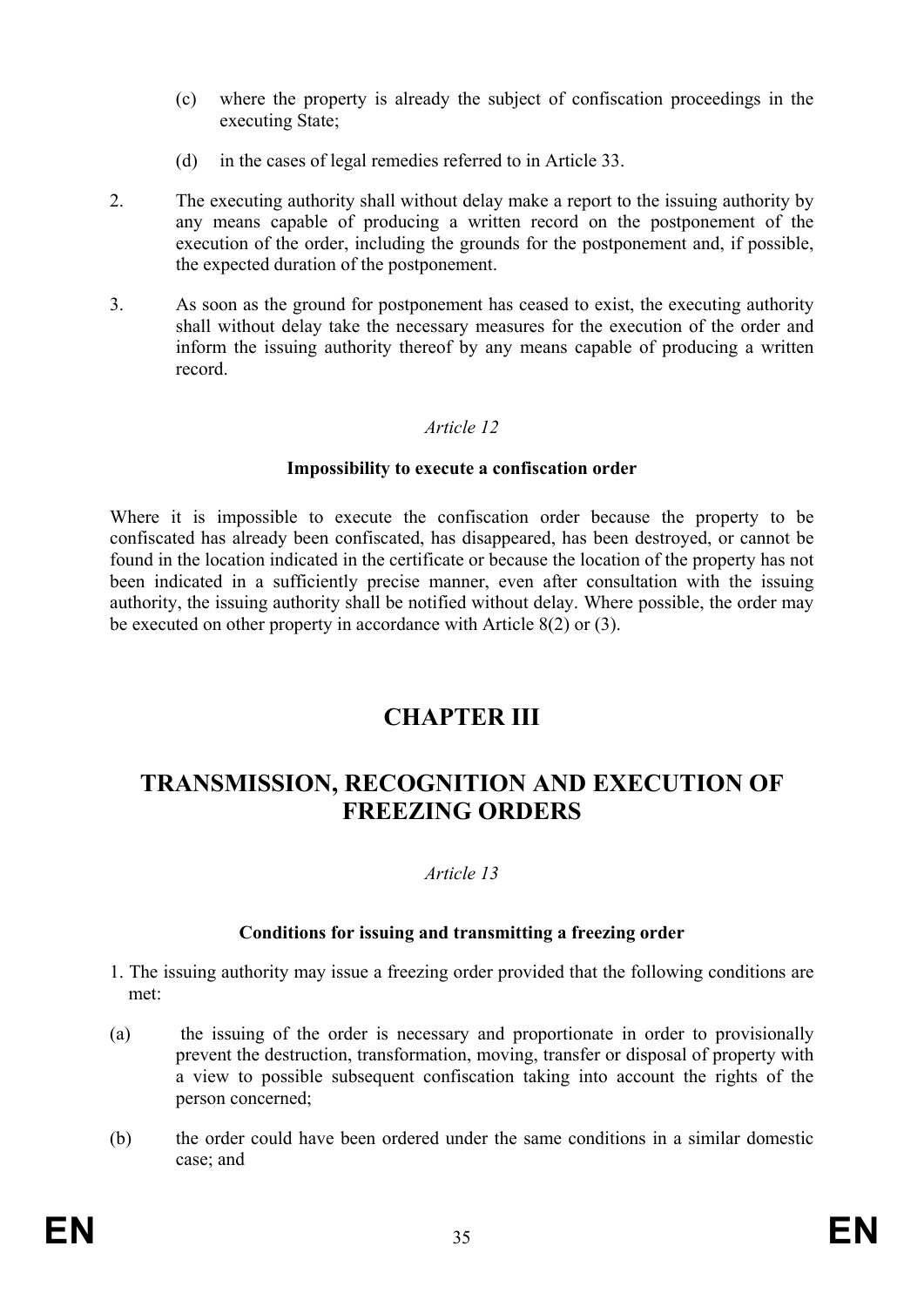- (c) where the property is already the subject of confiscation proceedings in the executing State;
- (d) in the cases of legal remedies referred to in Article 33.
- 2. The executing authority shall without delay make a report to the issuing authority by any means capable of producing a written record on the postponement of the execution of the order, including the grounds for the postponement and, if possible, the expected duration of the postponement.
- 3. As soon as the ground for postponement has ceased to exist, the executing authority shall without delay take the necessary measures for the execution of the order and inform the issuing authority thereof by any means capable of producing a written record.

#### **Impossibility to execute a confiscation order**

Where it is impossible to execute the confiscation order because the property to be confiscated has already been confiscated, has disappeared, has been destroyed, or cannot be found in the location indicated in the certificate or because the location of the property has not been indicated in a sufficiently precise manner, even after consultation with the issuing authority, the issuing authority shall be notified without delay. Where possible, the order may be executed on other property in accordance with Article 8(2) or (3).

# **CHAPTER III**

# **TRANSMISSION, RECOGNITION AND EXECUTION OF FREEZING ORDERS**

## *Article 13*

#### **Conditions for issuing and transmitting a freezing order**

- 1. The issuing authority may issue a freezing order provided that the following conditions are met:
- (a) the issuing of the order is necessary and proportionate in order to provisionally prevent the destruction, transformation, moving, transfer or disposal of property with a view to possible subsequent confiscation taking into account the rights of the person concerned;
- (b) the order could have been ordered under the same conditions in a similar domestic case; and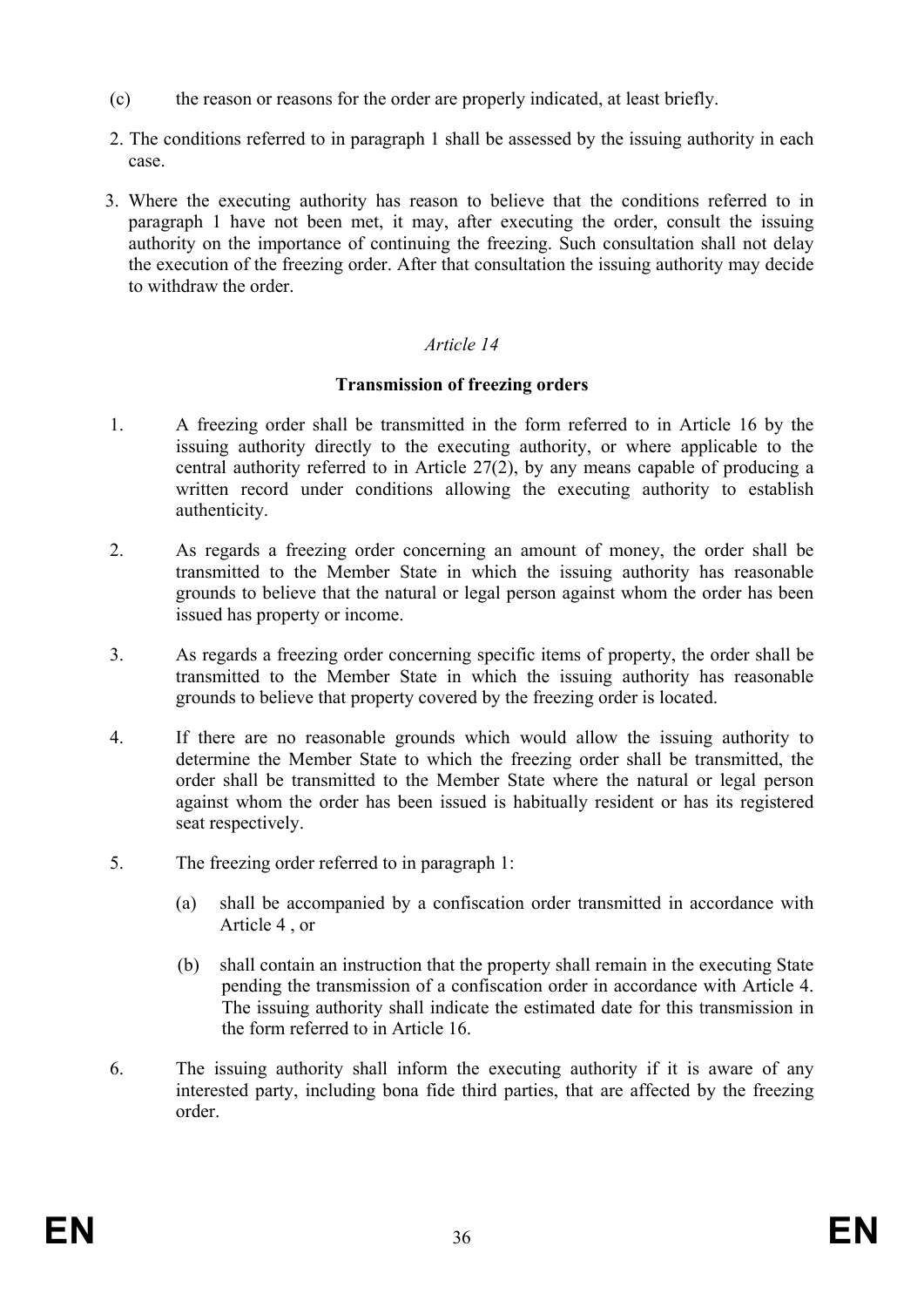- (c) the reason or reasons for the order are properly indicated, at least briefly.
- 2. The conditions referred to in paragraph 1 shall be assessed by the issuing authority in each case.
- 3. Where the executing authority has reason to believe that the conditions referred to in paragraph 1 have not been met, it may, after executing the order, consult the issuing authority on the importance of continuing the freezing. Such consultation shall not delay the execution of the freezing order. After that consultation the issuing authority may decide to withdraw the order.

### **Transmission of freezing orders**

- 1. A freezing order shall be transmitted in the form referred to in Article 16 by the issuing authority directly to the executing authority, or where applicable to the central authority referred to in Article 27(2), by any means capable of producing a written record under conditions allowing the executing authority to establish authenticity.
- 2. As regards a freezing order concerning an amount of money, the order shall be transmitted to the Member State in which the issuing authority has reasonable grounds to believe that the natural or legal person against whom the order has been issued has property or income.
- 3. As regards a freezing order concerning specific items of property, the order shall be transmitted to the Member State in which the issuing authority has reasonable grounds to believe that property covered by the freezing order is located.
- 4. If there are no reasonable grounds which would allow the issuing authority to determine the Member State to which the freezing order shall be transmitted, the order shall be transmitted to the Member State where the natural or legal person against whom the order has been issued is habitually resident or has its registered seat respectively.
- 5. The freezing order referred to in paragraph 1:
	- (a) shall be accompanied by a confiscation order transmitted in accordance with Article 4 , or
	- (b) shall contain an instruction that the property shall remain in the executing State pending the transmission of a confiscation order in accordance with Article 4. The issuing authority shall indicate the estimated date for this transmission in the form referred to in Article 16.
- 6. The issuing authority shall inform the executing authority if it is aware of any interested party, including bona fide third parties, that are affected by the freezing order.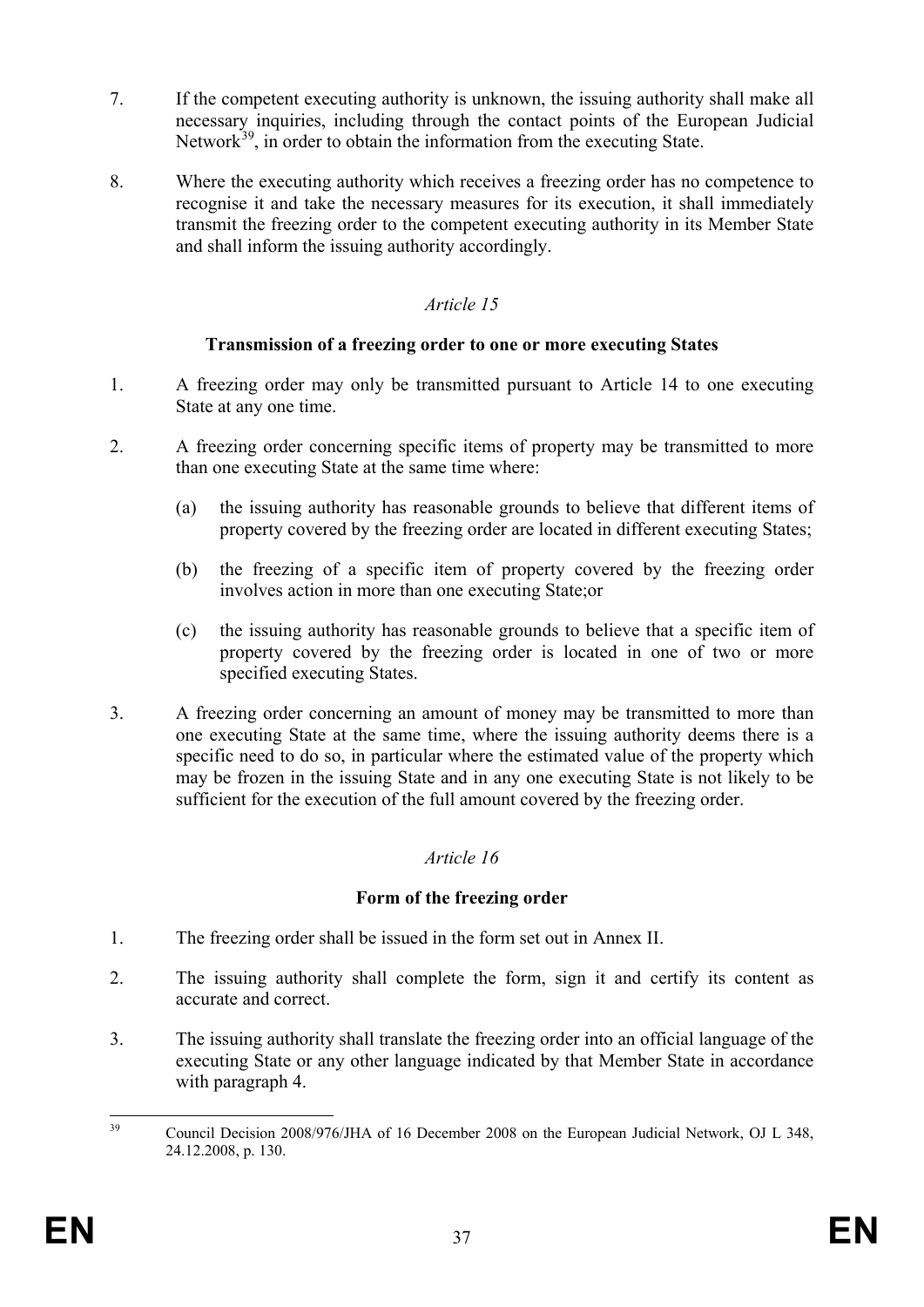- 7. If the competent executing authority is unknown, the issuing authority shall make all necessary inquiries, including through the contact points of the European Judicial Network<sup>39</sup>, in order to obtain the information from the executing State.
- 8. Where the executing authority which receives a freezing order has no competence to recognise it and take the necessary measures for its execution, it shall immediately transmit the freezing order to the competent executing authority in its Member State and shall inform the issuing authority accordingly.

## **Transmission of a freezing order to one or more executing States**

- 1. A freezing order may only be transmitted pursuant to Article 14 to one executing State at any one time.
- 2. A freezing order concerning specific items of property may be transmitted to more than one executing State at the same time where:
	- (a) the issuing authority has reasonable grounds to believe that different items of property covered by the freezing order are located in different executing States;
	- (b) the freezing of a specific item of property covered by the freezing order involves action in more than one executing State;or
	- (c) the issuing authority has reasonable grounds to believe that a specific item of property covered by the freezing order is located in one of two or more specified executing States.
- 3. A freezing order concerning an amount of money may be transmitted to more than one executing State at the same time, where the issuing authority deems there is a specific need to do so, in particular where the estimated value of the property which may be frozen in the issuing State and in any one executing State is not likely to be sufficient for the execution of the full amount covered by the freezing order.

## *Article 16*

## **Form of the freezing order**

- 1. The freezing order shall be issued in the form set out in Annex II.
- 2. The issuing authority shall complete the form, sign it and certify its content as accurate and correct.
- 3. The issuing authority shall translate the freezing order into an official language of the executing State or any other language indicated by that Member State in accordance with paragraph 4.

<span id="page-37-0"></span><sup>&</sup>lt;sup>39</sup> Council Decision 2008/976/JHA of 16 December 2008 on the European Judicial Network, OJ L 348, 24.12.2008, p. 130.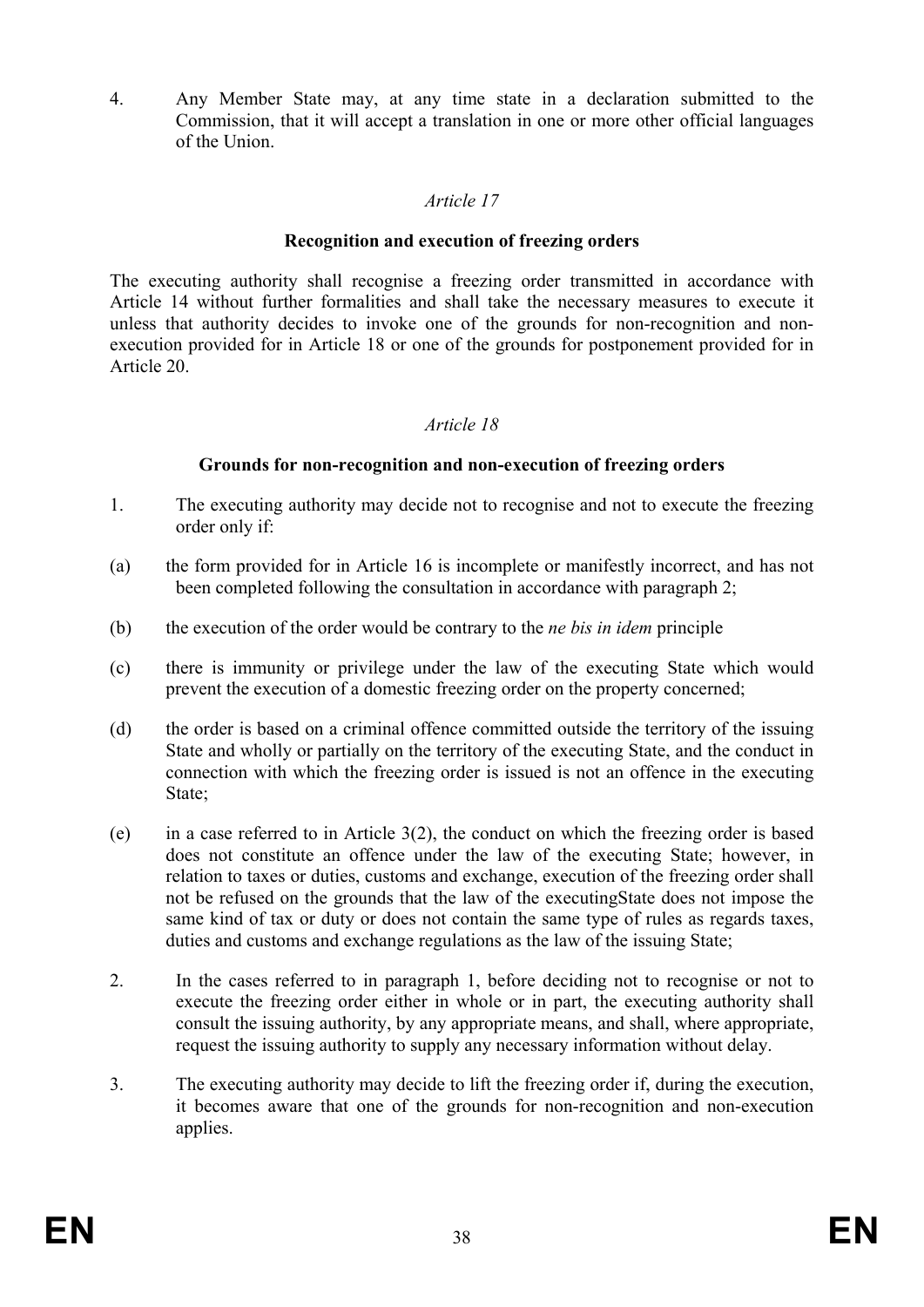4. Any Member State may, at any time state in a declaration submitted to the Commission, that it will accept a translation in one or more other official languages of the Union.

### *Article 17*

#### **Recognition and execution of freezing orders**

The executing authority shall recognise a freezing order transmitted in accordance with Article 14 without further formalities and shall take the necessary measures to execute it unless that authority decides to invoke one of the grounds for non-recognition and nonexecution provided for in Article 18 or one of the grounds for postponement provided for in Article 20.

#### *Article 18*

#### **Grounds for non-recognition and non-execution of freezing orders**

- 1. The executing authority may decide not to recognise and not to execute the freezing order only if:
- (a) the form provided for in Article 16 is incomplete or manifestly incorrect, and has not been completed following the consultation in accordance with paragraph 2;
- (b) the execution of the order would be contrary to the *ne bis in idem* principle
- (c) there is immunity or privilege under the law of the executing State which would prevent the execution of a domestic freezing order on the property concerned;
- (d) the order is based on a criminal offence committed outside the territory of the issuing State and wholly or partially on the territory of the executing State, and the conduct in connection with which the freezing order is issued is not an offence in the executing State;
- (e) in a case referred to in Article 3(2), the conduct on which the freezing order is based does not constitute an offence under the law of the executing State; however, in relation to taxes or duties, customs and exchange, execution of the freezing order shall not be refused on the grounds that the law of the executingState does not impose the same kind of tax or duty or does not contain the same type of rules as regards taxes, duties and customs and exchange regulations as the law of the issuing State;
- 2. In the cases referred to in paragraph 1, before deciding not to recognise or not to execute the freezing order either in whole or in part, the executing authority shall consult the issuing authority, by any appropriate means, and shall, where appropriate, request the issuing authority to supply any necessary information without delay.
- 3. The executing authority may decide to lift the freezing order if, during the execution, it becomes aware that one of the grounds for non-recognition and non-execution applies.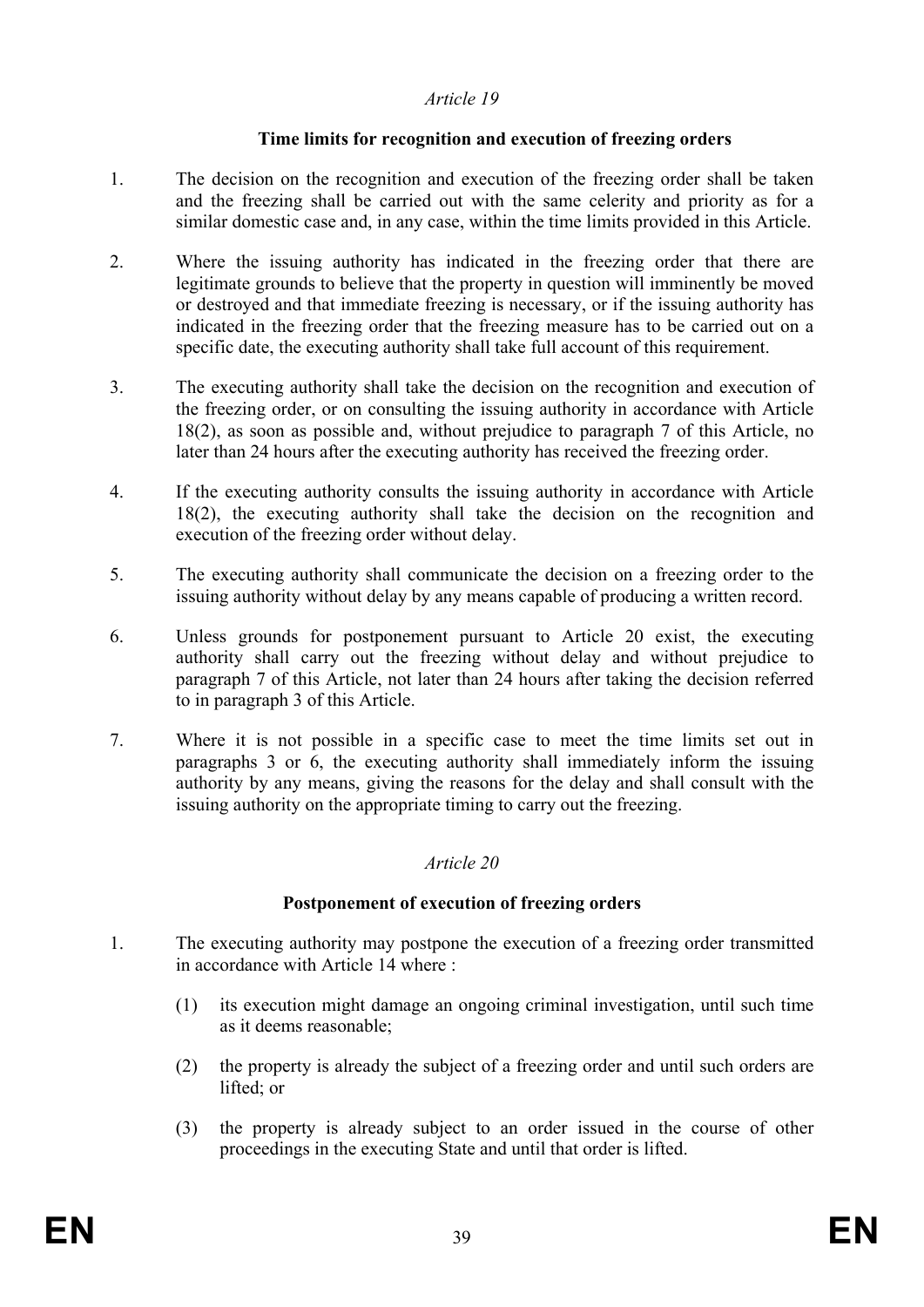### **Time limits for recognition and execution of freezing orders**

- 1. The decision on the recognition and execution of the freezing order shall be taken and the freezing shall be carried out with the same celerity and priority as for a similar domestic case and, in any case, within the time limits provided in this Article.
- 2. Where the issuing authority has indicated in the freezing order that there are legitimate grounds to believe that the property in question will imminently be moved or destroyed and that immediate freezing is necessary, or if the issuing authority has indicated in the freezing order that the freezing measure has to be carried out on a specific date, the executing authority shall take full account of this requirement.
- 3. The executing authority shall take the decision on the recognition and execution of the freezing order, or on consulting the issuing authority in accordance with Article 18(2), as soon as possible and, without prejudice to paragraph 7 of this Article, no later than 24 hours after the executing authority has received the freezing order.
- 4. If the executing authority consults the issuing authority in accordance with Article 18(2), the executing authority shall take the decision on the recognition and execution of the freezing order without delay.
- 5. The executing authority shall communicate the decision on a freezing order to the issuing authority without delay by any means capable of producing a written record.
- 6. Unless grounds for postponement pursuant to Article 20 exist, the executing authority shall carry out the freezing without delay and without prejudice to paragraph 7 of this Article, not later than 24 hours after taking the decision referred to in paragraph 3 of this Article.
- 7. Where it is not possible in a specific case to meet the time limits set out in paragraphs 3 or 6, the executing authority shall immediately inform the issuing authority by any means, giving the reasons for the delay and shall consult with the issuing authority on the appropriate timing to carry out the freezing.

## *Article 20*

## **Postponement of execution of freezing orders**

- 1. The executing authority may postpone the execution of a freezing order transmitted in accordance with Article 14 where :
	- (1) its execution might damage an ongoing criminal investigation, until such time as it deems reasonable;
	- (2) the property is already the subject of a freezing order and until such orders are lifted; or
	- (3) the property is already subject to an order issued in the course of other proceedings in the executing State and until that order is lifted.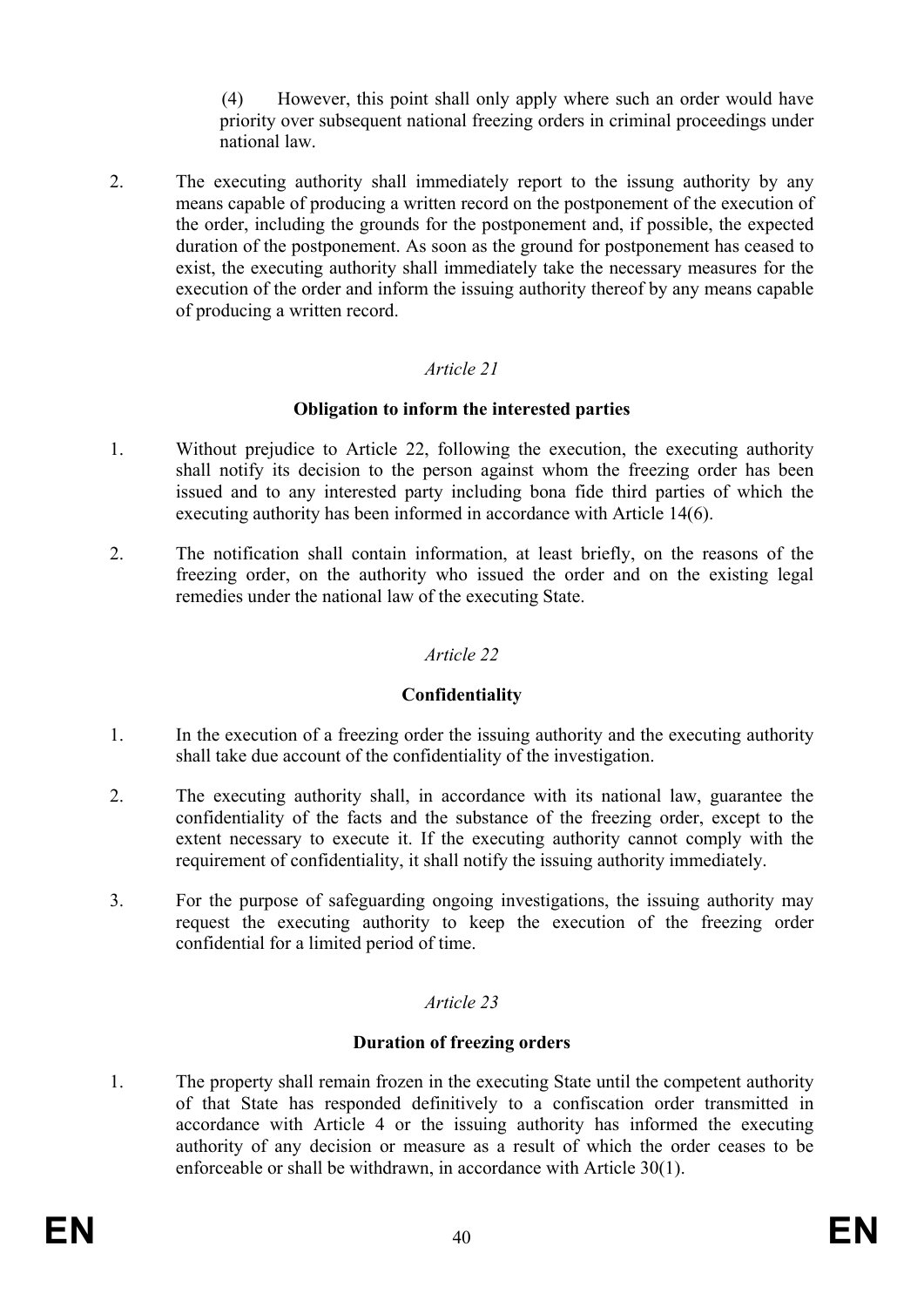(4) However, this point shall only apply where such an order would have priority over subsequent national freezing orders in criminal proceedings under national law.

2. The executing authority shall immediately report to the issung authority by any means capable of producing a written record on the postponement of the execution of the order, including the grounds for the postponement and, if possible, the expected duration of the postponement. As soon as the ground for postponement has ceased to exist, the executing authority shall immediately take the necessary measures for the execution of the order and inform the issuing authority thereof by any means capable of producing a written record.

## *Article 21*

### **Obligation to inform the interested parties**

- 1. Without prejudice to Article 22, following the execution, the executing authority shall notify its decision to the person against whom the freezing order has been issued and to any interested party including bona fide third parties of which the executing authority has been informed in accordance with Article 14(6).
- 2. The notification shall contain information, at least briefly, on the reasons of the freezing order, on the authority who issued the order and on the existing legal remedies under the national law of the executing State.

## *Article 22*

## **Confidentiality**

- 1. In the execution of a freezing order the issuing authority and the executing authority shall take due account of the confidentiality of the investigation.
- 2. The executing authority shall, in accordance with its national law, guarantee the confidentiality of the facts and the substance of the freezing order, except to the extent necessary to execute it. If the executing authority cannot comply with the requirement of confidentiality, it shall notify the issuing authority immediately.
- 3. For the purpose of safeguarding ongoing investigations, the issuing authority may request the executing authority to keep the execution of the freezing order confidential for a limited period of time.

## *Article 23*

#### **Duration of freezing orders**

1. The property shall remain frozen in the executing State until the competent authority of that State has responded definitively to a confiscation order transmitted in accordance with Article 4 or the issuing authority has informed the executing authority of any decision or measure as a result of which the order ceases to be enforceable or shall be withdrawn, in accordance with Article 30(1).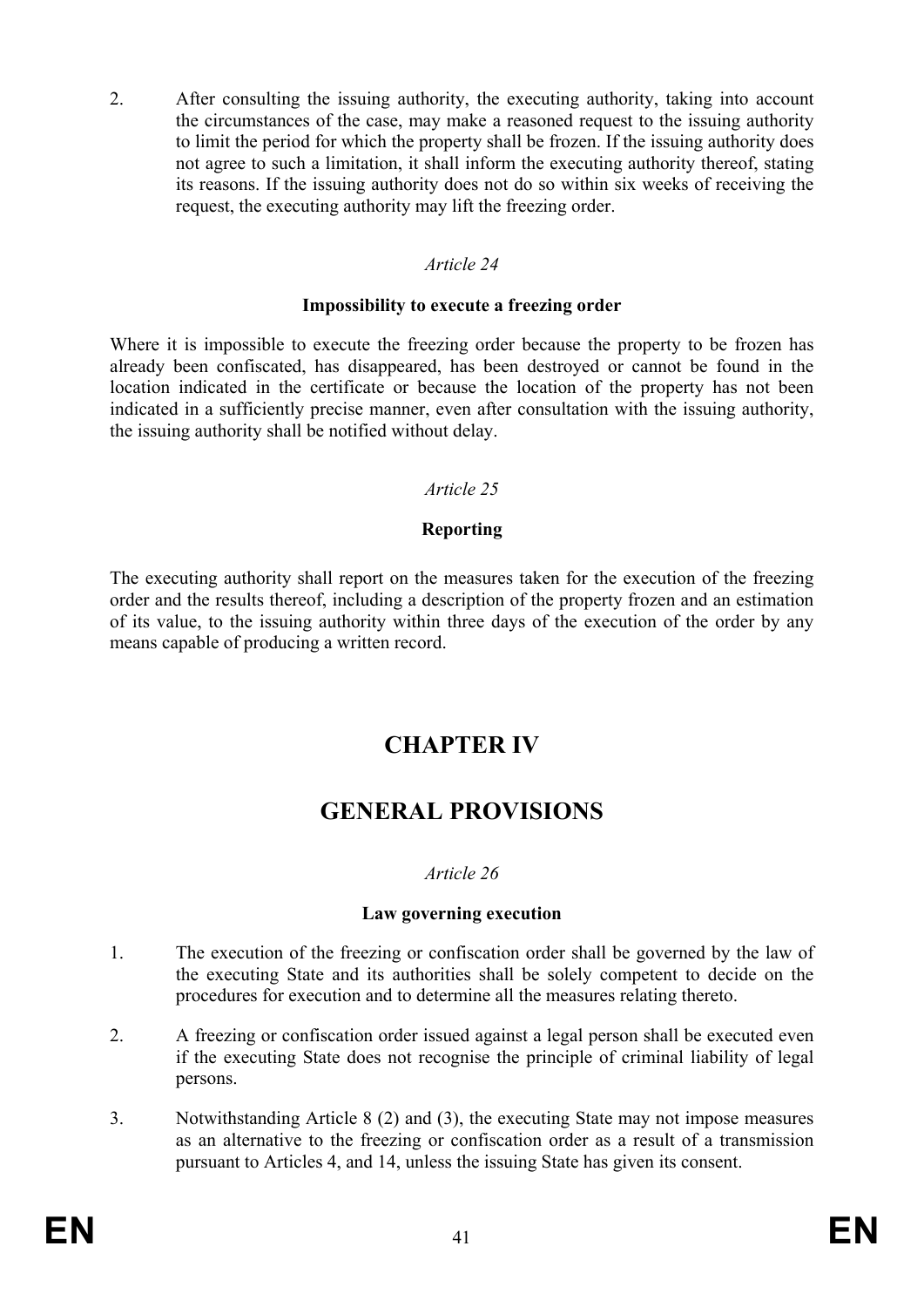2. After consulting the issuing authority, the executing authority, taking into account the circumstances of the case, may make a reasoned request to the issuing authority to limit the period for which the property shall be frozen. If the issuing authority does not agree to such a limitation, it shall inform the executing authority thereof, stating its reasons. If the issuing authority does not do so within six weeks of receiving the request, the executing authority may lift the freezing order.

#### *Article 24*

#### **Impossibility to execute a freezing order**

Where it is impossible to execute the freezing order because the property to be frozen has already been confiscated, has disappeared, has been destroyed or cannot be found in the location indicated in the certificate or because the location of the property has not been indicated in a sufficiently precise manner, even after consultation with the issuing authority, the issuing authority shall be notified without delay.

#### *Article 25*

### **Reporting**

The executing authority shall report on the measures taken for the execution of the freezing order and the results thereof, including a description of the property frozen and an estimation of its value, to the issuing authority within three days of the execution of the order by any means capable of producing a written record.

# **CHAPTER IV**

# **GENERAL PROVISIONS**

#### *Article 26*

#### **Law governing execution**

- 1. The execution of the freezing or confiscation order shall be governed by the law of the executing State and its authorities shall be solely competent to decide on the procedures for execution and to determine all the measures relating thereto.
- 2. A freezing or confiscation order issued against a legal person shall be executed even if the executing State does not recognise the principle of criminal liability of legal persons.
- 3. Notwithstanding Article 8 (2) and (3), the executing State may not impose measures as an alternative to the freezing or confiscation order as a result of a transmission pursuant to Articles 4, and 14, unless the issuing State has given its consent.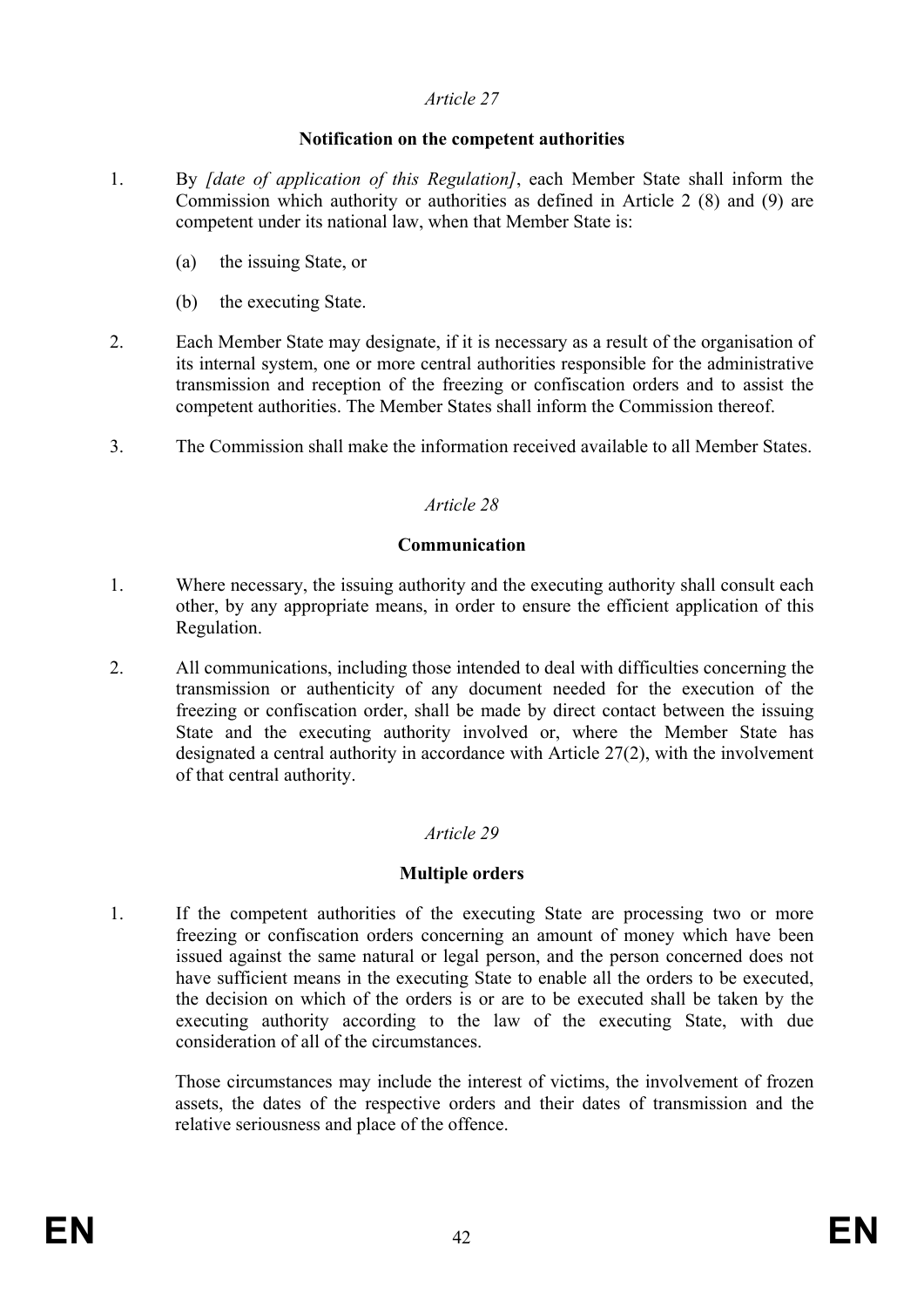## **Notification on the competent authorities**

- 1. By *[date of application of this Regulation]*, each Member State shall inform the Commission which authority or authorities as defined in Article 2 (8) and (9) are competent under its national law, when that Member State is:
	- (a) the issuing State, or
	- (b) the executing State.
- 2. Each Member State may designate, if it is necessary as a result of the organisation of its internal system, one or more central authorities responsible for the administrative transmission and reception of the freezing or confiscation orders and to assist the competent authorities. The Member States shall inform the Commission thereof.
- 3. The Commission shall make the information received available to all Member States.

# *Article 28*

## **Communication**

- 1. Where necessary, the issuing authority and the executing authority shall consult each other, by any appropriate means, in order to ensure the efficient application of this Regulation.
- 2. All communications, including those intended to deal with difficulties concerning the transmission or authenticity of any document needed for the execution of the freezing or confiscation order, shall be made by direct contact between the issuing State and the executing authority involved or, where the Member State has designated a central authority in accordance with Article 27(2), with the involvement of that central authority.

# *Article 29*

## **Multiple orders**

1. If the competent authorities of the executing State are processing two or more freezing or confiscation orders concerning an amount of money which have been issued against the same natural or legal person, and the person concerned does not have sufficient means in the executing State to enable all the orders to be executed, the decision on which of the orders is or are to be executed shall be taken by the executing authority according to the law of the executing State, with due consideration of all of the circumstances.

Those circumstances may include the interest of victims, the involvement of frozen assets, the dates of the respective orders and their dates of transmission and the relative seriousness and place of the offence.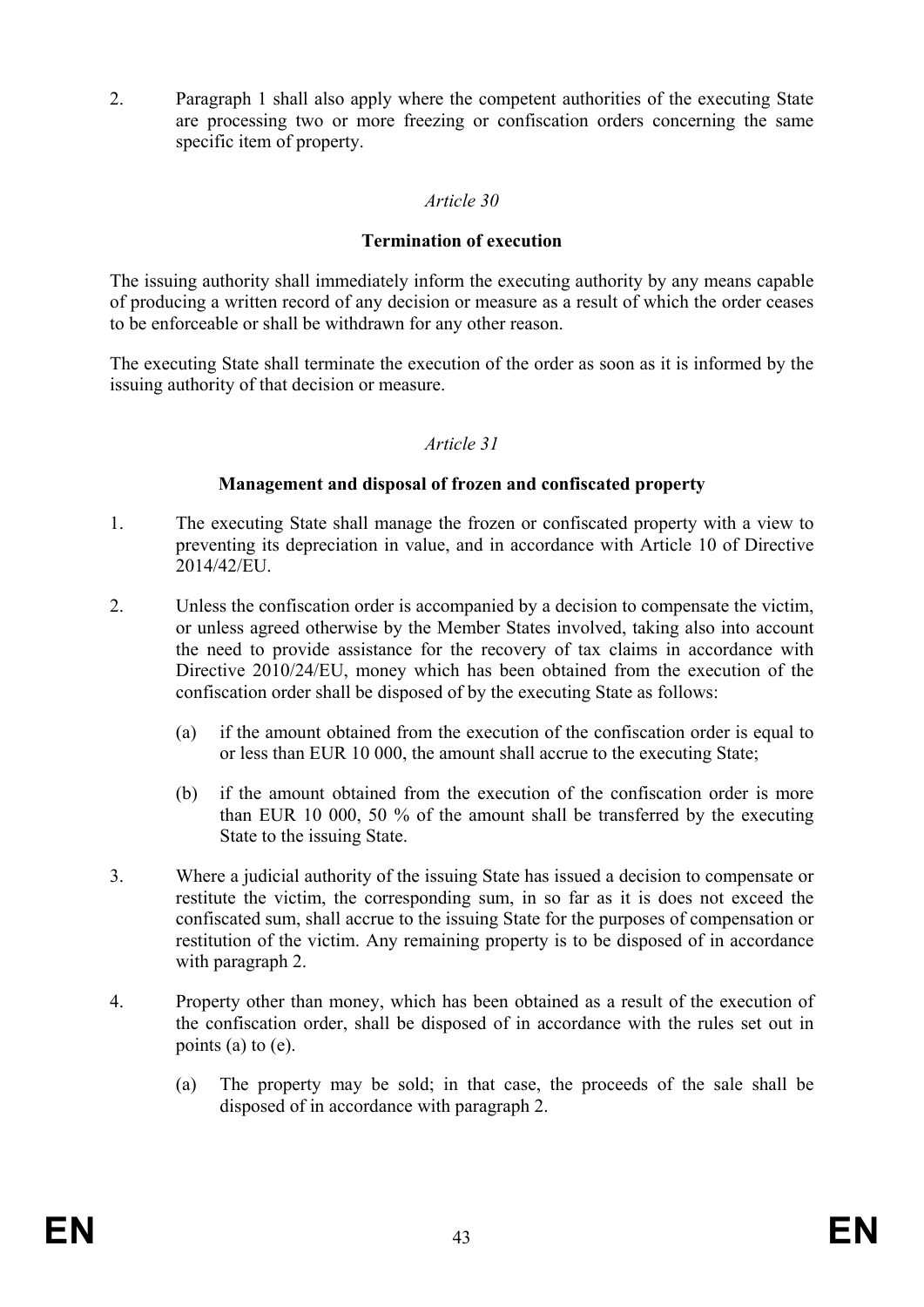2. Paragraph 1 shall also apply where the competent authorities of the executing State are processing two or more freezing or confiscation orders concerning the same specific item of property.

## *Article 30*

#### **Termination of execution**

The issuing authority shall immediately inform the executing authority by any means capable of producing a written record of any decision or measure as a result of which the order ceases to be enforceable or shall be withdrawn for any other reason.

The executing State shall terminate the execution of the order as soon as it is informed by the issuing authority of that decision or measure.

#### *Article 31*

### **Management and disposal of frozen and confiscated property**

- 1. The executing State shall manage the frozen or confiscated property with a view to preventing its depreciation in value, and in accordance with Article 10 of Directive 2014/42/EU.
- 2. Unless the confiscation order is accompanied by a decision to compensate the victim, or unless agreed otherwise by the Member States involved, taking also into account the need to provide assistance for the recovery of tax claims in accordance with Directive 2010/24/EU, money which has been obtained from the execution of the confiscation order shall be disposed of by the executing State as follows:
	- (a) if the amount obtained from the execution of the confiscation order is equal to or less than EUR 10 000, the amount shall accrue to the executing State;
	- (b) if the amount obtained from the execution of the confiscation order is more than EUR 10 000, 50 % of the amount shall be transferred by the executing State to the issuing State.
- 3. Where a judicial authority of the issuing State has issued a decision to compensate or restitute the victim, the corresponding sum, in so far as it is does not exceed the confiscated sum, shall accrue to the issuing State for the purposes of compensation or restitution of the victim. Any remaining property is to be disposed of in accordance with paragraph 2.
- 4. Property other than money, which has been obtained as a result of the execution of the confiscation order, shall be disposed of in accordance with the rules set out in points (a) to (e).
	- (a) The property may be sold; in that case, the proceeds of the sale shall be disposed of in accordance with paragraph 2.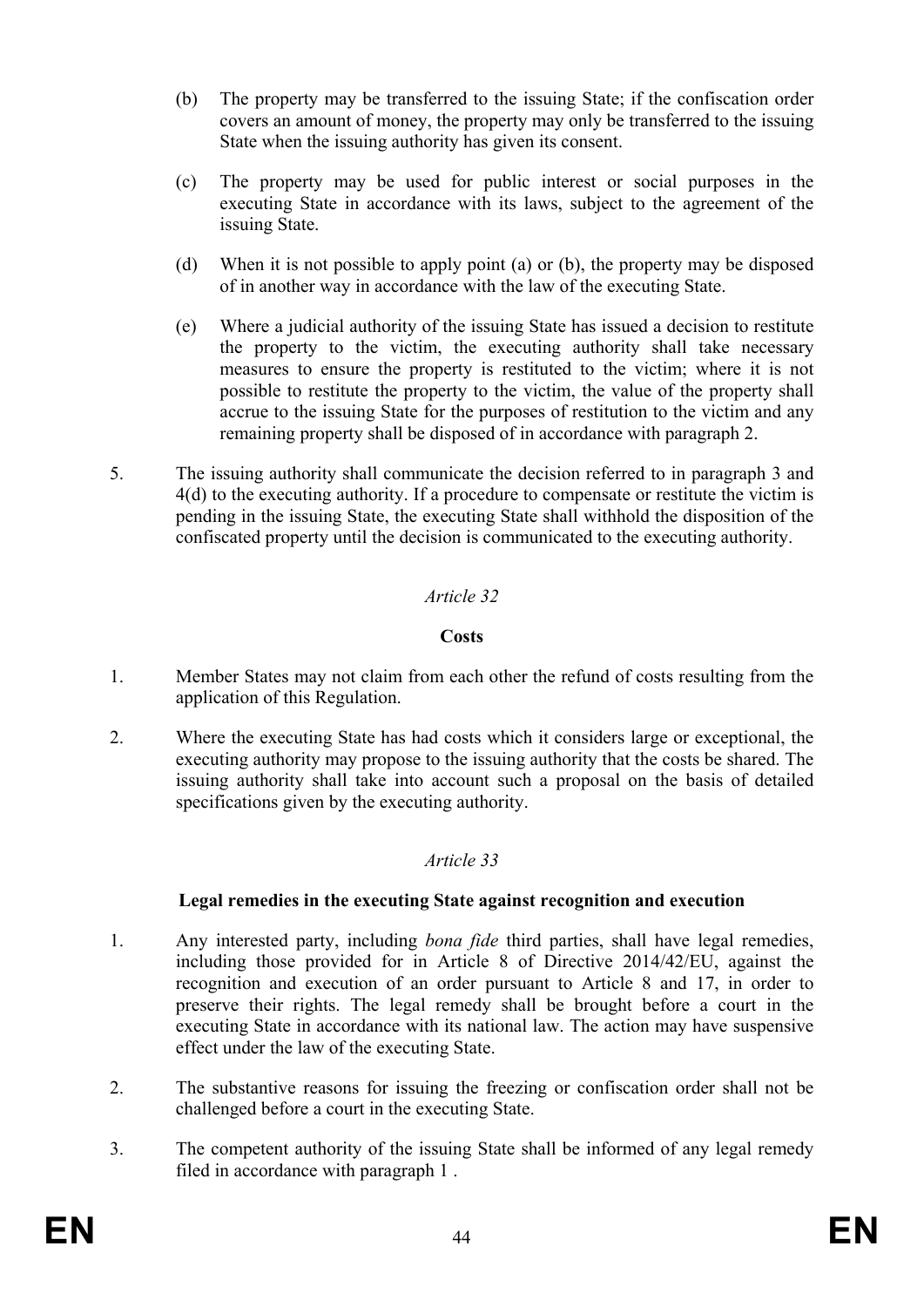- (b) The property may be transferred to the issuing State; if the confiscation order covers an amount of money, the property may only be transferred to the issuing State when the issuing authority has given its consent.
- (c) The property may be used for public interest or social purposes in the executing State in accordance with its laws, subject to the agreement of the issuing State.
- (d) When it is not possible to apply point (a) or (b), the property may be disposed of in another way in accordance with the law of the executing State.
- (e) Where a judicial authority of the issuing State has issued a decision to restitute the property to the victim, the executing authority shall take necessary measures to ensure the property is restituted to the victim; where it is not possible to restitute the property to the victim, the value of the property shall accrue to the issuing State for the purposes of restitution to the victim and any remaining property shall be disposed of in accordance with paragraph 2.
- 5. The issuing authority shall communicate the decision referred to in paragraph 3 and 4(d) to the executing authority. If a procedure to compensate or restitute the victim is pending in the issuing State, the executing State shall withhold the disposition of the confiscated property until the decision is communicated to the executing authority.

## **Costs**

- 1. Member States may not claim from each other the refund of costs resulting from the application of this Regulation.
- 2. Where the executing State has had costs which it considers large or exceptional, the executing authority may propose to the issuing authority that the costs be shared. The issuing authority shall take into account such a proposal on the basis of detailed specifications given by the executing authority.

## *Article 33*

## **Legal remedies in the executing State against recognition and execution**

- 1. Any interested party, including *bona fide* third parties, shall have legal remedies, including those provided for in Article 8 of Directive 2014/42/EU, against the recognition and execution of an order pursuant to Article 8 and 17, in order to preserve their rights. The legal remedy shall be brought before a court in the executing State in accordance with its national law. The action may have suspensive effect under the law of the executing State.
- 2. The substantive reasons for issuing the freezing or confiscation order shall not be challenged before a court in the executing State.
- 3. The competent authority of the issuing State shall be informed of any legal remedy filed in accordance with paragraph 1 .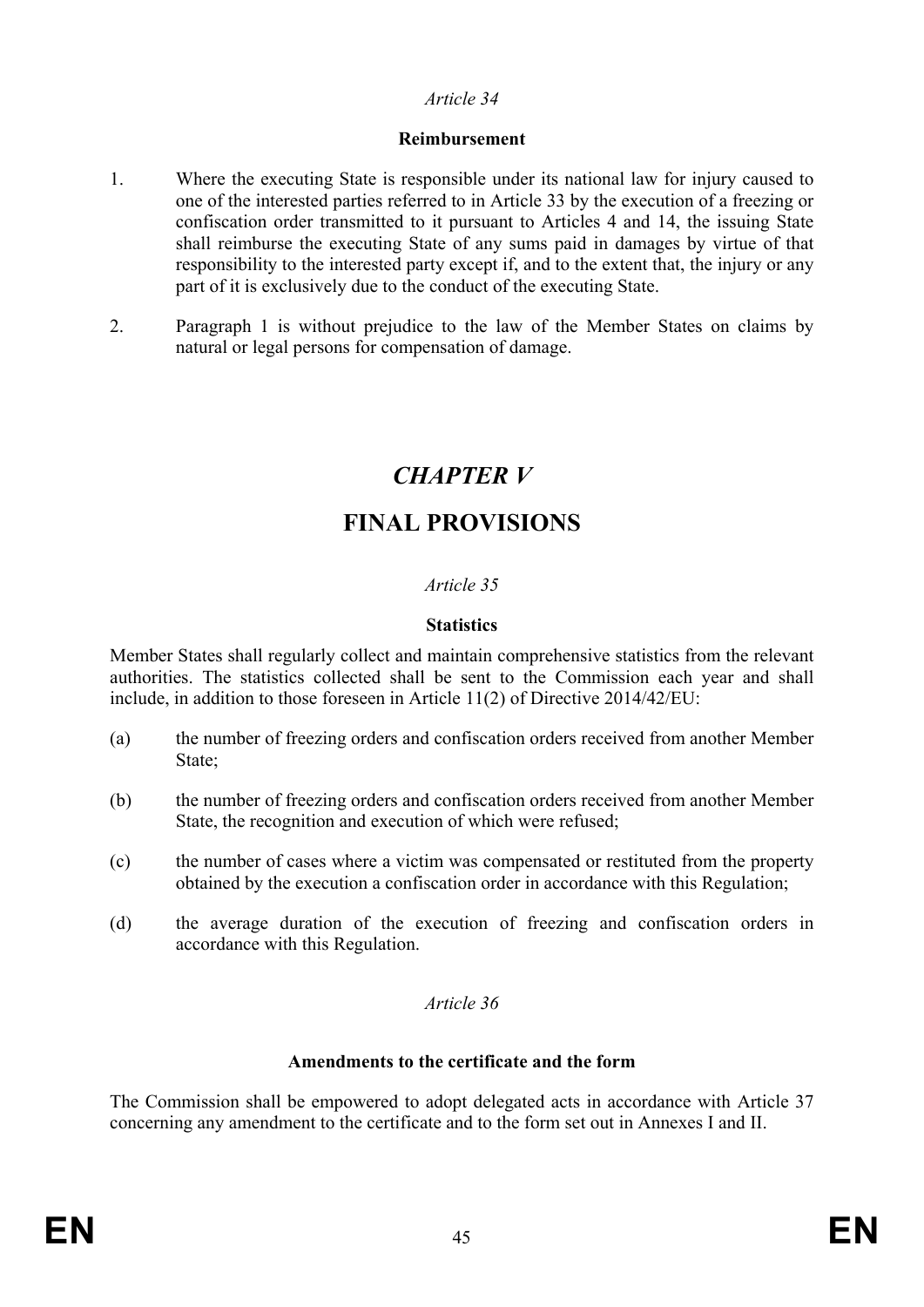#### **Reimbursement**

- 1. Where the executing State is responsible under its national law for injury caused to one of the interested parties referred to in Article 33 by the execution of a freezing or confiscation order transmitted to it pursuant to Articles 4 and 14, the issuing State shall reimburse the executing State of any sums paid in damages by virtue of that responsibility to the interested party except if, and to the extent that, the injury or any part of it is exclusively due to the conduct of the executing State.
- 2. Paragraph 1 is without prejudice to the law of the Member States on claims by natural or legal persons for compensation of damage.

# *CHAPTER V*

# **FINAL PROVISIONS**

# *Article 35*

## **Statistics**

Member States shall regularly collect and maintain comprehensive statistics from the relevant authorities. The statistics collected shall be sent to the Commission each year and shall include, in addition to those foreseen in Article 11(2) of Directive 2014/42/EU:

- (a) the number of freezing orders and confiscation orders received from another Member State<sup>-</sup>
- (b) the number of freezing orders and confiscation orders received from another Member State, the recognition and execution of which were refused;
- (c) the number of cases where a victim was compensated or restituted from the property obtained by the execution a confiscation order in accordance with this Regulation;
- (d) the average duration of the execution of freezing and confiscation orders in accordance with this Regulation.

## *Article 36*

#### **Amendments to the certificate and the form**

The Commission shall be empowered to adopt delegated acts in accordance with Article 37 concerning any amendment to the certificate and to the form set out in Annexes I and II.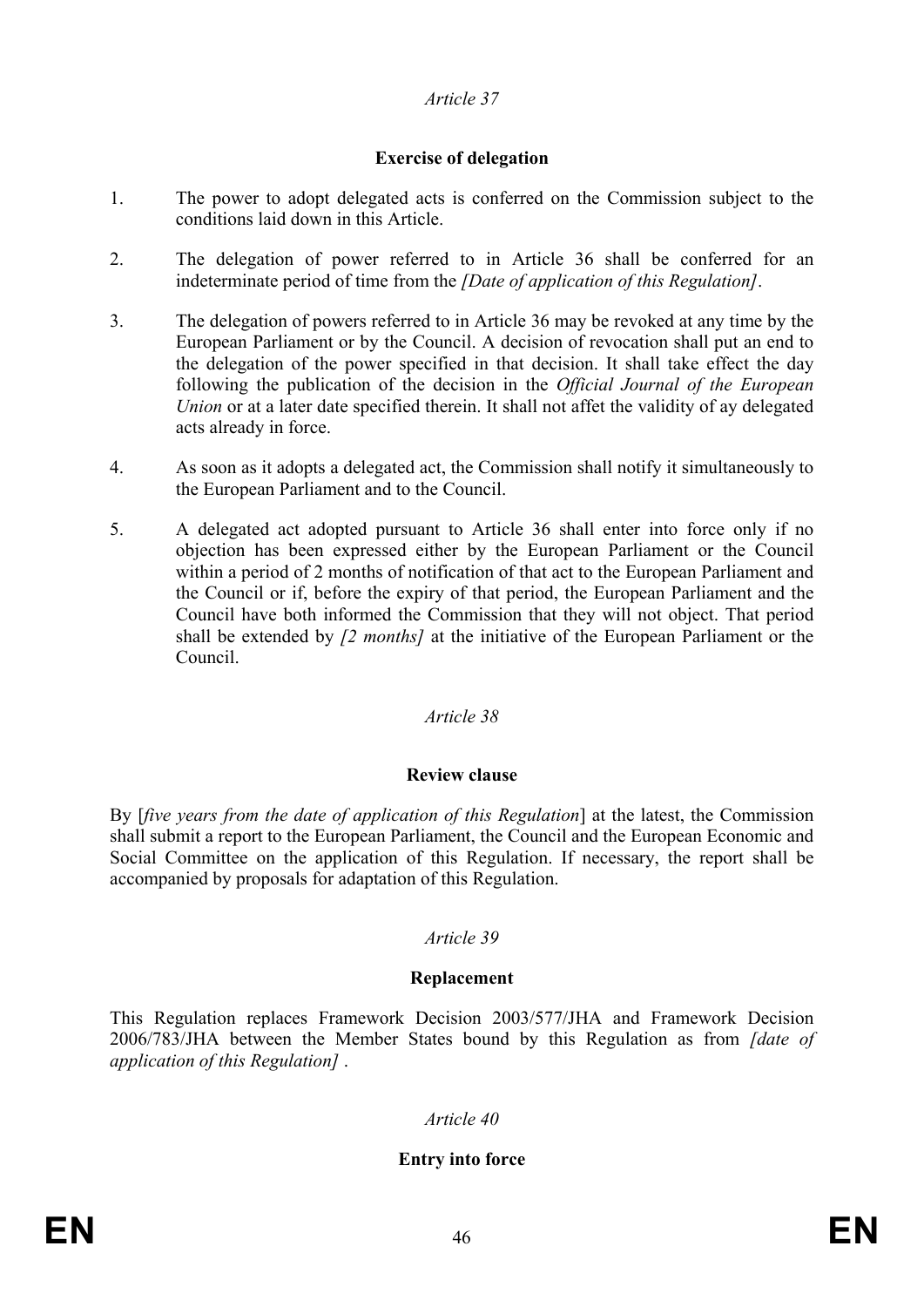# **Exercise of delegation**

- 1. The power to adopt delegated acts is conferred on the Commission subject to the conditions laid down in this Article.
- 2. The delegation of power referred to in Article 36 shall be conferred for an indeterminate period of time from the *[Date of application of this Regulation]*.
- 3. The delegation of powers referred to in Article 36 may be revoked at any time by the European Parliament or by the Council. A decision of revocation shall put an end to the delegation of the power specified in that decision. It shall take effect the day following the publication of the decision in the *Official Journal of the European Union* or at a later date specified therein. It shall not affet the validity of ay delegated acts already in force.
- 4. As soon as it adopts a delegated act, the Commission shall notify it simultaneously to the European Parliament and to the Council.
- 5. A delegated act adopted pursuant to Article 36 shall enter into force only if no objection has been expressed either by the European Parliament or the Council within a period of 2 months of notification of that act to the European Parliament and the Council or if, before the expiry of that period, the European Parliament and the Council have both informed the Commission that they will not object. That period shall be extended by *[2 months]* at the initiative of the European Parliament or the Council.

## *Article 38*

## **Review clause**

By [*five years from the date of application of this Regulation*] at the latest, the Commission shall submit a report to the European Parliament, the Council and the European Economic and Social Committee on the application of this Regulation. If necessary, the report shall be accompanied by proposals for adaptation of this Regulation.

## *Article 39*

#### **Replacement**

This Regulation replaces Framework Decision 2003/577/JHA and Framework Decision 2006/783/JHA between the Member States bound by this Regulation as from *[date of application of this Regulation]* .

#### *Article 40*

#### **Entry into force**